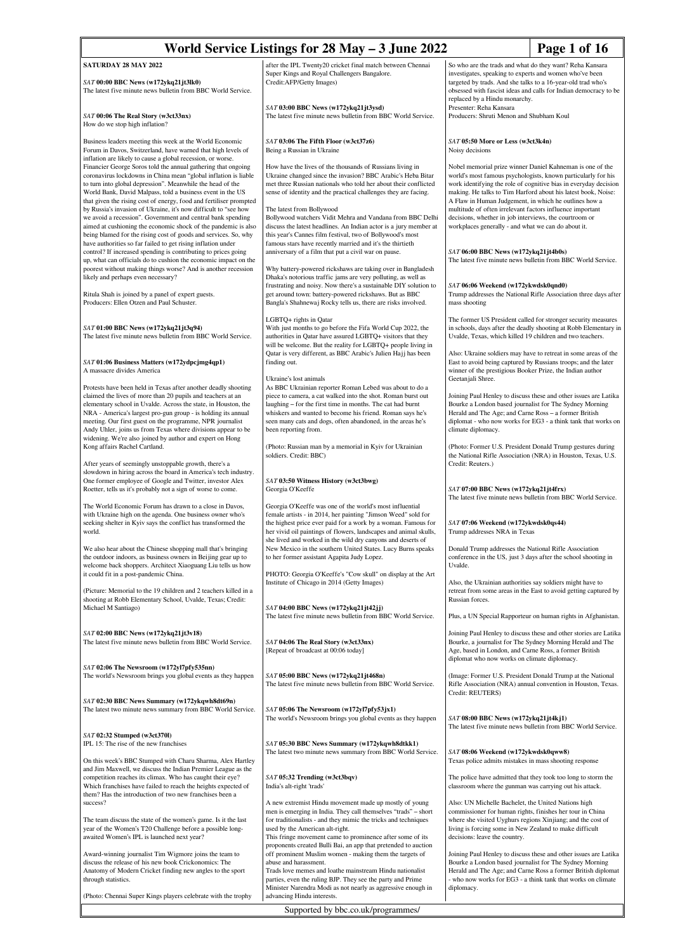| World Service Listings for 28 May – 3 June 2022<br>Page 1 of 16                                                                                                                                                                                                                                                                                                                                                                                                                                                                                                                                                                                                           |                                                                                                                                                                                                                                                                                                                                                                                                                                                                                                                                                         |                                                                                                                                                                                                                                                                                                                                                                                                                                                                                                        |  |
|---------------------------------------------------------------------------------------------------------------------------------------------------------------------------------------------------------------------------------------------------------------------------------------------------------------------------------------------------------------------------------------------------------------------------------------------------------------------------------------------------------------------------------------------------------------------------------------------------------------------------------------------------------------------------|---------------------------------------------------------------------------------------------------------------------------------------------------------------------------------------------------------------------------------------------------------------------------------------------------------------------------------------------------------------------------------------------------------------------------------------------------------------------------------------------------------------------------------------------------------|--------------------------------------------------------------------------------------------------------------------------------------------------------------------------------------------------------------------------------------------------------------------------------------------------------------------------------------------------------------------------------------------------------------------------------------------------------------------------------------------------------|--|
| SATURDAY 28 MAY 2022                                                                                                                                                                                                                                                                                                                                                                                                                                                                                                                                                                                                                                                      | after the IPL Twenty20 cricket final match between Chennai                                                                                                                                                                                                                                                                                                                                                                                                                                                                                              | So who are the trads and what do they want? Reha Kansara                                                                                                                                                                                                                                                                                                                                                                                                                                               |  |
| SAT 00:00 BBC News (w172ykq21jt3lk0)<br>The latest five minute news bulletin from BBC World Service.                                                                                                                                                                                                                                                                                                                                                                                                                                                                                                                                                                      | Super Kings and Royal Challengers Bangalore.<br>Credit:AFP/Getty Images)                                                                                                                                                                                                                                                                                                                                                                                                                                                                                | investigates, speaking to experts and women who've been<br>targeted by trads. And she talks to a 16-year-old trad who's<br>obsessed with fascist ideas and calls for Indian democracy to be<br>replaced by a Hindu monarchy.                                                                                                                                                                                                                                                                           |  |
| SAT 00:06 The Real Story (w3ct33nx)<br>How do we stop high inflation?                                                                                                                                                                                                                                                                                                                                                                                                                                                                                                                                                                                                     | SAT 03:00 BBC News (w172ykq21jt3ysd)<br>The latest five minute news bulletin from BBC World Service.                                                                                                                                                                                                                                                                                                                                                                                                                                                    | Presenter: Reha Kansara<br>Producers: Shruti Menon and Shubham Koul                                                                                                                                                                                                                                                                                                                                                                                                                                    |  |
| Business leaders meeting this week at the World Economic<br>Forum in Davos, Switzerland, have warned that high levels of<br>inflation are likely to cause a global recession, or worse.                                                                                                                                                                                                                                                                                                                                                                                                                                                                                   | SAT 03:06 The Fifth Floor (w3ct37z6)<br>Being a Russian in Ukraine                                                                                                                                                                                                                                                                                                                                                                                                                                                                                      | SAT 05:50 More or Less (w3ct3k4n)<br>Noisy decisions                                                                                                                                                                                                                                                                                                                                                                                                                                                   |  |
| Financier George Soros told the annual gathering that ongoing<br>coronavirus lockdowns in China mean "global inflation is liable<br>to turn into global depression". Meanwhile the head of the<br>World Bank, David Malpass, told a business event in the US<br>that given the rising cost of energy, food and fertiliser prompted<br>by Russia's invasion of Ukraine, it's now difficult to "see how<br>we avoid a recession". Government and central bank spending<br>aimed at cushioning the economic shock of the pandemic is also<br>being blamed for the rising cost of goods and services. So, why<br>have authorities so far failed to get rising inflation under | How have the lives of the thousands of Russians living in<br>Ukraine changed since the invasion? BBC Arabic's Heba Bitar<br>met three Russian nationals who told her about their conflicted<br>sense of identity and the practical challenges they are facing.<br>The latest from Bollywood<br>Bollywood watchers Vidit Mehra and Vandana from BBC Delhi<br>discuss the latest headlines. An Indian actor is a jury member at<br>this year's Cannes film festival, two of Bollywood's most<br>famous stars have recently married and it's the thirtieth | Nobel memorial prize winner Daniel Kahneman is one of the<br>world's most famous psychologists, known particularly for his<br>work identifying the role of cognitive bias in everyday decision<br>making. He talks to Tim Harford about his latest book, Noise:<br>A Flaw in Human Judgement, in which he outlines how a<br>multitude of often irrelevant factors influence important<br>decisions, whether in job interviews, the courtroom or<br>workplaces generally - and what we can do about it. |  |
| control? If increased spending is contributing to prices going<br>up, what can officials do to cushion the economic impact on the<br>poorest without making things worse? And is another recession<br>likely and perhaps even necessary?                                                                                                                                                                                                                                                                                                                                                                                                                                  | anniversary of a film that put a civil war on pause.<br>Why battery-powered rickshaws are taking over in Bangladesh<br>Dhaka's notorious traffic jams are very polluting, as well as<br>frustrating and noisy. Now there's a sustainable DIY solution to                                                                                                                                                                                                                                                                                                | $SAT$ 06:00 BBC News (w172ykq21jt4b0s)<br>The latest five minute news bulletin from BBC World Service.<br>SAT 06:06 Weekend (w172ykwdsk0qnd0)                                                                                                                                                                                                                                                                                                                                                          |  |
| Ritula Shah is joined by a panel of expert guests.<br>Producers: Ellen Otzen and Paul Schuster.                                                                                                                                                                                                                                                                                                                                                                                                                                                                                                                                                                           | get around town: battery-powered rickshaws. But as BBC<br>Bangla's Shahnewaj Rocky tells us, there are risks involved.                                                                                                                                                                                                                                                                                                                                                                                                                                  | Trump addresses the National Rifle Association three days after<br>mass shooting                                                                                                                                                                                                                                                                                                                                                                                                                       |  |
| SAT 01:00 BBC News (w172ykq21jt3q94)<br>The latest five minute news bulletin from BBC World Service.                                                                                                                                                                                                                                                                                                                                                                                                                                                                                                                                                                      | LGBTQ+ rights in Qatar<br>With just months to go before the Fifa World Cup 2022, the<br>authorities in Qatar have assured LGBTQ+ visitors that they<br>will be welcome. But the reality for LGBTQ+ people living in                                                                                                                                                                                                                                                                                                                                     | The former US President called for stronger security measures<br>in schools, days after the deadly shooting at Robb Elementary in<br>Uvalde, Texas, which killed 19 children and two teachers.                                                                                                                                                                                                                                                                                                         |  |
| SAT 01:06 Business Matters (w172ydpcjmg4qp1)<br>A massacre divides America                                                                                                                                                                                                                                                                                                                                                                                                                                                                                                                                                                                                | Qatar is very different, as BBC Arabic's Julien Hajj has been<br>finding out.<br>Ukraine's lost animals                                                                                                                                                                                                                                                                                                                                                                                                                                                 | Also: Ukraine soldiers may have to retreat in some areas of the<br>East to avoid being captured by Russians troops; and the later<br>winner of the prestigious Booker Prize, the Indian author<br>Geetanjali Shree.                                                                                                                                                                                                                                                                                    |  |
| Protests have been held in Texas after another deadly shooting<br>claimed the lives of more than 20 pupils and teachers at an<br>elementary school in Uvalde. Across the state, in Houston, the<br>NRA - America's largest pro-gun group - is holding its annual<br>meeting. Our first guest on the programme, NPR journalist<br>Andy Uhler, joins us from Texas where divisions appear to be<br>widening. We're also joined by author and expert on Hong                                                                                                                                                                                                                 | As BBC Ukrainian reporter Roman Lebed was about to do a<br>piece to camera, a cat walked into the shot. Roman burst out<br>laughing – for the first time in months. The cat had burnt<br>whiskers and wanted to become his friend. Roman says he's<br>seen many cats and dogs, often abandoned, in the areas he's<br>been reporting from.                                                                                                                                                                                                               | Joining Paul Henley to discuss these and other issues are Latika<br>Bourke a London based journalist for The Sydney Morning<br>Herald and The Age; and Carne Ross – a former British<br>diplomat - who now works for EG3 - a think tank that works on<br>climate diplomacy.                                                                                                                                                                                                                            |  |
| Kong affairs Rachel Cartland.<br>After years of seemingly unstoppable growth, there's a                                                                                                                                                                                                                                                                                                                                                                                                                                                                                                                                                                                   | (Photo: Russian man by a memorial in Kyiv for Ukrainian<br>soldiers. Credit: BBC)                                                                                                                                                                                                                                                                                                                                                                                                                                                                       | (Photo: Former U.S. President Donald Trump gestures during<br>the National Rifle Association (NRA) in Houston, Texas, U.S.<br>Credit: Reuters.)                                                                                                                                                                                                                                                                                                                                                        |  |
| slowdown in hiring across the board in America's tech industry.<br>One former employee of Google and Twitter, investor Alex<br>Roetter, tells us it's probably not a sign of worse to come.                                                                                                                                                                                                                                                                                                                                                                                                                                                                               | SAT 03:50 Witness History (w3ct3bwg)<br>Georgia O'Keeffe                                                                                                                                                                                                                                                                                                                                                                                                                                                                                                | SAT 07:00 BBC News (w172ykq21jt4frx)<br>The latest five minute news bulletin from BBC World Service.                                                                                                                                                                                                                                                                                                                                                                                                   |  |
| The World Economic Forum has drawn to a close in Davos,<br>with Ukraine high on the agenda. One business owner who's<br>seeking shelter in Kyiv says the conflict has transformed the<br>world.                                                                                                                                                                                                                                                                                                                                                                                                                                                                           | Georgia O'Keeffe was one of the world's most influential<br>female artists - in 2014, her painting "Jimson Weed" sold for<br>the highest price ever paid for a work by a woman. Famous for<br>her vivid oil paintings of flowers, landscapes and animal skulls,<br>she lived and worked in the wild dry canyons and deserts of                                                                                                                                                                                                                          | SAT 07:06 Weekend (w172ykwdsk0qs44)<br>Trump addresses NRA in Texas                                                                                                                                                                                                                                                                                                                                                                                                                                    |  |
| We also hear about the Chinese shopping mall that's bringing<br>the outdoor indoors, as business owners in Beijing gear up to<br>welcome back shoppers. Architect Xiaoguang Liu tells us how<br>it could fit in a post-pandemic China.                                                                                                                                                                                                                                                                                                                                                                                                                                    | New Mexico in the southern United States. Lucy Burns speaks<br>to her former assistant Agapita Judy Lopez.<br>PHOTO: Georgia O'Keeffe's "Cow skull" on display at the Art                                                                                                                                                                                                                                                                                                                                                                               | Donald Trump addresses the National Rifle Association<br>conference in the US, just 3 days after the school shooting in<br>Uvalde.                                                                                                                                                                                                                                                                                                                                                                     |  |
| (Picture: Memorial to the 19 children and 2 teachers killed in a<br>shooting at Robb Elementary School, Uvalde, Texas; Credit:<br>Michael M Santiago)                                                                                                                                                                                                                                                                                                                                                                                                                                                                                                                     | Institute of Chicago in 2014 (Getty Images)<br>SAT 04:00 BBC News (w172ykq21jt42jj)<br>The latest five minute news bulletin from BBC World Service.                                                                                                                                                                                                                                                                                                                                                                                                     | Also, the Ukrainian authorities say soldiers might have to<br>retreat from some areas in the East to avoid getting captured by<br>Russian forces.                                                                                                                                                                                                                                                                                                                                                      |  |
|                                                                                                                                                                                                                                                                                                                                                                                                                                                                                                                                                                                                                                                                           |                                                                                                                                                                                                                                                                                                                                                                                                                                                                                                                                                         | Plus, a UN Special Rapporteur on human rights in Afghanistan.                                                                                                                                                                                                                                                                                                                                                                                                                                          |  |
| SAT 02:00 BBC News (w172ykq21jt3v18)<br>The latest five minute news bulletin from BBC World Service.                                                                                                                                                                                                                                                                                                                                                                                                                                                                                                                                                                      | SAT 04:06 The Real Story (w3ct33nx)<br>[Repeat of broadcast at 00:06 today]                                                                                                                                                                                                                                                                                                                                                                                                                                                                             | Joining Paul Henley to discuss these and other stories are Latika<br>Bourke, a journalist for The Sydney Morning Herald and The<br>Age, based in London, and Carne Ross, a former British<br>diplomat who now works on climate diplomacy.                                                                                                                                                                                                                                                              |  |
| SAT 02:06 The Newsroom (w172yl7pfy535nn)<br>The world's Newsroom brings you global events as they happen                                                                                                                                                                                                                                                                                                                                                                                                                                                                                                                                                                  | SAT 05:00 BBC News (w172ykq21jt468n)<br>The latest five minute news bulletin from BBC World Service.                                                                                                                                                                                                                                                                                                                                                                                                                                                    | (Image: Former U.S. President Donald Trump at the National<br>Rifle Association (NRA) annual convention in Houston, Texas.<br>Credit: REUTERS)                                                                                                                                                                                                                                                                                                                                                         |  |
| SAT 02:30 BBC News Summary (w172ykqwh8dt69n)<br>The latest two minute news summary from BBC World Service.                                                                                                                                                                                                                                                                                                                                                                                                                                                                                                                                                                | SAT 05:06 The Newsroom (w172yl7pfy53jx1)<br>The world's Newsroom brings you global events as they happen                                                                                                                                                                                                                                                                                                                                                                                                                                                | SAT 08:00 BBC News (w172ykq21jt4kj1)<br>The latest five minute news bulletin from BBC World Service.                                                                                                                                                                                                                                                                                                                                                                                                   |  |
| SAT 02:32 Stumped (w3ct370l)<br>IPL 15: The rise of the new franchises<br>On this week's BBC Stumped with Charu Sharma, Alex Hartley                                                                                                                                                                                                                                                                                                                                                                                                                                                                                                                                      | SAT 05:30 BBC News Summary (w172ykqwh8dtkk1)<br>The latest two minute news summary from BBC World Service.                                                                                                                                                                                                                                                                                                                                                                                                                                              | SAT 08:06 Weekend (w172ykwdsk0qww8)                                                                                                                                                                                                                                                                                                                                                                                                                                                                    |  |
| and Jim Maxwell, we discuss the Indian Premier League as the<br>competition reaches its climax. Who has caught their eye?<br>Which franchises have failed to reach the heights expected of                                                                                                                                                                                                                                                                                                                                                                                                                                                                                | SAT 05:32 Trending (w3ct3bqv)<br>India's alt-right 'trads'                                                                                                                                                                                                                                                                                                                                                                                                                                                                                              | Texas police admits mistakes in mass shooting response<br>The police have admitted that they took too long to storm the<br>classroom where the gunman was carrying out his attack.                                                                                                                                                                                                                                                                                                                     |  |
| them? Has the introduction of two new franchises been a<br>success?<br>The team discuss the state of the women's game. Is it the last<br>year of the Women's T20 Challenge before a possible long-<br>awaited Women's IPL is launched next year?                                                                                                                                                                                                                                                                                                                                                                                                                          | A new extremist Hindu movement made up mostly of young<br>men is emerging in India. They call themselves "trads" - short<br>for traditionalists - and they mimic the tricks and techniques<br>used by the American alt-right.<br>This fringe movement came to prominence after some of its                                                                                                                                                                                                                                                              | Also: UN Michelle Bachelet, the United Nations high<br>commissioner for human rights, finishes her tour in China<br>where she visited Uyghurs regions Xinjiang; and the cost of<br>living is forcing some in New Zealand to make difficult<br>decisions: leave the country.                                                                                                                                                                                                                            |  |
| Award-winning journalist Tim Wigmore joins the team to<br>discuss the release of his new book Crickonomics: The<br>Anatomy of Modern Cricket finding new angles to the sport                                                                                                                                                                                                                                                                                                                                                                                                                                                                                              | proponents created Bulli Bai, an app that pretended to auction<br>off prominent Muslim women - making them the targets of<br>abuse and harassment.<br>Trads love memes and loathe mainstream Hindu nationalist                                                                                                                                                                                                                                                                                                                                          | Joining Paul Henley to discuss these and other issues are Latika<br>Bourke a London based journalist for The Sydney Morning<br>Herald and The Age; and Carne Ross a former British diplomat                                                                                                                                                                                                                                                                                                            |  |
| through statistics.<br>(Photo: Chennai Super Kings players celebrate with the trophy                                                                                                                                                                                                                                                                                                                                                                                                                                                                                                                                                                                      | parties, even the ruling BJP. They see the party and Prime<br>Minister Narendra Modi as not nearly as aggressive enough in<br>advancing Hindu interests.                                                                                                                                                                                                                                                                                                                                                                                                | - who now works for EG3 - a think tank that works on climate<br>diplomacy.                                                                                                                                                                                                                                                                                                                                                                                                                             |  |
| Supported by bbc.co.uk/programmes/                                                                                                                                                                                                                                                                                                                                                                                                                                                                                                                                                                                                                                        |                                                                                                                                                                                                                                                                                                                                                                                                                                                                                                                                                         |                                                                                                                                                                                                                                                                                                                                                                                                                                                                                                        |  |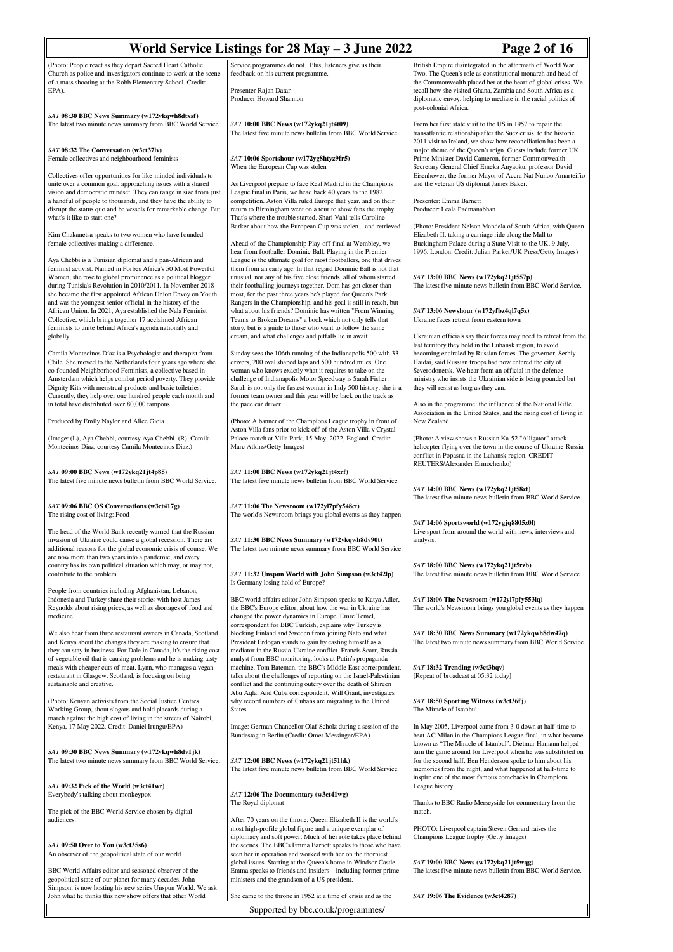| World Service Listings for 28 May - 3 June 2022<br>Page 2 of 16                                                                                                                                                                                                                                                                                                                                                                                                                                                                                                                    |                                                                                                                                                                                                                                                                                                                                                                                                                                                                                                                                                                                                                                                            |                                                                                                                                                                                                                                                                                                                                                                                                                                            |  |
|------------------------------------------------------------------------------------------------------------------------------------------------------------------------------------------------------------------------------------------------------------------------------------------------------------------------------------------------------------------------------------------------------------------------------------------------------------------------------------------------------------------------------------------------------------------------------------|------------------------------------------------------------------------------------------------------------------------------------------------------------------------------------------------------------------------------------------------------------------------------------------------------------------------------------------------------------------------------------------------------------------------------------------------------------------------------------------------------------------------------------------------------------------------------------------------------------------------------------------------------------|--------------------------------------------------------------------------------------------------------------------------------------------------------------------------------------------------------------------------------------------------------------------------------------------------------------------------------------------------------------------------------------------------------------------------------------------|--|
| (Photo: People react as they depart Sacred Heart Catholic<br>Church as police and investigators continue to work at the scene<br>of a mass shooting at the Robb Elementary School. Credit:<br>EPA).                                                                                                                                                                                                                                                                                                                                                                                | Service programmes do not Plus, listeners give us their<br>feedback on his current programme.<br>Presenter Rajan Datar<br>Producer Howard Shannon                                                                                                                                                                                                                                                                                                                                                                                                                                                                                                          | British Empire disintegrated in the aftermath of World War<br>Two. The Queen's role as constitutional monarch and head of<br>the Commonwealth placed her at the heart of global crises. We<br>recall how she visited Ghana, Zambia and South Africa as a<br>diplomatic envoy, helping to mediate in the racial politics of                                                                                                                 |  |
| SAT 08:30 BBC News Summary (w172ykqwh8dtxsf)<br>The latest two minute news summary from BBC World Service.                                                                                                                                                                                                                                                                                                                                                                                                                                                                         | SAT 10:00 BBC News (w172ykq21jt4t09)<br>The latest five minute news bulletin from BBC World Service.                                                                                                                                                                                                                                                                                                                                                                                                                                                                                                                                                       | post-colonial Africa.<br>From her first state visit to the US in 1957 to repair the<br>transatlantic relationship after the Suez crisis, to the historic                                                                                                                                                                                                                                                                                   |  |
| SAT 08:32 The Conversation (w3ct37lv)<br>Female collectives and neighbourhood feminists                                                                                                                                                                                                                                                                                                                                                                                                                                                                                            | SAT 10:06 Sportshour (w172yg8htyz9fr5)<br>When the European Cup was stolen                                                                                                                                                                                                                                                                                                                                                                                                                                                                                                                                                                                 | 2011 visit to Ireland, we show how reconciliation has been a<br>major theme of the Queen's reign. Guests include former UK<br>Prime Minister David Cameron, former Commonwealth<br>Secretary General Chief Emeka Anyaoku, professor David                                                                                                                                                                                                  |  |
| Collectives offer opportunities for like-minded individuals to<br>unite over a common goal, approaching issues with a shared<br>vision and democratic mindset. They can range in size from just<br>a handful of people to thousands, and they have the ability to<br>disrupt the status quo and be vessels for remarkable change. But<br>what's it like to start one?                                                                                                                                                                                                              | As Liverpool prepare to face Real Madrid in the Champions<br>League final in Paris, we head back 40 years to the 1982<br>competition. Aston Villa ruled Europe that year, and on their<br>return to Birmingham went on a tour to show fans the trophy.<br>That's where the trouble started. Shari Vahl tells Caroline                                                                                                                                                                                                                                                                                                                                      | Eisenhower, the former Mayor of Accra Nat Nunoo Amarteifio<br>and the veteran US diplomat James Baker.<br>Presenter: Emma Barnett<br>Producer: Leala Padmanabhan                                                                                                                                                                                                                                                                           |  |
| Kim Chakanetsa speaks to two women who have founded<br>female collectives making a difference.                                                                                                                                                                                                                                                                                                                                                                                                                                                                                     | Barker about how the European Cup was stolen and retrieved!<br>Ahead of the Championship Play-off final at Wembley, we<br>hear from footballer Dominic Ball. Playing in the Premier                                                                                                                                                                                                                                                                                                                                                                                                                                                                        | (Photo: President Nelson Mandela of South Africa, with Queen<br>Elizabeth II, taking a carriage ride along the Mall to<br>Buckingham Palace during a State Visit to the UK, 9 July,<br>1996, London. Credit: Julian Parker/UK Press/Getty Images)                                                                                                                                                                                          |  |
| Aya Chebbi is a Tunisian diplomat and a pan-African and<br>feminist activist. Named in Forbes Africa's 50 Most Powerful<br>Women, she rose to global prominence as a political blogger<br>during Tunisia's Revolution in 2010/2011. In November 2018<br>she became the first appointed African Union Envoy on Youth,<br>and was the youngest senior official in the history of the<br>African Union. In 2021, Aya established the Nala Feminist<br>Collective, which brings together 17 acclaimed African<br>feminists to unite behind Africa's agenda nationally and<br>globally. | League is the ultimate goal for most footballers, one that drives<br>them from an early age. In that regard Dominic Ball is not that<br>unusual, nor any of his five close friends, all of whom started<br>their footballing journeys together. Dom has got closer than<br>most, for the past three years he's played for Queen's Park<br>Rangers in the Championship, and his goal is still in reach, but<br>what about his friends? Dominic has written "From Winning<br>Teams to Broken Dreams" a book which not only tells that<br>story, but is a guide to those who want to follow the same<br>dream, and what challenges and pitfalls lie in await. | SAT 13:00 BBC News (w172ykq21jt557p)<br>The latest five minute news bulletin from BBC World Service.<br>SAT 13:06 Newshour (w172yfbz4ql7q5z)<br>Ukraine faces retreat from eastern town<br>Ukrainian officials say their forces may need to retreat from the                                                                                                                                                                               |  |
| Camila Montecinos Díaz is a Psychologist and therapist from<br>Chile. She moved to the Netherlands four years ago where she<br>co-founded Neighborhood Feminists, a collective based in<br>Amsterdam which helps combat period poverty. They provide<br>Dignity Kits with menstrual products and basic toiletries.<br>Currently, they help over one hundred people each month and<br>in total have distributed over 80,000 tampons.                                                                                                                                                | Sunday sees the 106th running of the Indianapolis 500 with 33<br>drivers, 200 oval shaped laps and 500 hundred miles. One<br>woman who knows exactly what it requires to take on the<br>challenge of Indianapolis Motor Speedway is Sarah Fisher.<br>Sarah is not only the fastest woman in Indy 500 history, she is a<br>former team owner and this year will be back on the track as<br>the pace car driver.                                                                                                                                                                                                                                             | last territory they hold in the Luhansk region, to avoid<br>becoming encircled by Russian forces. The governor, Serhiy<br>Haidai, said Russian troops had now entered the city of<br>Severodonetsk. We hear from an official in the defence<br>ministry who insists the Ukrainian side is being pounded but<br>they will resist as long as they can.<br>Also in the programme: the influence of the National Rifle                         |  |
| Produced by Emily Naylor and Alice Gioia                                                                                                                                                                                                                                                                                                                                                                                                                                                                                                                                           | (Photo: A banner of the Champions League trophy in front of                                                                                                                                                                                                                                                                                                                                                                                                                                                                                                                                                                                                | Association in the United States; and the rising cost of living in<br>New Zealand.                                                                                                                                                                                                                                                                                                                                                         |  |
| (Image: (L), Aya Chebbi, courtesy Aya Chebbi. (R), Camila<br>Montecinos Diaz, courtesy Camila Montecinos Diaz.)                                                                                                                                                                                                                                                                                                                                                                                                                                                                    | Aston Villa fans prior to kick off of the Aston Villa v Crystal<br>Palace match at Villa Park, 15 May, 2022, England. Credit:<br>Marc Atkins/Getty Images)                                                                                                                                                                                                                                                                                                                                                                                                                                                                                                 | (Photo: A view shows a Russian Ka-52 "Alligator" attack<br>helicopter flying over the town in the course of Ukraine-Russia<br>conflict in Popasna in the Luhansk region. CREDIT:<br>REUTERS/Alexander Ermochenko)                                                                                                                                                                                                                          |  |
| SAT 09:00 BBC News (w172ykq21jt4p85)<br>The latest five minute news bulletin from BBC World Service.                                                                                                                                                                                                                                                                                                                                                                                                                                                                               | SAT 11:00 BBC News (w172ykq21jt4xrf)<br>The latest five minute news bulletin from BBC World Service.                                                                                                                                                                                                                                                                                                                                                                                                                                                                                                                                                       | SAT 14:00 BBC News (w172ykq21jt58zt)<br>The latest five minute news bulletin from BBC World Service.                                                                                                                                                                                                                                                                                                                                       |  |
| SAT 09:06 BBC OS Conversations (w3ct417g)<br>The rising cost of living: Food                                                                                                                                                                                                                                                                                                                                                                                                                                                                                                       | SAT 11:06 The Newsroom (w172yl7pfy548ct)<br>The world's Newsroom brings you global events as they happen                                                                                                                                                                                                                                                                                                                                                                                                                                                                                                                                                   |                                                                                                                                                                                                                                                                                                                                                                                                                                            |  |
| The head of the World Bank recently warned that the Russian<br>invasion of Ukraine could cause a global recession. There are<br>additional reasons for the global economic crisis of course. We<br>are now more than two years into a pandemic, and every<br>country has its own political situation which may, or may not,                                                                                                                                                                                                                                                        | SAT 11:30 BBC News Summary (w172ykqwh8dv90t)<br>The latest two minute news summary from BBC World Service.                                                                                                                                                                                                                                                                                                                                                                                                                                                                                                                                                 | SAT 14:06 Sportsworld (w172ygjq8805z0l)<br>Live sport from around the world with news, interviews and<br>analysis.<br>SAT 18:00 BBC News (w172ykq21jt5rzb)                                                                                                                                                                                                                                                                                 |  |
| contribute to the problem.                                                                                                                                                                                                                                                                                                                                                                                                                                                                                                                                                         | SAT 11:32 Unspun World with John Simpson (w3ct42lp)<br>Is Germany losing hold of Europe?                                                                                                                                                                                                                                                                                                                                                                                                                                                                                                                                                                   | The latest five minute news bulletin from BBC World Service.                                                                                                                                                                                                                                                                                                                                                                               |  |
| People from countries including Afghanistan, Lebanon,<br>Indonesia and Turkey share their stories with host James<br>Reynolds about rising prices, as well as shortages of food and<br>medicine.                                                                                                                                                                                                                                                                                                                                                                                   | BBC world affairs editor John Simpson speaks to Katya Adler,<br>the BBC's Europe editor, about how the war in Ukraine has<br>changed the power dynamics in Europe. Emre Temel,                                                                                                                                                                                                                                                                                                                                                                                                                                                                             | SAT 18:06 The Newsroom (w172yl7pfy553lq)<br>The world's Newsroom brings you global events as they happen                                                                                                                                                                                                                                                                                                                                   |  |
| We also hear from three restaurant owners in Canada, Scotland<br>and Kenya about the changes they are making to ensure that<br>they can stay in business. For Dale in Canada, it's the rising cost                                                                                                                                                                                                                                                                                                                                                                                 | correspondent for BBC Turkish, explains why Turkey is<br>blocking Finland and Sweden from joining Nato and what<br>President Erdogan stands to gain by casting himself as a<br>mediator in the Russia-Ukraine conflict. Francis Scarr, Russia                                                                                                                                                                                                                                                                                                                                                                                                              | SAT 18:30 BBC News Summary (w172ykqwh8dw47q)<br>The latest two minute news summary from BBC World Service.                                                                                                                                                                                                                                                                                                                                 |  |
| of vegetable oil that is causing problems and he is making tasty<br>meals with cheaper cuts of meat. Lynn, who manages a vegan<br>restaurant in Glasgow, Scotland, is focusing on being<br>sustainable and creative.                                                                                                                                                                                                                                                                                                                                                               | analyst from BBC monitoring, looks at Putin's propaganda<br>machine. Tom Bateman, the BBC's Middle East correspondent,<br>talks about the challenges of reporting on the Israel-Palestinian<br>conflict and the continuing outcry over the death of Shireen<br>Abu Aqla. And Cuba correspondent, Will Grant, investigates                                                                                                                                                                                                                                                                                                                                  | SAT 18:32 Trending (w3ct3bqv)<br>[Repeat of broadcast at 05:32 today]                                                                                                                                                                                                                                                                                                                                                                      |  |
| (Photo: Kenyan activists from the Social Justice Centres<br>Working Group, shout slogans and hold placards during a<br>march against the high cost of living in the streets of Nairobi,                                                                                                                                                                                                                                                                                                                                                                                            | why record numbers of Cubans are migrating to the United<br>States.                                                                                                                                                                                                                                                                                                                                                                                                                                                                                                                                                                                        | SAT 18:50 Sporting Witness (w3ct36fj)<br>The Miracle of Istanbul                                                                                                                                                                                                                                                                                                                                                                           |  |
| Kenya, 17 May 2022. Credit: Daniel Irungu/EPA)<br>SAT 09:30 BBC News Summary (w172ykqwh8dv1jk)<br>The latest two minute news summary from BBC World Service.                                                                                                                                                                                                                                                                                                                                                                                                                       | Image: German Chancellor Olaf Scholz during a session of the<br>Bundestag in Berlin (Credit: Omer Messinger/EPA)<br>SAT 12:00 BBC News (w172ykq21jt51hk)<br>The latest five minute news bulletin from BBC World Service.                                                                                                                                                                                                                                                                                                                                                                                                                                   | In May 2005, Liverpool came from 3-0 down at half-time to<br>beat AC Milan in the Champions League final, in what became<br>known as "The Miracle of Istanbul". Dietmar Hamann helped<br>turn the game around for Liverpool when he was substituted on<br>for the second half. Ben Henderson spoke to him about his<br>memories from the night, and what happened at half-time to<br>inspire one of the most famous comebacks in Champions |  |
| SAT 09:32 Pick of the World (w3ct41wr)<br>Everybody's talking about monkeypox                                                                                                                                                                                                                                                                                                                                                                                                                                                                                                      | SAT 12:06 The Documentary (w3ct41wg)<br>The Royal diplomat                                                                                                                                                                                                                                                                                                                                                                                                                                                                                                                                                                                                 | League history.<br>Thanks to BBC Radio Merseyside for commentary from the                                                                                                                                                                                                                                                                                                                                                                  |  |
| The pick of the BBC World Service chosen by digital<br>audiences.                                                                                                                                                                                                                                                                                                                                                                                                                                                                                                                  | After 70 years on the throne, Queen Elizabeth II is the world's                                                                                                                                                                                                                                                                                                                                                                                                                                                                                                                                                                                            | match.                                                                                                                                                                                                                                                                                                                                                                                                                                     |  |
| SAT 09:50 Over to You (w3ct35s6)<br>An observer of the geopolitical state of our world                                                                                                                                                                                                                                                                                                                                                                                                                                                                                             | most high-profile global figure and a unique exemplar of<br>diplomacy and soft power. Much of her role takes place behind<br>the scenes. The BBC's Emma Barnett speaks to those who have<br>seen her in operation and worked with her on the thorniest                                                                                                                                                                                                                                                                                                                                                                                                     | PHOTO: Liverpool captain Steven Gerrard raises the<br>Champions League trophy (Getty Images)                                                                                                                                                                                                                                                                                                                                               |  |
| BBC World Affairs editor and seasoned observer of the<br>geopolitical state of our planet for many decades, John                                                                                                                                                                                                                                                                                                                                                                                                                                                                   | global issues. Starting at the Queen's home in Windsor Castle,<br>Emma speaks to friends and insiders – including former prime<br>ministers and the grandson of a US president.                                                                                                                                                                                                                                                                                                                                                                                                                                                                            | SAT 19:00 BBC News (w172ykq21jt5wqg)<br>The latest five minute news bulletin from BBC World Service.                                                                                                                                                                                                                                                                                                                                       |  |
| Simpson, is now hosting his new series Unspun World. We ask<br>John what he thinks this new show offers that other World                                                                                                                                                                                                                                                                                                                                                                                                                                                           | She came to the throne in 1952 at a time of crisis and as the                                                                                                                                                                                                                                                                                                                                                                                                                                                                                                                                                                                              | SAT 19:06 The Evidence (w3ct4287)                                                                                                                                                                                                                                                                                                                                                                                                          |  |
|                                                                                                                                                                                                                                                                                                                                                                                                                                                                                                                                                                                    | Supported by bbc.co.uk/programmes/                                                                                                                                                                                                                                                                                                                                                                                                                                                                                                                                                                                                                         |                                                                                                                                                                                                                                                                                                                                                                                                                                            |  |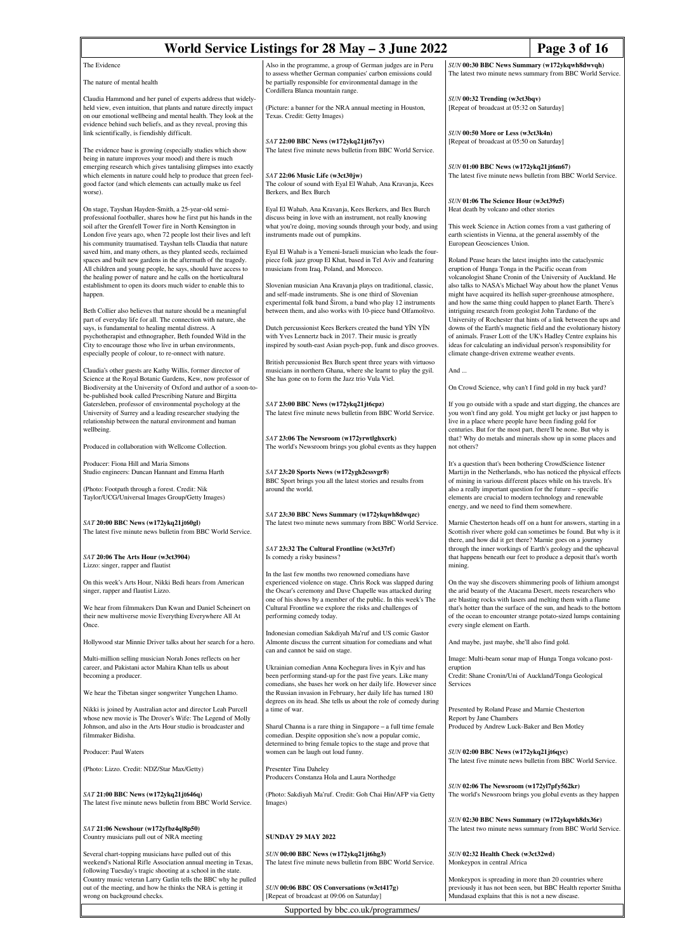| World Service Listings for 28 May – 3 June 2022<br>Page 3 of 16                                                                                                                                                                                                                                                                                                          |                                                                                                                                                                                                                                                                                                                        |                                                                                                                                                                                                                                                                                                                                                                                                                                                      |  |
|--------------------------------------------------------------------------------------------------------------------------------------------------------------------------------------------------------------------------------------------------------------------------------------------------------------------------------------------------------------------------|------------------------------------------------------------------------------------------------------------------------------------------------------------------------------------------------------------------------------------------------------------------------------------------------------------------------|------------------------------------------------------------------------------------------------------------------------------------------------------------------------------------------------------------------------------------------------------------------------------------------------------------------------------------------------------------------------------------------------------------------------------------------------------|--|
| The Evidence                                                                                                                                                                                                                                                                                                                                                             | Also in the programme, a group of German judges are in Peru                                                                                                                                                                                                                                                            | SUN 00:30 BBC News Summary (w172ykqwh8dwvqh)                                                                                                                                                                                                                                                                                                                                                                                                         |  |
| The nature of mental health                                                                                                                                                                                                                                                                                                                                              | to assess whether German companies' carbon emissions could<br>be partially responsible for environmental damage in the<br>Cordillera Blanca mountain range.                                                                                                                                                            | The latest two minute news summary from BBC World Service.                                                                                                                                                                                                                                                                                                                                                                                           |  |
| Claudia Hammond and her panel of experts address that widely-<br>held view, even intuition, that plants and nature directly impact<br>on our emotional wellbeing and mental health. They look at the<br>evidence behind such beliefs, and as they reveal, proving this                                                                                                   | (Picture: a banner for the NRA annual meeting in Houston,<br>Texas. Credit: Getty Images)                                                                                                                                                                                                                              | SUN 00:32 Trending (w3ct3bqv)<br>[Repeat of broadcast at 05:32 on Saturday]<br>SUN 00:50 More or Less (w3ct3k4n)                                                                                                                                                                                                                                                                                                                                     |  |
| link scientifically, is fiendishly difficult.<br>The evidence base is growing (especially studies which show                                                                                                                                                                                                                                                             | SAT 22:00 BBC News (w172ykq21jt67yv)<br>The latest five minute news bulletin from BBC World Service.                                                                                                                                                                                                                   | [Repeat of broadcast at 05:50 on Saturday]                                                                                                                                                                                                                                                                                                                                                                                                           |  |
| being in nature improves your mood) and there is much<br>emerging research which gives tantalising glimpses into exactly<br>which elements in nature could help to produce that green feel-<br>good factor (and which elements can actually make us feel<br>worse).                                                                                                      | SAT 22:06 Music Life (w3ct30jw)<br>The colour of sound with Eyal El Wahab, Ana Kravanja, Kees<br>Berkers, and Bex Burch                                                                                                                                                                                                | SUN 01:00 BBC News (w172ykq21jt6m67)<br>The latest five minute news bulletin from BBC World Service.                                                                                                                                                                                                                                                                                                                                                 |  |
| On stage, Tayshan Hayden-Smith, a 25-year-old semi-                                                                                                                                                                                                                                                                                                                      | Eyal El Wahab, Ana Kravanja, Kees Berkers, and Bex Burch                                                                                                                                                                                                                                                               | SUN 01:06 The Science Hour (w3ct39z5)<br>Heat death by volcano and other stories                                                                                                                                                                                                                                                                                                                                                                     |  |
| professional footballer, shares how he first put his hands in the<br>soil after the Grenfell Tower fire in North Kensington in<br>London five years ago, when 72 people lost their lives and left<br>his community traumatised. Tayshan tells Claudia that nature<br>saved him, and many others, as they planted seeds, reclaimed                                        | discuss being in love with an instrument, not really knowing<br>what you're doing, moving sounds through your body, and using<br>instruments made out of pumpkins.<br>Eyal El Wahab is a Yemeni-Israeli musician who leads the four-                                                                                   | This week Science in Action comes from a vast gathering of<br>earth scientists in Vienna, at the general assembly of the<br>European Geosciences Union.                                                                                                                                                                                                                                                                                              |  |
| spaces and built new gardens in the aftermath of the tragedy.<br>All children and young people, he says, should have access to<br>the healing power of nature and he calls on the horticultural<br>establishment to open its doors much wider to enable this to<br>happen.                                                                                               | piece folk jazz group El Khat, based in Tel Aviv and featuring<br>musicians from Iraq, Poland, and Morocco.<br>Slovenian musician Ana Kravanja plays on traditional, classic,<br>and self-made instruments. She is one third of Slovenian                                                                              | Roland Pease hears the latest insights into the cataclysmic<br>eruption of Hunga Tonga in the Pacific ocean from<br>volcanologist Shane Cronin of the University of Auckland. He<br>also talks to NASA's Michael Way about how the planet Venus<br>might have acquired its hellish super-greenhouse atmosphere,                                                                                                                                      |  |
| Beth Collier also believes that nature should be a meaningful<br>part of everyday life for all. The connection with nature, she<br>says, is fundamental to healing mental distress. A<br>psychotherapist and ethnographer, Beth founded Wild in the<br>City to encourage those who live in urban environments,<br>especially people of colour, to re-onnect with nature. | experimental folk band Širom, a band who play 12 instruments<br>between them, and also works with 10-piece band Olfamoštvo.<br>Dutch percussionist Kees Berkers created the band YIN YIN<br>with Yves Lennertz back in 2017. Their music is greatly<br>inspired by south-east Asian psych-pop, funk and disco grooves. | and how the same thing could happen to planet Earth. There's<br>intriguing research from geologist John Tarduno of the<br>University of Rochester that hints of a link between the ups and<br>downs of the Earth's magnetic field and the evolutionary history<br>of animals. Fraser Lott of the UK's Hadley Centre explains his<br>ideas for calculating an individual person's responsibility for<br>climate change-driven extreme weather events. |  |
| Claudia's other guests are Kathy Willis, former director of                                                                                                                                                                                                                                                                                                              | British percussionist Bex Burch spent three years with virtuoso<br>musicians in northern Ghana, where she learnt to play the gyil.                                                                                                                                                                                     | And                                                                                                                                                                                                                                                                                                                                                                                                                                                  |  |
| Science at the Royal Botanic Gardens, Kew, now professor of<br>Biodiversity at the University of Oxford and author of a soon-to-                                                                                                                                                                                                                                         | She has gone on to form the Jazz trio Vula Viel.                                                                                                                                                                                                                                                                       | On Crowd Science, why can't I find gold in my back yard?                                                                                                                                                                                                                                                                                                                                                                                             |  |
| be-published book called Prescribing Nature and Birgitta<br>Gatersleben, professor of environmental psychology at the<br>University of Surrey and a leading researcher studying the<br>relationship between the natural environment and human<br>wellbeing.                                                                                                              | SAT 23:00 BBC News (w172ykq21jt6cpz)<br>The latest five minute news bulletin from BBC World Service.                                                                                                                                                                                                                   | If you go outside with a spade and start digging, the chances are<br>you won't find any gold. You might get lucky or just happen to<br>live in a place where people have been finding gold for<br>centuries. But for the most part, there'll be none. But why is                                                                                                                                                                                     |  |
| Produced in collaboration with Wellcome Collection.                                                                                                                                                                                                                                                                                                                      | SAT 23:06 The Newsroom (w172yrwtlghxcrk)<br>The world's Newsroom brings you global events as they happen                                                                                                                                                                                                               | that? Why do metals and minerals show up in some places and<br>not others?                                                                                                                                                                                                                                                                                                                                                                           |  |
| Producer: Fiona Hill and Maria Simons<br>Studio engineers: Duncan Hannant and Emma Harth<br>(Photo: Footpath through a forest. Credit: Nik<br>Taylor/UCG/Universal Images Group/Getty Images)                                                                                                                                                                            | SAT 23:20 Sports News (w172ygh2cssvgr8)<br>BBC Sport brings you all the latest stories and results from<br>around the world.                                                                                                                                                                                           | It's a question that's been bothering CrowdScience listener<br>Martijn in the Netherlands, who has noticed the physical effects<br>of mining in various different places while on his travels. It's<br>also a really important question for the future – specific<br>elements are crucial to modern technology and renewable                                                                                                                         |  |
| SAT 20:00 BBC News (w172ykq21jt60gl)<br>The latest five minute news bulletin from BBC World Service.                                                                                                                                                                                                                                                                     | SAT 23:30 BBC News Summary (w172ykqwh8dwqzc)<br>The latest two minute news summary from BBC World Service.                                                                                                                                                                                                             | energy, and we need to find them somewhere.<br>Marnie Chesterton heads off on a hunt for answers, starting in a<br>Scottish river where gold can sometimes be found. But why is it<br>there, and how did it get there? Marnie goes on a journey                                                                                                                                                                                                      |  |
| $SAT$ 20:06 The Arts Hour (w3ct3904)<br>Lizzo: singer, rapper and flautist                                                                                                                                                                                                                                                                                               | SAT 23:32 The Cultural Frontline (w3ct37rf)<br>Is comedy a risky business?                                                                                                                                                                                                                                             | through the inner workings of Earth's geology and the upheaval<br>that happens beneath our feet to produce a deposit that's worth<br>mining.                                                                                                                                                                                                                                                                                                         |  |
| On this week's Arts Hour, Nikki Bedi hears from American<br>singer, rapper and flautist Lizzo.<br>We hear from filmmakers Dan Kwan and Daniel Scheinert on                                                                                                                                                                                                               | In the last few months two renowned comedians have<br>experienced violence on stage. Chris Rock was slapped during<br>the Oscar's ceremony and Dave Chapelle was attacked during<br>one of his shows by a member of the public. In this week's The<br>Cultural Frontline we explore the risks and challenges of        | On the way she discovers shimmering pools of lithium amongst<br>the arid beauty of the Atacama Desert, meets researchers who<br>are blasting rocks with lasers and melting them with a flame<br>that's hotter than the surface of the sun, and heads to the bottom                                                                                                                                                                                   |  |
| their new multiverse movie Everything Everywhere All At<br>Once.                                                                                                                                                                                                                                                                                                         | performing comedy today.                                                                                                                                                                                                                                                                                               | of the ocean to encounter strange potato-sized lumps containing<br>every single element on Earth.                                                                                                                                                                                                                                                                                                                                                    |  |
| Hollywood star Minnie Driver talks about her search for a hero.                                                                                                                                                                                                                                                                                                          | Indonesian comedian Sakdiyah Ma'ruf and US comic Gastor<br>Almonte discuss the current situation for comedians and what<br>can and cannot be said on stage.                                                                                                                                                            | And maybe, just maybe, she'll also find gold.                                                                                                                                                                                                                                                                                                                                                                                                        |  |
| Multi-million selling musician Norah Jones reflects on her<br>career, and Pakistani actor Mahira Khan tells us about<br>becoming a producer.                                                                                                                                                                                                                             | Ukrainian comedian Anna Kochegura lives in Kyiv and has<br>been performing stand-up for the past five years. Like many                                                                                                                                                                                                 | Image: Multi-beam sonar map of Hunga Tonga volcano post-<br>eruption<br>Credit: Shane Cronin/Uni of Auckland/Tonga Geological<br>Services                                                                                                                                                                                                                                                                                                            |  |
| We hear the Tibetan singer songwriter Yungchen Lhamo.                                                                                                                                                                                                                                                                                                                    | comedians, she bases her work on her daily life. However since<br>the Russian invasion in February, her daily life has turned 180<br>degrees on its head. She tells us about the role of comedy during                                                                                                                 |                                                                                                                                                                                                                                                                                                                                                                                                                                                      |  |
| Nikki is joined by Australian actor and director Leah Purcell<br>whose new movie is The Drover's Wife: The Legend of Molly<br>Johnson, and also in the Arts Hour studio is broadcaster and<br>filmmaker Bidisha.                                                                                                                                                         | a time of war.<br>Sharul Channa is a rare thing in Singapore – a full time female<br>comedian. Despite opposition she's now a popular comic,                                                                                                                                                                           | Presented by Roland Pease and Marnie Chesterton<br>Report by Jane Chambers<br>Produced by Andrew Luck-Baker and Ben Motley                                                                                                                                                                                                                                                                                                                           |  |
| Producer: Paul Waters                                                                                                                                                                                                                                                                                                                                                    | determined to bring female topics to the stage and prove that<br>women can be laugh out loud funny.                                                                                                                                                                                                                    | SUN 02:00 BBC News (w172ykq21jt6qyc)                                                                                                                                                                                                                                                                                                                                                                                                                 |  |
| (Photo: Lizzo. Credit: NDZ/Star Max/Getty)                                                                                                                                                                                                                                                                                                                               | Presenter Tina Daheley<br>Producers Constanza Hola and Laura Northedge                                                                                                                                                                                                                                                 | The latest five minute news bulletin from BBC World Service.                                                                                                                                                                                                                                                                                                                                                                                         |  |
| SAT 21:00 BBC News (w172ykq21jt646q)<br>The latest five minute news bulletin from BBC World Service.                                                                                                                                                                                                                                                                     | (Photo: Sakdiyah Ma'ruf. Credit: Goh Chai Hin/AFP via Getty<br>Images)                                                                                                                                                                                                                                                 | SUN 02:06 The Newsroom (w172yl7pfy562kr)<br>The world's Newsroom brings you global events as they happen                                                                                                                                                                                                                                                                                                                                             |  |
| SAT 21:06 Newshour (w172yfbz4ql8p50)<br>Country musicians pull out of NRA meeting                                                                                                                                                                                                                                                                                        | <b>SUNDAY 29 MAY 2022</b>                                                                                                                                                                                                                                                                                              | SUN 02:30 BBC News Summary (w172ykqwh8dx36r)<br>The latest two minute news summary from BBC World Service.                                                                                                                                                                                                                                                                                                                                           |  |
| Several chart-topping musicians have pulled out of this<br>weekend's National Rifle Association annual meeting in Texas,<br>following Tuesday's tragic shooting at a school in the state.                                                                                                                                                                                | SUN 00:00 BBC News (w172ykq21jt6hg3)<br>The latest five minute news bulletin from BBC World Service.                                                                                                                                                                                                                   | SUN 02:32 Health Check (w3ct32wd)<br>Monkeypox in central Africa                                                                                                                                                                                                                                                                                                                                                                                     |  |
| Country music veteran Larry Gatlin tells the BBC why he pulled<br>out of the meeting, and how he thinks the NRA is getting it<br>wrong on background checks.                                                                                                                                                                                                             | SUN 00:06 BBC OS Conversations (w3ct417g)<br>[Repeat of broadcast at 09:06 on Saturday]                                                                                                                                                                                                                                | Monkeypox is spreading in more than 20 countries where<br>previously it has not been seen, but BBC Health reporter Smitha<br>Mundasad explains that this is not a new disease.                                                                                                                                                                                                                                                                       |  |
|                                                                                                                                                                                                                                                                                                                                                                          | Supported by bbc.co.uk/programmes/                                                                                                                                                                                                                                                                                     |                                                                                                                                                                                                                                                                                                                                                                                                                                                      |  |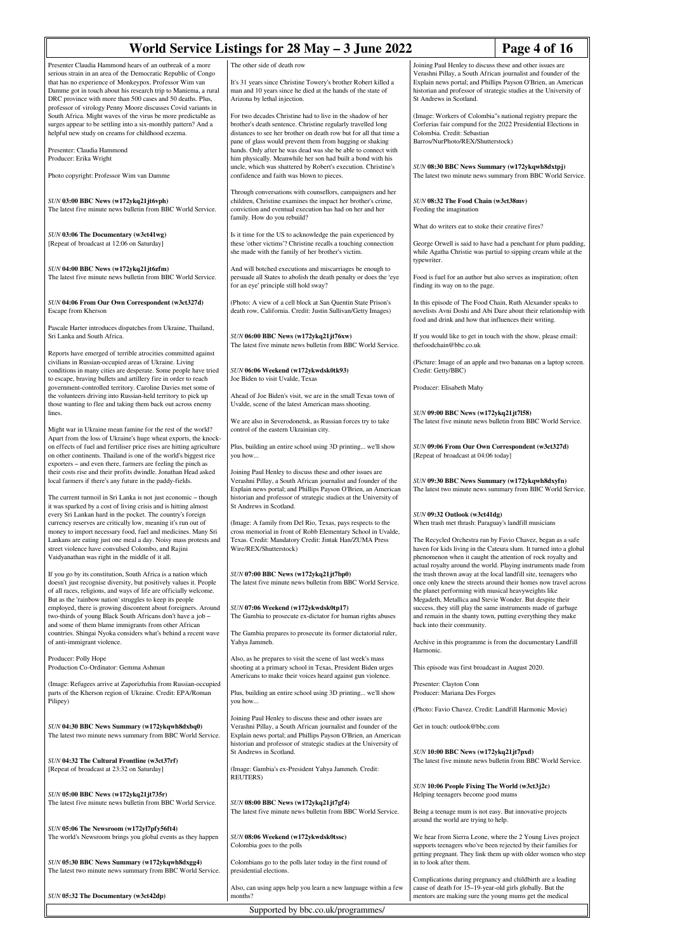| World Service Listings for 28 May - 3 June 2022<br>Page 4 of 16                                                                                                                                                                                                                                                                                                                                                                                                                                                  |                                                                                                                                                                                                                                                                                                                              |                                                                                                                                                                                                  |                                                                                                                                                                                                                                                                                                                                      |
|------------------------------------------------------------------------------------------------------------------------------------------------------------------------------------------------------------------------------------------------------------------------------------------------------------------------------------------------------------------------------------------------------------------------------------------------------------------------------------------------------------------|------------------------------------------------------------------------------------------------------------------------------------------------------------------------------------------------------------------------------------------------------------------------------------------------------------------------------|--------------------------------------------------------------------------------------------------------------------------------------------------------------------------------------------------|--------------------------------------------------------------------------------------------------------------------------------------------------------------------------------------------------------------------------------------------------------------------------------------------------------------------------------------|
| Presenter Claudia Hammond hears of an outbreak of a more<br>serious strain in an area of the Democratic Republic of Congo<br>that has no experience of Monkeypox. Professor Wim van<br>Damme got in touch about his research trip to Maniema, a rural<br>DRC province with more than 500 cases and 50 deaths. Plus,<br>professor of virology Penny Moore discusses Covid variants in                                                                                                                             | The other side of death row<br>It's 31 years since Christine Towery's brother Robert killed a<br>man and 10 years since he died at the hands of the state of<br>Arizona by lethal injection.                                                                                                                                 | Joining Paul Henley to discuss these and other issues are<br>St Andrews in Scotland.                                                                                                             | Verashni Pillay, a South African journalist and founder of the<br>Explain news portal; and Phillips Payson O'Brien, an American<br>historian and professor of strategic studies at the University of                                                                                                                                 |
| South Africa. Might waves of the virus be more predictable as<br>surges appear to be settling into a six-monthly pattern? And a<br>helpful new study on creams for childhood eczema.<br>Presenter: Claudia Hammond                                                                                                                                                                                                                                                                                               | For two decades Christine had to live in the shadow of her<br>brother's death sentence. Christine regularly travelled long<br>distances to see her brother on death row but for all that time a<br>pane of glass would prevent them from hugging or shaking<br>hands. Only after he was dead was she be able to connect with | (Image: Workers of Colombia"s national registry prepare the<br>Corferias fair compund for the 2022 Presidential Elections in<br>Colombia. Credit: Sebastian<br>Barros/NurPhoto/REX/Shutterstock) |                                                                                                                                                                                                                                                                                                                                      |
| Producer: Erika Wright<br>Photo copyright: Professor Wim van Damme                                                                                                                                                                                                                                                                                                                                                                                                                                               | him physically. Meanwhile her son had built a bond with his<br>uncle, which was shattered by Robert's execution. Christine's<br>confidence and faith was blown to pieces.                                                                                                                                                    | SUN 08:30 BBC News Summary (w172ykqwh8dxtpj)<br>The latest two minute news summary from BBC World Service.                                                                                       |                                                                                                                                                                                                                                                                                                                                      |
| SUN 03:00 BBC News (w172ykq21jt6vph)<br>The latest five minute news bulletin from BBC World Service.                                                                                                                                                                                                                                                                                                                                                                                                             | Through conversations with counsellors, campaigners and her<br>children, Christine examines the impact her brother's crime,<br>conviction and eventual execution has had on her and her<br>family. How do you rebuild?                                                                                                       | SUN 08:32 The Food Chain (w3ct38mv)<br>Feeding the imagination                                                                                                                                   |                                                                                                                                                                                                                                                                                                                                      |
| SUN 03:06 The Documentary (w3ct41wg)<br>[Repeat of broadcast at 12:06 on Saturday]                                                                                                                                                                                                                                                                                                                                                                                                                               | Is it time for the US to acknowledge the pain experienced by<br>these 'other victims'? Christine recalls a touching connection<br>she made with the family of her brother's victim.                                                                                                                                          | What do writers eat to stoke their creative fires?                                                                                                                                               | George Orwell is said to have had a penchant for plum pudding,<br>while Agatha Christie was partial to sipping cream while at the                                                                                                                                                                                                    |
| SUN 04:00 BBC News (w172ykq21jt6zfm)<br>The latest five minute news bulletin from BBC World Service.                                                                                                                                                                                                                                                                                                                                                                                                             | And will botched executions and miscarriages be enough to<br>persuade all States to abolish the death penalty or does the 'eye<br>for an eye' principle still hold sway?                                                                                                                                                     | typewriter.<br>Food is fuel for an author but also serves as inspiration; often<br>finding its way on to the page.                                                                               |                                                                                                                                                                                                                                                                                                                                      |
| SUN 04:06 From Our Own Correspondent (w3ct327d)<br>Escape from Kherson                                                                                                                                                                                                                                                                                                                                                                                                                                           | (Photo: A view of a cell block at San Quentin State Prison's<br>death row, California. Credit: Justin Sullivan/Getty Images)                                                                                                                                                                                                 | In this episode of The Food Chain, Ruth Alexander speaks to<br>novelists Avni Doshi and Abi Dare about their relationship with<br>food and drink and how that influences their writing.          |                                                                                                                                                                                                                                                                                                                                      |
| Pascale Harter introduces dispatches from Ukraine, Thailand,<br>Sri Lanka and South Africa.                                                                                                                                                                                                                                                                                                                                                                                                                      | SUN 06:00 BBC News (w172ykq21jt76xw)<br>The latest five minute news bulletin from BBC World Service.                                                                                                                                                                                                                         | thefoodchain@bbc.co.uk                                                                                                                                                                           | If you would like to get in touch with the show, please email:                                                                                                                                                                                                                                                                       |
| Reports have emerged of terrible atrocities committed against<br>civilians in Russian-occupied areas of Ukraine. Living<br>conditions in many cities are desperate. Some people have tried<br>to escape, braving bullets and artillery fire in order to reach                                                                                                                                                                                                                                                    | SUN 06:06 Weekend (w172ykwdsk0tk93)<br>Joe Biden to visit Uvalde, Texas                                                                                                                                                                                                                                                      | Credit: Getty/BBC)                                                                                                                                                                               | (Picture: Image of an apple and two bananas on a laptop screen.                                                                                                                                                                                                                                                                      |
| government-controlled territory. Caroline Davies met some of<br>the volunteers driving into Russian-held territory to pick up<br>those wanting to flee and taking them back out across enemy                                                                                                                                                                                                                                                                                                                     | Ahead of Joe Biden's visit, we are in the small Texas town of<br>Uvalde, scene of the latest American mass shooting.                                                                                                                                                                                                         | Producer: Elisabeth Mahy                                                                                                                                                                         |                                                                                                                                                                                                                                                                                                                                      |
| lines.<br>Might war in Ukraine mean famine for the rest of the world?                                                                                                                                                                                                                                                                                                                                                                                                                                            | We are also in Severodonetsk, as Russian forces try to take<br>control of the eastern Ukrainian city.                                                                                                                                                                                                                        | SUN 09:00 BBC News (w172ykq21jt7l58)<br>The latest five minute news bulletin from BBC World Service.                                                                                             |                                                                                                                                                                                                                                                                                                                                      |
| Apart from the loss of Ukraine's huge wheat exports, the knock-<br>on effects of fuel and fertiliser price rises are hitting agriculture<br>on other continents. Thailand is one of the world's biggest rice<br>exporters – and even there, farmers are feeling the pinch as                                                                                                                                                                                                                                     | Plus, building an entire school using 3D printing we'll show<br>you how                                                                                                                                                                                                                                                      | SUN 09:06 From Our Own Correspondent (w3ct327d)<br>[Repeat of broadcast at 04:06 today]                                                                                                          |                                                                                                                                                                                                                                                                                                                                      |
| their costs rise and their profits dwindle. Jonathan Head asked<br>local farmers if there's any future in the paddy-fields.<br>The current turmoil in Sri Lanka is not just economic – though<br>it was sparked by a cost of living crisis and is hitting almost                                                                                                                                                                                                                                                 | Joining Paul Henley to discuss these and other issues are<br>Verashni Pillay, a South African journalist and founder of the<br>Explain news portal; and Phillips Payson O'Brien, an American<br>historian and professor of strategic studies at the University of<br>St Andrews in Scotland.                                 | SUN 09:30 BBC News Summary (w172ykqwh8dxyfn)                                                                                                                                                     | The latest two minute news summary from BBC World Service.                                                                                                                                                                                                                                                                           |
| every Sri Lankan hard in the pocket. The country's foreign<br>currency reserves are critically low, meaning it's run out of<br>money to import necessary food, fuel and medicines. Many Sri<br>Lankans are eating just one meal a day. Noisy mass protests and<br>street violence have convulsed Colombo, and Rajini                                                                                                                                                                                             | (Image: A family from Del Rio, Texas, pays respects to the<br>cross memorial in front of Robb Elementary School in Uvalde,<br>Texas. Credit: Mandatory Credit: Jintak Han/ZUMA Press<br>Wire/REX/Shutterstock)                                                                                                               | SUN 09:32 Outlook (w3ct41dg)<br>When trash met thrash: Paraguay's landfill musicians                                                                                                             | The Recycled Orchestra run by Favio Chavez, began as a safe<br>haven for kids living in the Cateura slum. It turned into a global<br>phenomenon when it caught the attention of rock royalty and                                                                                                                                     |
| Vaidyanathan was right in the middle of it all.<br>If you go by its constitution, South Africa is a nation which<br>doesn't just recognise diversity, but positively values it. People<br>of all races, religions, and ways of life are officially welcome.<br>But as the 'rainbow nation' struggles to keep its people<br>employed, there is growing discontent about foreigners. Around<br>two-thirds of young Black South Africans don't have a job -<br>and some of them blame immigrants from other African | SUN 07:00 BBC News (w172ykq21jt7bp0)<br>The latest five minute news bulletin from BBC World Service.<br>SUN 07:06 Weekend (w172ykwdsk0tp17)<br>The Gambia to prosecute ex-dictator for human rights abuses                                                                                                                   | the planet performing with musical heavyweights like<br>Megadeth, Metallica and Stevie Wonder. But despite their<br>back into their community.                                                   | actual royalty around the world. Playing instruments made from<br>the trash thrown away at the local landfill site, teenagers who<br>once only knew the streets around their homes now travel across<br>success, they still play the same instruments made of garbage<br>and remain in the shanty town, putting everything they make |
| countries. Shingai Nyoka considers what's behind a recent wave<br>of anti-immigrant violence.                                                                                                                                                                                                                                                                                                                                                                                                                    | The Gambia prepares to prosecute its former dictatorial ruler,<br>Yahya Jammeh.                                                                                                                                                                                                                                              | Harmonic.                                                                                                                                                                                        | Archive in this programme is from the documentary Landfill                                                                                                                                                                                                                                                                           |
| Producer: Polly Hope<br>Production Co-Ordinator: Gemma Ashman                                                                                                                                                                                                                                                                                                                                                                                                                                                    | Also, as he prepares to visit the scene of last week's mass<br>shooting at a primary school in Texas, President Biden urges<br>Americans to make their voices heard against gun violence.                                                                                                                                    | This episode was first broadcast in August 2020.                                                                                                                                                 |                                                                                                                                                                                                                                                                                                                                      |
| (Image: Refugees arrive at Zaporizhzhia from Russian-occupied<br>parts of the Kherson region of Ukraine. Credit: EPA/Roman<br>Pilipey)                                                                                                                                                                                                                                                                                                                                                                           | Plus, building an entire school using 3D printing we'll show<br>you how                                                                                                                                                                                                                                                      | Presenter: Clayton Conn<br>Producer: Mariana Des Forges                                                                                                                                          |                                                                                                                                                                                                                                                                                                                                      |
| SUN 04:30 BBC News Summary (w172ykqwh8dxbq0)<br>The latest two minute news summary from BBC World Service.                                                                                                                                                                                                                                                                                                                                                                                                       | Joining Paul Henley to discuss these and other issues are<br>Verashni Pillay, a South African journalist and founder of the<br>Explain news portal; and Phillips Payson O'Brien, an American<br>historian and professor of strategic studies at the University of                                                            | (Photo: Favio Chavez. Credit: Landfill Harmonic Movie)<br>Get in touch: outlook@bbc.com                                                                                                          |                                                                                                                                                                                                                                                                                                                                      |
| SUN 04:32 The Cultural Frontline (w3ct37rf)<br>[Repeat of broadcast at 23:32 on Saturday]                                                                                                                                                                                                                                                                                                                                                                                                                        | St Andrews in Scotland.<br>(Image: Gambia's ex-President Yahya Jammeh. Credit:<br>REUTERS)                                                                                                                                                                                                                                   | SUN 10:00 BBC News (w172ykq21jt7pxd)                                                                                                                                                             | The latest five minute news bulletin from BBC World Service.                                                                                                                                                                                                                                                                         |
| SUN 05:00 BBC News (w172ykq21jt735r)<br>The latest five minute news bulletin from BBC World Service.                                                                                                                                                                                                                                                                                                                                                                                                             | SUN 08:00 BBC News (w172ykq21jt7gf4)<br>The latest five minute news bulletin from BBC World Service.                                                                                                                                                                                                                         | SUN 10:06 People Fixing The World (w3ct3j2c)<br>Helping teenagers become good mums<br>Being a teenage mum is not easy. But innovative projects                                                   |                                                                                                                                                                                                                                                                                                                                      |
| SUN 05:06 The Newsroom (w172yl7pfy56ft4)<br>The world's Newsroom brings you global events as they happen                                                                                                                                                                                                                                                                                                                                                                                                         | SUN 08:06 Weekend (w172ykwdsk0tssc)                                                                                                                                                                                                                                                                                          | around the world are trying to help.                                                                                                                                                             | We hear from Sierra Leone, where the 2 Young Lives project                                                                                                                                                                                                                                                                           |
| SUN 05:30 BBC News Summary (w172ykqwh8dxgg4)<br>The latest two minute news summary from BBC World Service.                                                                                                                                                                                                                                                                                                                                                                                                       | Colombia goes to the polls<br>Colombians go to the polls later today in the first round of<br>presidential elections.                                                                                                                                                                                                        | in to look after them.                                                                                                                                                                           | supports teenagers who've been rejected by their families for<br>getting pregnant. They link them up with older women who step                                                                                                                                                                                                       |
| SUN 05:32 The Documentary (w3ct42dp)                                                                                                                                                                                                                                                                                                                                                                                                                                                                             | Also, can using apps help you learn a new language within a few<br>months?                                                                                                                                                                                                                                                   | cause of death for 15-19-year-old girls globally. But the<br>mentors are making sure the young mums get the medical                                                                              | Complications during pregnancy and childbirth are a leading                                                                                                                                                                                                                                                                          |
|                                                                                                                                                                                                                                                                                                                                                                                                                                                                                                                  | Supported by bbc.co.uk/programmes/                                                                                                                                                                                                                                                                                           |                                                                                                                                                                                                  |                                                                                                                                                                                                                                                                                                                                      |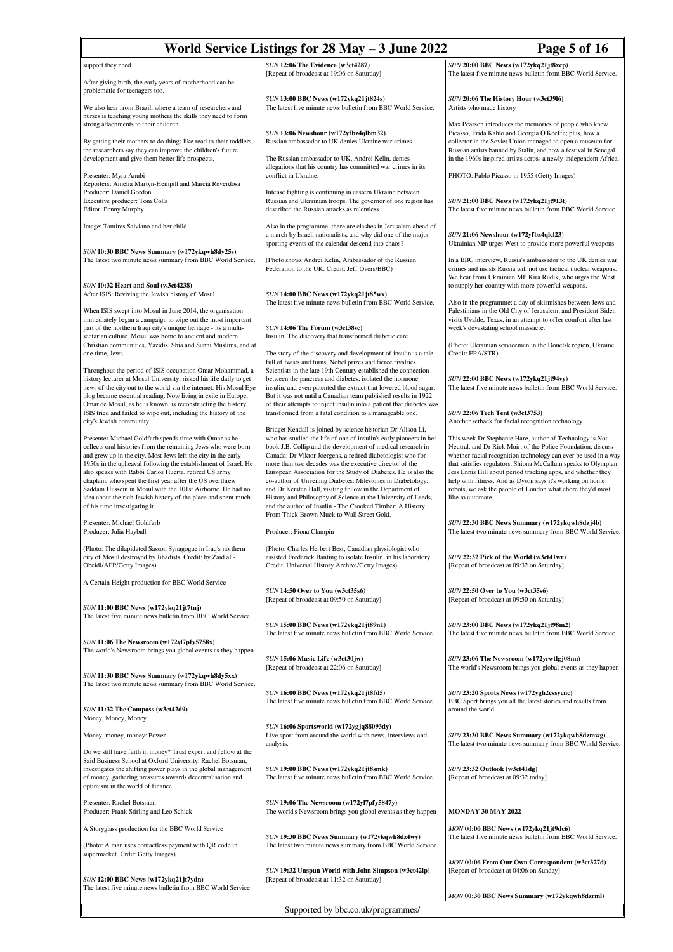| World Service Listings for 28 May - 3 June 2022<br>Page 5 of 16                                                                                                                                                                                                                                                                                                                                                                                                                                                                                    |                                                                                                                                                                                                                                                                                                                                                                                                                                                                                                                                                                                                                                                         |                                                                                                                                                                                                                                                                                                                                                                                                                                                                              |  |
|----------------------------------------------------------------------------------------------------------------------------------------------------------------------------------------------------------------------------------------------------------------------------------------------------------------------------------------------------------------------------------------------------------------------------------------------------------------------------------------------------------------------------------------------------|---------------------------------------------------------------------------------------------------------------------------------------------------------------------------------------------------------------------------------------------------------------------------------------------------------------------------------------------------------------------------------------------------------------------------------------------------------------------------------------------------------------------------------------------------------------------------------------------------------------------------------------------------------|------------------------------------------------------------------------------------------------------------------------------------------------------------------------------------------------------------------------------------------------------------------------------------------------------------------------------------------------------------------------------------------------------------------------------------------------------------------------------|--|
| support they need.                                                                                                                                                                                                                                                                                                                                                                                                                                                                                                                                 | SUN 12:06 The Evidence (w3ct4287)                                                                                                                                                                                                                                                                                                                                                                                                                                                                                                                                                                                                                       | SUN 20:00 BBC News (w172ykq21jt8xcp)                                                                                                                                                                                                                                                                                                                                                                                                                                         |  |
| After giving birth, the early years of motherhood can be                                                                                                                                                                                                                                                                                                                                                                                                                                                                                           | [Repeat of broadcast at 19:06 on Saturday]                                                                                                                                                                                                                                                                                                                                                                                                                                                                                                                                                                                                              | The latest five minute news bulletin from BBC World Service.                                                                                                                                                                                                                                                                                                                                                                                                                 |  |
| problematic for teenagers too.<br>We also hear from Brazil, where a team of researchers and                                                                                                                                                                                                                                                                                                                                                                                                                                                        | SUN 13:00 BBC News (w172ykq21jt824s)<br>The latest five minute news bulletin from BBC World Service.                                                                                                                                                                                                                                                                                                                                                                                                                                                                                                                                                    | SUN 20:06 The History Hour (w3ct3916)<br>Artists who made history                                                                                                                                                                                                                                                                                                                                                                                                            |  |
| nurses is teaching young mothers the skills they need to form<br>strong attachments to their children.                                                                                                                                                                                                                                                                                                                                                                                                                                             |                                                                                                                                                                                                                                                                                                                                                                                                                                                                                                                                                                                                                                                         | Max Pearson introduces the memories of people who knew                                                                                                                                                                                                                                                                                                                                                                                                                       |  |
| By getting their mothers to do things like read to their toddlers,<br>the researchers say they can improve the children's future                                                                                                                                                                                                                                                                                                                                                                                                                   | SUN 13:06 Newshour (w172yfbz4qlbm32)<br>Russian ambassador to UK denies Ukraine war crimes                                                                                                                                                                                                                                                                                                                                                                                                                                                                                                                                                              | Picasso, Frida Kahlo and Georgia O'Keeffe; plus, how a<br>collector in the Soviet Union managed to open a museum for<br>Russian artists banned by Stalin, and how a festival in Senegal                                                                                                                                                                                                                                                                                      |  |
| development and give them better life prospects.<br>Presenter: Myra Anubi                                                                                                                                                                                                                                                                                                                                                                                                                                                                          | The Russian ambassador to UK, Andrei Kelin, denies<br>allegations that his country has committed war crimes in its<br>conflict in Ukraine.                                                                                                                                                                                                                                                                                                                                                                                                                                                                                                              | in the 1960s inspired artists across a newly-independent Africa.<br>PHOTO: Pablo Picasso in 1955 (Getty Images)                                                                                                                                                                                                                                                                                                                                                              |  |
| Reporters: Amelia Martyn-Hempill and Marcia Reverdosa<br>Producer: Daniel Gordon                                                                                                                                                                                                                                                                                                                                                                                                                                                                   | Intense fighting is continuing in eastern Ukraine between                                                                                                                                                                                                                                                                                                                                                                                                                                                                                                                                                                                               |                                                                                                                                                                                                                                                                                                                                                                                                                                                                              |  |
| Executive producer: Tom Colls<br>Editor: Penny Murphy                                                                                                                                                                                                                                                                                                                                                                                                                                                                                              | Russian and Ukrainian troops. The governor of one region has<br>described the Russian attacks as relentless.                                                                                                                                                                                                                                                                                                                                                                                                                                                                                                                                            | SUN 21:00 BBC News (w172ykq21jt913t)<br>The latest five minute news bulletin from BBC World Service.                                                                                                                                                                                                                                                                                                                                                                         |  |
| Image: Tamires Salviano and her child                                                                                                                                                                                                                                                                                                                                                                                                                                                                                                              | Also in the programme: there are clashes in Jerusalem ahead of<br>a march by Israeli nationalists; and why did one of the major<br>sporting events of the calendar descend into chaos?                                                                                                                                                                                                                                                                                                                                                                                                                                                                  | SUN 21:06 Newshour (w172yfbz4qlcl23)                                                                                                                                                                                                                                                                                                                                                                                                                                         |  |
| SUN 10:30 BBC News Summary (w172ykqwh8dy25s)<br>The latest two minute news summary from BBC World Service.                                                                                                                                                                                                                                                                                                                                                                                                                                         | (Photo shows Andrei Kelin, Ambassador of the Russian<br>Federation to the UK. Credit: Jeff Overs/BBC)                                                                                                                                                                                                                                                                                                                                                                                                                                                                                                                                                   | Ukrainian MP urges West to provide more powerful weapons<br>In a BBC interview, Russia's ambassador to the UK denies war<br>crimes and insists Russia will not use tactical nuclear weapons.                                                                                                                                                                                                                                                                                 |  |
| SUN 10:32 Heart and Soul (w3ct4238)<br>After ISIS: Reviving the Jewish history of Mosul                                                                                                                                                                                                                                                                                                                                                                                                                                                            | SUN 14:00 BBC News (w172ykq21jt85wx)                                                                                                                                                                                                                                                                                                                                                                                                                                                                                                                                                                                                                    | We hear from Ukrainian MP Kira Rudik, who urges the West<br>to supply her country with more powerful weapons.                                                                                                                                                                                                                                                                                                                                                                |  |
| When ISIS swept into Mosul in June 2014, the organisation                                                                                                                                                                                                                                                                                                                                                                                                                                                                                          | The latest five minute news bulletin from BBC World Service.                                                                                                                                                                                                                                                                                                                                                                                                                                                                                                                                                                                            | Also in the programme: a day of skirmishes between Jews and<br>Palestinians in the Old City of Jerusalem; and President Biden<br>visits Uvalde, Texas, in an attempt to offer comfort after last<br>week's devastating school massacre.                                                                                                                                                                                                                                      |  |
| immediately began a campaign to wipe out the most important<br>part of the northern Iraqi city's unique heritage - its a multi-<br>sectarian culture. Mosul was home to ancient and modern                                                                                                                                                                                                                                                                                                                                                         | SUN 14:06 The Forum (w3ct38sc)<br>Insulin: The discovery that transformed diabetic care                                                                                                                                                                                                                                                                                                                                                                                                                                                                                                                                                                 |                                                                                                                                                                                                                                                                                                                                                                                                                                                                              |  |
| Christian communities, Yazidis, Shia and Sunni Muslims, and at<br>one time, Jews.                                                                                                                                                                                                                                                                                                                                                                                                                                                                  | The story of the discovery and development of insulin is a tale<br>full of twists and turns, Nobel prizes and fierce rivalries.                                                                                                                                                                                                                                                                                                                                                                                                                                                                                                                         | (Photo: Ukrainian servicemen in the Donetsk region, Ukraine.<br>Credit: EPA/STR)                                                                                                                                                                                                                                                                                                                                                                                             |  |
| Throughout the period of ISIS occupation Omar Mohammad, a<br>history lecturer at Mosul University, risked his life daily to get<br>news of the city out to the world via the internet. His Mosul Eye<br>blog became essential reading. Now living in exile in Europe,                                                                                                                                                                                                                                                                              | Scientists in the late 19th Century established the connection<br>between the pancreas and diabetes, isolated the hormone<br>insulin, and even patented the extract that lowered blood sugar.<br>But it was not until a Canadian team published results in 1922                                                                                                                                                                                                                                                                                                                                                                                         | SUN 22:00 BBC News (w172ykq21jt94vy)<br>The latest five minute news bulletin from BBC World Service.                                                                                                                                                                                                                                                                                                                                                                         |  |
| Omar de Mosul, as he is known, is reconstructing the history<br>ISIS tried and failed to wipe out, including the history of the<br>city's Jewish community.                                                                                                                                                                                                                                                                                                                                                                                        | of their attempts to inject insulin into a patient that diabetes was<br>transformed from a fatal condition to a manageable one.                                                                                                                                                                                                                                                                                                                                                                                                                                                                                                                         | SUN 22:06 Tech Tent (w3ct3753)<br>Another setback for facial recognition technology                                                                                                                                                                                                                                                                                                                                                                                          |  |
| Presenter Michael Goldfarb spends time with Omar as he<br>collects oral histories from the remaining Jews who were born<br>and grew up in the city. Most Jews left the city in the early<br>1950s in the upheaval following the establishment of Israel. He<br>also speaks with Rabbi Carlos Huerta, retired US army<br>chaplain, who spent the first year after the US overthrew<br>Saddam Hussein in Mosul with the 101st Airborne. He had no<br>idea about the rich Jewish history of the place and spent much<br>of his time investigating it. | Bridget Kendall is joined by science historian Dr Alison Li,<br>who has studied the life of one of insulin's early pioneers in her<br>book J.B. Collip and the development of medical research in<br>Canada; Dr Viktor Joergens, a retired diabetologist who for<br>more than two decades was the executive director of the<br>European Association for the Study of Diabetes. He is also the<br>co-author of Unveiling Diabetes: Milestones in Diabetology;<br>and Dr Kersten Hall, visiting fellow in the Department of<br>History and Philosophy of Science at the University of Leeds,<br>and the author of Insulin - The Crooked Timber: A History | This week Dr Stephanie Hare, author of Technology is Not<br>Neutral, and Dr Rick Muir, of the Police Foundation, discuss<br>whether facial recognition technology can ever be used in a way<br>that satisfies regulators. Shiona McCallum speaks to Olympian<br>Jess Ennis Hill about period tracking apps, and whether they<br>help with fitness. And as Dyson says it's working on home<br>robots, we ask the people of London what chore they'd most<br>like to automate. |  |
| Presenter: Michael Goldfarb<br>Producer: Julia Hayball                                                                                                                                                                                                                                                                                                                                                                                                                                                                                             | From Thick Brown Muck to Wall Street Gold.<br>Producer: Fiona Clampin                                                                                                                                                                                                                                                                                                                                                                                                                                                                                                                                                                                   | SUN 22:30 BBC News Summary (w172ykqwh8dzj4b)<br>The latest two minute news summary from BBC World Service.                                                                                                                                                                                                                                                                                                                                                                   |  |
| (Photo: The dilapidated Sasson Synagogue in Iraq's northern<br>city of Mosul destroyed by Jihadists. Credit: by Zaid aL-<br>Obeidi/AFP/Getty Images)                                                                                                                                                                                                                                                                                                                                                                                               | (Photo: Charles Herbert Best, Canadian physiologist who<br>assisted Frederick Banting to isolate Insulin, in his laboratory.<br>Credit: Universal History Archive/Getty Images)                                                                                                                                                                                                                                                                                                                                                                                                                                                                         | SUN 22:32 Pick of the World (w3ct41wr)<br>[Repeat of broadcast at 09:32 on Saturday]                                                                                                                                                                                                                                                                                                                                                                                         |  |
| A Certain Height production for BBC World Service                                                                                                                                                                                                                                                                                                                                                                                                                                                                                                  | SUN 14:50 Over to You (w3ct35s6)<br>[Repeat of broadcast at 09:50 on Saturday]                                                                                                                                                                                                                                                                                                                                                                                                                                                                                                                                                                          | <b>SUN 22:50 Over to You (w3ct35s6)</b><br>[Repeat of broadcast at 09:50 on Saturday]                                                                                                                                                                                                                                                                                                                                                                                        |  |
| SUN 11:00 BBC News (w172ykq21jt7tnj)<br>The latest five minute news bulletin from BBC World Service.                                                                                                                                                                                                                                                                                                                                                                                                                                               | SUN 15:00 BBC News (w172ykq21jt89n1)                                                                                                                                                                                                                                                                                                                                                                                                                                                                                                                                                                                                                    | SUN 23:00 BBC News (w172ykq21jt98m2)                                                                                                                                                                                                                                                                                                                                                                                                                                         |  |
| SUN 11:06 The Newsroom (w172yl7pfy5758x)                                                                                                                                                                                                                                                                                                                                                                                                                                                                                                           | The latest five minute news bulletin from BBC World Service.                                                                                                                                                                                                                                                                                                                                                                                                                                                                                                                                                                                            | The latest five minute news bulletin from BBC World Service.                                                                                                                                                                                                                                                                                                                                                                                                                 |  |
| The world's Newsroom brings you global events as they happen<br>SUN 11:30 BBC News Summary (w172ykqwh8dy5xx)                                                                                                                                                                                                                                                                                                                                                                                                                                       | SUN 15:06 Music Life (w3ct30jw)<br>[Repeat of broadcast at 22:06 on Saturday]                                                                                                                                                                                                                                                                                                                                                                                                                                                                                                                                                                           | SUN 23:06 The Newsroom (w172yrwtlgj08nn)<br>The world's Newsroom brings you global events as they happen                                                                                                                                                                                                                                                                                                                                                                     |  |
| The latest two minute news summary from BBC World Service.                                                                                                                                                                                                                                                                                                                                                                                                                                                                                         | SUN 16:00 BBC News (w172ykq21jt8fd5)                                                                                                                                                                                                                                                                                                                                                                                                                                                                                                                                                                                                                    | SUN 23:20 Sports News (w172ygh2cssycnc)                                                                                                                                                                                                                                                                                                                                                                                                                                      |  |
| SUN 11:32 The Compass (w3ct42d9)<br>Money, Money, Money                                                                                                                                                                                                                                                                                                                                                                                                                                                                                            | The latest five minute news bulletin from BBC World Service.                                                                                                                                                                                                                                                                                                                                                                                                                                                                                                                                                                                            | BBC Sport brings you all the latest stories and results from<br>around the world.                                                                                                                                                                                                                                                                                                                                                                                            |  |
| Money, money, money: Power                                                                                                                                                                                                                                                                                                                                                                                                                                                                                                                         | SUN 16:06 Sportsworld (w172ygjq88093dy)<br>Live sport from around the world with news, interviews and<br>analysis.                                                                                                                                                                                                                                                                                                                                                                                                                                                                                                                                      | SUN 23:30 BBC News Summary (w172ykqwh8dzmwg)<br>The latest two minute news summary from BBC World Service.                                                                                                                                                                                                                                                                                                                                                                   |  |
| Do we still have faith in money? Trust expert and fellow at the<br>Said Business School at Oxford University, Rachel Botsman,<br>investigates the shifting power plays in the global management<br>of money, gathering pressures towards decentralisation and<br>optimism in the world of finance.                                                                                                                                                                                                                                                 | SUN 19:00 BBC News (w172ykq21jt8smk)<br>The latest five minute news bulletin from BBC World Service.                                                                                                                                                                                                                                                                                                                                                                                                                                                                                                                                                    | SUN 23:32 Outlook (w3ct41dg)<br>[Repeat of broadcast at 09:32 today]                                                                                                                                                                                                                                                                                                                                                                                                         |  |
| Presenter: Rachel Botsman<br>Producer: Frank Stirling and Leo Schick                                                                                                                                                                                                                                                                                                                                                                                                                                                                               | SUN 19:06 The Newsroom (w172yl7pfy5847y)<br>The world's Newsroom brings you global events as they happen                                                                                                                                                                                                                                                                                                                                                                                                                                                                                                                                                | <b>MONDAY 30 MAY 2022</b>                                                                                                                                                                                                                                                                                                                                                                                                                                                    |  |
| A Storyglass production for the BBC World Service                                                                                                                                                                                                                                                                                                                                                                                                                                                                                                  |                                                                                                                                                                                                                                                                                                                                                                                                                                                                                                                                                                                                                                                         | MON 00:00 BBC News (w172ykq21jt9dc6)                                                                                                                                                                                                                                                                                                                                                                                                                                         |  |
| (Photo: A man uses contactless payment with QR code in<br>supermarket. Crdit: Getty Images)                                                                                                                                                                                                                                                                                                                                                                                                                                                        | SUN 19:30 BBC News Summary (w172ykqwh8dz4wy)<br>The latest two minute news summary from BBC World Service.                                                                                                                                                                                                                                                                                                                                                                                                                                                                                                                                              | The latest five minute news bulletin from BBC World Service.                                                                                                                                                                                                                                                                                                                                                                                                                 |  |
| SUN 12:00 BBC News (w172ykq21jt7ydn)<br>The latest five minute news bulletin from BBC World Service.                                                                                                                                                                                                                                                                                                                                                                                                                                               | SUN 19:32 Unspun World with John Simpson (w3ct42lp)<br>[Repeat of broadcast at 11:32 on Saturday]                                                                                                                                                                                                                                                                                                                                                                                                                                                                                                                                                       | MON 00:06 From Our Own Correspondent (w3ct327d)<br>[Repeat of broadcast at 04:06 on Sunday]                                                                                                                                                                                                                                                                                                                                                                                  |  |
|                                                                                                                                                                                                                                                                                                                                                                                                                                                                                                                                                    |                                                                                                                                                                                                                                                                                                                                                                                                                                                                                                                                                                                                                                                         | MON 00:30 BBC News Summary (w172ykqwh8dzrml)                                                                                                                                                                                                                                                                                                                                                                                                                                 |  |
| Supported by bbc.co.uk/programmes/                                                                                                                                                                                                                                                                                                                                                                                                                                                                                                                 |                                                                                                                                                                                                                                                                                                                                                                                                                                                                                                                                                                                                                                                         |                                                                                                                                                                                                                                                                                                                                                                                                                                                                              |  |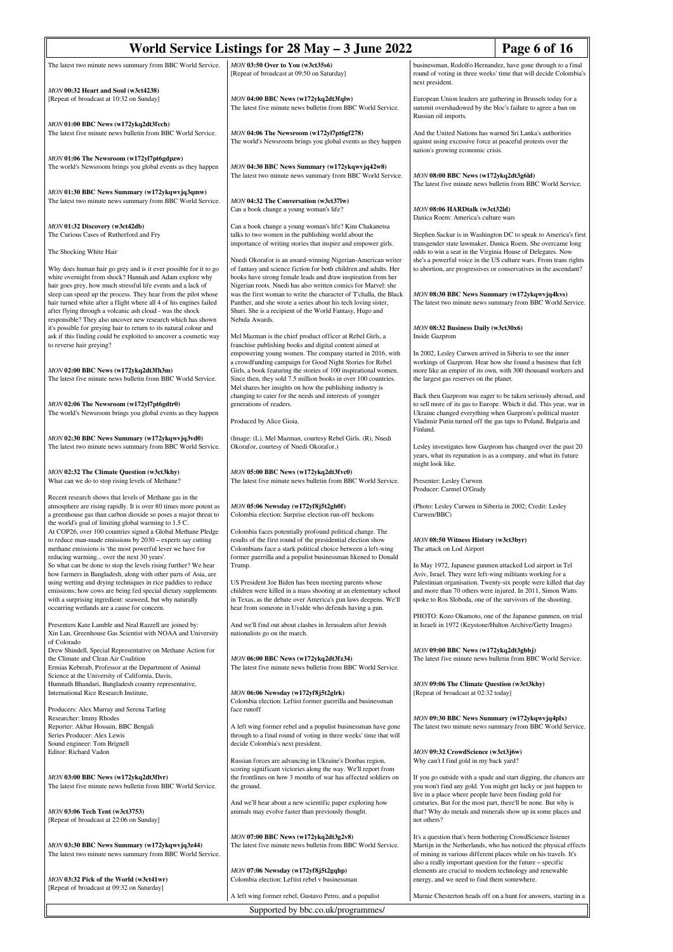| The latest two minute news summary from BBC World Service.<br>MON 03:50 Over to You (w3ct35s6)<br>businessman, Rodolfo Hernandez, have gone through to a final<br>[Repeat of broadcast at 09:50 on Saturday]<br>round of voting in three weeks' time that will decide Colombia's<br>next president.<br>MON 00:32 Heart and Soul (w3ct4238)<br>[Repeat of broadcast at 10:32 on Sunday]<br>MON 04:00 BBC News (w172ykq2dt3fqlw)<br>European Union leaders are gathering in Brussels today for a<br>The latest five minute news bulletin from BBC World Service.<br>summit overshadowed by the bloc's failure to agree a ban on<br>Russian oil imports.<br>MON 01:00 BBC News (w172ykq2dt3fcch)<br>The latest five minute news bulletin from BBC World Service.<br>MON 04:06 The Newsroom (w172yl7pt6gf278)<br>And the United Nations has warned Sri Lanka's authorities<br>The world's Newsroom brings you global events as they happen<br>against using excessive force at peaceful protests over the<br>nation's growing economic crisis.<br>MON 01:06 The Newsroom (w172yl7pt6gdpzw)<br>The world's Newsroom brings you global events as they happen<br>MON 04:30 BBC News Summary (w172ykqwvjq42w8)<br>The latest two minute news summary from BBC World Service.<br>MON 08:00 BBC News (w172ykq2dt3g6ld)<br>The latest five minute news bulletin from BBC World Service.<br>MON 01:30 BBC News Summary (w172ykqwvjq3qmw)<br>The latest two minute news summary from BBC World Service.<br>MON 04:32 The Conversation (w3ct37lw)<br>Can a book change a young woman's life?<br>MON 08:06 HARDtalk (w3ct32ld)<br>Danica Roem: America's culture wars<br>Can a book change a young woman's life? Kim Chakanetsa<br>MON 01:32 Discovery (w3ct42db)<br>The Curious Cases of Rutherford and Fry<br>talks to two women in the publishing world about the<br>Stephen Sackur is in Washington DC to speak to America's first<br>importance of writing stories that inspire and empower girls.<br>transgender state lawmaker, Danica Roem. She overcame long<br>The Shocking White Hair<br>odds to win a seat in the Virginia House of Delegates. Now<br>she's a powerful voice in the US culture wars. From trans rights<br>Nnedi Okorafor is an award-winning Nigerian-American writer<br>of fantasy and science fiction for both children and adults. Her<br>Why does human hair go grey and is it ever possible for it to go<br>to abortion, are progressives or conservatives in the ascendant?<br>white overnight from shock? Hannah and Adam explore why<br>books have strong female leads and draw inspiration from her<br>hair goes grey, how much stressful life events and a lack of<br>Nigerian roots. Nnedi has also written comics for Marvel: she<br>sleep can speed up the process. They hear from the pilot whose<br>was the first woman to write the character of T'challa, the Black<br>MON 08:30 BBC News Summary (w172ykqwvjq4kvs)<br>hair turned white after a flight where all 4 of his engines failed<br>Panther, and she wrote a series about his tech loving sister,<br>The latest two minute news summary from BBC World Service.<br>after flying through a volcanic ash cloud - was the shock<br>Shuri. She is a recipient of the World Fantasy, Hugo and<br>responsible? They also uncover new research which has shown<br>Nebula Awards.<br>it's possible for greying hair to return to its natural colour and<br>MON 08:32 Business Daily (w3ct30x6)<br>ask if this finding could be exploited to uncover a cosmetic way<br>Mel Mazman is the chief product officer at Rebel Girls, a<br>Inside Gazprom<br>to reverse hair greying?<br>franchise publishing books and digital content aimed at<br>empowering young women. The company started in 2016, with<br>In 2002, Lesley Curwen arrived in Siberia to see the inner<br>a crowdfunding campaign for Good Night Stories for Rebel<br>workings of Gazprom. Hear how she found a business that felt<br>Girls, a book featuring the stories of 100 inspirational women.<br>more like an empire of its own, with 300 thousand workers and<br>MON 02:00 BBC News (w172ykq2dt3fh3m)<br>The latest five minute news bulletin from BBC World Service.<br>Since then, they sold 7.5 million books in over 100 countries.<br>the largest gas reserves on the planet.<br>Mel shares her insights on how the publishing industry is<br>changing to cater for the needs and interests of younger<br>Back then Gazprom was eager to be taken seriously abroad, and<br>to sell more of its gas to Europe. Which it did. This year, war in<br>MON 02:06 The Newsroom (w172yl7pt6gdtr0)<br>generations of readers.<br>Ukraine changed everything when Gazprom's political master<br>The world's Newsroom brings you global events as they happen<br>Vladimir Putin turned off the gas taps to Poland, Bulgaria and<br>Produced by Alice Gioia.<br>Finland.<br>MON 02:30 BBC News Summary (w172ykqwvjq3vd0)<br>(Image: (L), Mel Mazman, courtesy Rebel Girls. (R), Nnedi |
|-------------------------------------------------------------------------------------------------------------------------------------------------------------------------------------------------------------------------------------------------------------------------------------------------------------------------------------------------------------------------------------------------------------------------------------------------------------------------------------------------------------------------------------------------------------------------------------------------------------------------------------------------------------------------------------------------------------------------------------------------------------------------------------------------------------------------------------------------------------------------------------------------------------------------------------------------------------------------------------------------------------------------------------------------------------------------------------------------------------------------------------------------------------------------------------------------------------------------------------------------------------------------------------------------------------------------------------------------------------------------------------------------------------------------------------------------------------------------------------------------------------------------------------------------------------------------------------------------------------------------------------------------------------------------------------------------------------------------------------------------------------------------------------------------------------------------------------------------------------------------------------------------------------------------------------------------------------------------------------------------------------------------------------------------------------------------------------------------------------------------------------------------------------------------------------------------------------------------------------------------------------------------------------------------------------------------------------------------------------------------------------------------------------------------------------------------------------------------------------------------------------------------------------------------------------------------------------------------------------------------------------------------------------------------------------------------------------------------------------------------------------------------------------------------------------------------------------------------------------------------------------------------------------------------------------------------------------------------------------------------------------------------------------------------------------------------------------------------------------------------------------------------------------------------------------------------------------------------------------------------------------------------------------------------------------------------------------------------------------------------------------------------------------------------------------------------------------------------------------------------------------------------------------------------------------------------------------------------------------------------------------------------------------------------------------------------------------------------------------------------------------------------------------------------------------------------------------------------------------------------------------------------------------------------------------------------------------------------------------------------------------------------------------------------------------------------------------------------------------------------------------------------------------------------------------------------------------------------------------------------------------------------------------------------------------------------------------------------------------------------------------------------------------------------------------------------------------------------------------------------------------------------------------------------------------------------------------------------------------------------------------------------------------------------------------------------------------------------------------------------------------------------------------------------------------------------------------------------------------------------------------------------------------------------------------------------------------------------------------------------------------------------------------|
|                                                                                                                                                                                                                                                                                                                                                                                                                                                                                                                                                                                                                                                                                                                                                                                                                                                                                                                                                                                                                                                                                                                                                                                                                                                                                                                                                                                                                                                                                                                                                                                                                                                                                                                                                                                                                                                                                                                                                                                                                                                                                                                                                                                                                                                                                                                                                                                                                                                                                                                                                                                                                                                                                                                                                                                                                                                                                                                                                                                                                                                                                                                                                                                                                                                                                                                                                                                                                                                                                                                                                                                                                                                                                                                                                                                                                                                                                                                                                                                                                                                                                                                                                                                                                                                                                                                                                                                                                                                                                                                                                                                                                                                                                                                                                                                                                                                                                                                                                                                                                                     |
|                                                                                                                                                                                                                                                                                                                                                                                                                                                                                                                                                                                                                                                                                                                                                                                                                                                                                                                                                                                                                                                                                                                                                                                                                                                                                                                                                                                                                                                                                                                                                                                                                                                                                                                                                                                                                                                                                                                                                                                                                                                                                                                                                                                                                                                                                                                                                                                                                                                                                                                                                                                                                                                                                                                                                                                                                                                                                                                                                                                                                                                                                                                                                                                                                                                                                                                                                                                                                                                                                                                                                                                                                                                                                                                                                                                                                                                                                                                                                                                                                                                                                                                                                                                                                                                                                                                                                                                                                                                                                                                                                                                                                                                                                                                                                                                                                                                                                                                                                                                                                                     |
|                                                                                                                                                                                                                                                                                                                                                                                                                                                                                                                                                                                                                                                                                                                                                                                                                                                                                                                                                                                                                                                                                                                                                                                                                                                                                                                                                                                                                                                                                                                                                                                                                                                                                                                                                                                                                                                                                                                                                                                                                                                                                                                                                                                                                                                                                                                                                                                                                                                                                                                                                                                                                                                                                                                                                                                                                                                                                                                                                                                                                                                                                                                                                                                                                                                                                                                                                                                                                                                                                                                                                                                                                                                                                                                                                                                                                                                                                                                                                                                                                                                                                                                                                                                                                                                                                                                                                                                                                                                                                                                                                                                                                                                                                                                                                                                                                                                                                                                                                                                                                                     |
|                                                                                                                                                                                                                                                                                                                                                                                                                                                                                                                                                                                                                                                                                                                                                                                                                                                                                                                                                                                                                                                                                                                                                                                                                                                                                                                                                                                                                                                                                                                                                                                                                                                                                                                                                                                                                                                                                                                                                                                                                                                                                                                                                                                                                                                                                                                                                                                                                                                                                                                                                                                                                                                                                                                                                                                                                                                                                                                                                                                                                                                                                                                                                                                                                                                                                                                                                                                                                                                                                                                                                                                                                                                                                                                                                                                                                                                                                                                                                                                                                                                                                                                                                                                                                                                                                                                                                                                                                                                                                                                                                                                                                                                                                                                                                                                                                                                                                                                                                                                                                                     |
|                                                                                                                                                                                                                                                                                                                                                                                                                                                                                                                                                                                                                                                                                                                                                                                                                                                                                                                                                                                                                                                                                                                                                                                                                                                                                                                                                                                                                                                                                                                                                                                                                                                                                                                                                                                                                                                                                                                                                                                                                                                                                                                                                                                                                                                                                                                                                                                                                                                                                                                                                                                                                                                                                                                                                                                                                                                                                                                                                                                                                                                                                                                                                                                                                                                                                                                                                                                                                                                                                                                                                                                                                                                                                                                                                                                                                                                                                                                                                                                                                                                                                                                                                                                                                                                                                                                                                                                                                                                                                                                                                                                                                                                                                                                                                                                                                                                                                                                                                                                                                                     |
|                                                                                                                                                                                                                                                                                                                                                                                                                                                                                                                                                                                                                                                                                                                                                                                                                                                                                                                                                                                                                                                                                                                                                                                                                                                                                                                                                                                                                                                                                                                                                                                                                                                                                                                                                                                                                                                                                                                                                                                                                                                                                                                                                                                                                                                                                                                                                                                                                                                                                                                                                                                                                                                                                                                                                                                                                                                                                                                                                                                                                                                                                                                                                                                                                                                                                                                                                                                                                                                                                                                                                                                                                                                                                                                                                                                                                                                                                                                                                                                                                                                                                                                                                                                                                                                                                                                                                                                                                                                                                                                                                                                                                                                                                                                                                                                                                                                                                                                                                                                                                                     |
|                                                                                                                                                                                                                                                                                                                                                                                                                                                                                                                                                                                                                                                                                                                                                                                                                                                                                                                                                                                                                                                                                                                                                                                                                                                                                                                                                                                                                                                                                                                                                                                                                                                                                                                                                                                                                                                                                                                                                                                                                                                                                                                                                                                                                                                                                                                                                                                                                                                                                                                                                                                                                                                                                                                                                                                                                                                                                                                                                                                                                                                                                                                                                                                                                                                                                                                                                                                                                                                                                                                                                                                                                                                                                                                                                                                                                                                                                                                                                                                                                                                                                                                                                                                                                                                                                                                                                                                                                                                                                                                                                                                                                                                                                                                                                                                                                                                                                                                                                                                                                                     |
|                                                                                                                                                                                                                                                                                                                                                                                                                                                                                                                                                                                                                                                                                                                                                                                                                                                                                                                                                                                                                                                                                                                                                                                                                                                                                                                                                                                                                                                                                                                                                                                                                                                                                                                                                                                                                                                                                                                                                                                                                                                                                                                                                                                                                                                                                                                                                                                                                                                                                                                                                                                                                                                                                                                                                                                                                                                                                                                                                                                                                                                                                                                                                                                                                                                                                                                                                                                                                                                                                                                                                                                                                                                                                                                                                                                                                                                                                                                                                                                                                                                                                                                                                                                                                                                                                                                                                                                                                                                                                                                                                                                                                                                                                                                                                                                                                                                                                                                                                                                                                                     |
|                                                                                                                                                                                                                                                                                                                                                                                                                                                                                                                                                                                                                                                                                                                                                                                                                                                                                                                                                                                                                                                                                                                                                                                                                                                                                                                                                                                                                                                                                                                                                                                                                                                                                                                                                                                                                                                                                                                                                                                                                                                                                                                                                                                                                                                                                                                                                                                                                                                                                                                                                                                                                                                                                                                                                                                                                                                                                                                                                                                                                                                                                                                                                                                                                                                                                                                                                                                                                                                                                                                                                                                                                                                                                                                                                                                                                                                                                                                                                                                                                                                                                                                                                                                                                                                                                                                                                                                                                                                                                                                                                                                                                                                                                                                                                                                                                                                                                                                                                                                                                                     |
|                                                                                                                                                                                                                                                                                                                                                                                                                                                                                                                                                                                                                                                                                                                                                                                                                                                                                                                                                                                                                                                                                                                                                                                                                                                                                                                                                                                                                                                                                                                                                                                                                                                                                                                                                                                                                                                                                                                                                                                                                                                                                                                                                                                                                                                                                                                                                                                                                                                                                                                                                                                                                                                                                                                                                                                                                                                                                                                                                                                                                                                                                                                                                                                                                                                                                                                                                                                                                                                                                                                                                                                                                                                                                                                                                                                                                                                                                                                                                                                                                                                                                                                                                                                                                                                                                                                                                                                                                                                                                                                                                                                                                                                                                                                                                                                                                                                                                                                                                                                                                                     |
|                                                                                                                                                                                                                                                                                                                                                                                                                                                                                                                                                                                                                                                                                                                                                                                                                                                                                                                                                                                                                                                                                                                                                                                                                                                                                                                                                                                                                                                                                                                                                                                                                                                                                                                                                                                                                                                                                                                                                                                                                                                                                                                                                                                                                                                                                                                                                                                                                                                                                                                                                                                                                                                                                                                                                                                                                                                                                                                                                                                                                                                                                                                                                                                                                                                                                                                                                                                                                                                                                                                                                                                                                                                                                                                                                                                                                                                                                                                                                                                                                                                                                                                                                                                                                                                                                                                                                                                                                                                                                                                                                                                                                                                                                                                                                                                                                                                                                                                                                                                                                                     |
| The latest two minute news summary from BBC World Service.<br>Lesley investigates how Gazprom has changed over the past 20<br>Okorafor, courtesy of Nnedi Okorafor.)<br>years, what its reputation is as a company, and what its future<br>might look like.                                                                                                                                                                                                                                                                                                                                                                                                                                                                                                                                                                                                                                                                                                                                                                                                                                                                                                                                                                                                                                                                                                                                                                                                                                                                                                                                                                                                                                                                                                                                                                                                                                                                                                                                                                                                                                                                                                                                                                                                                                                                                                                                                                                                                                                                                                                                                                                                                                                                                                                                                                                                                                                                                                                                                                                                                                                                                                                                                                                                                                                                                                                                                                                                                                                                                                                                                                                                                                                                                                                                                                                                                                                                                                                                                                                                                                                                                                                                                                                                                                                                                                                                                                                                                                                                                                                                                                                                                                                                                                                                                                                                                                                                                                                                                                         |
| MON 05:00 BBC News (w172ykq2dt3fvc0)<br>MON 02:32 The Climate Question (w3ct3khy)<br>What can we do to stop rising levels of Methane?<br>The latest five minute news bulletin from BBC World Service.<br>Presenter: Lesley Curwen<br>Producer: Carmel O'Grady                                                                                                                                                                                                                                                                                                                                                                                                                                                                                                                                                                                                                                                                                                                                                                                                                                                                                                                                                                                                                                                                                                                                                                                                                                                                                                                                                                                                                                                                                                                                                                                                                                                                                                                                                                                                                                                                                                                                                                                                                                                                                                                                                                                                                                                                                                                                                                                                                                                                                                                                                                                                                                                                                                                                                                                                                                                                                                                                                                                                                                                                                                                                                                                                                                                                                                                                                                                                                                                                                                                                                                                                                                                                                                                                                                                                                                                                                                                                                                                                                                                                                                                                                                                                                                                                                                                                                                                                                                                                                                                                                                                                                                                                                                                                                                       |
| Recent research shows that levels of Methane gas in the<br>(Photo: Lesley Curwen in Siberia in 2002; Credit: Lesley<br>atmosphere are rising rapidly. It is over 80 times more potent as<br>MON 05:06 Newsday (w172yf8j5t2gh0f)<br>a greenhouse gas than carbon dioxide so poses a major threat to<br>Curwen/BBC)<br>Colombia election: Surprise election run-off beckons<br>the world's goal of limiting global warming to 1.5 C.                                                                                                                                                                                                                                                                                                                                                                                                                                                                                                                                                                                                                                                                                                                                                                                                                                                                                                                                                                                                                                                                                                                                                                                                                                                                                                                                                                                                                                                                                                                                                                                                                                                                                                                                                                                                                                                                                                                                                                                                                                                                                                                                                                                                                                                                                                                                                                                                                                                                                                                                                                                                                                                                                                                                                                                                                                                                                                                                                                                                                                                                                                                                                                                                                                                                                                                                                                                                                                                                                                                                                                                                                                                                                                                                                                                                                                                                                                                                                                                                                                                                                                                                                                                                                                                                                                                                                                                                                                                                                                                                                                                                  |
| At COP26, over 100 countries signed a Global Methane Pledge<br>Colombia faces potentially profound political change. The<br>to reduce man-made emissions by 2030 - experts say cutting<br>results of the first round of the presidential election show<br>MON 08:50 Witness History (w3ct3byr)<br>methane emissions is 'the most powerful lever we have for<br>Colombians face a stark political choice between a left-wing<br>The attack on Lod Airport<br>former guerrilla and a populist businessman likened to Donald<br>reducing warming over the next 30 years'.                                                                                                                                                                                                                                                                                                                                                                                                                                                                                                                                                                                                                                                                                                                                                                                                                                                                                                                                                                                                                                                                                                                                                                                                                                                                                                                                                                                                                                                                                                                                                                                                                                                                                                                                                                                                                                                                                                                                                                                                                                                                                                                                                                                                                                                                                                                                                                                                                                                                                                                                                                                                                                                                                                                                                                                                                                                                                                                                                                                                                                                                                                                                                                                                                                                                                                                                                                                                                                                                                                                                                                                                                                                                                                                                                                                                                                                                                                                                                                                                                                                                                                                                                                                                                                                                                                                                                                                                                                                              |
| So what can be done to stop the levels rising further? We hear<br>Trump.<br>In May 1972, Japanese gunmen attacked Lod airport in Tel<br>how farmers in Bangladesh, along with other parts of Asia, are<br>Aviv, Israel. They were left-wing militants working for a<br>using wetting and drying techniques in rice paddies to reduce<br>Palestinian organisation. Twenty-six people were killed that day<br>US President Joe Biden has been meeting parents whose<br>emissions; how cows are being fed special dietary supplements<br>children were killed in a mass shooting at an elementary school<br>and more than 70 others were injured. In 2011, Simon Watts<br>with a surprising ingredient: seaweed, but why naturally<br>in Texas, as the debate over America's gun laws deepens. We'll<br>spoke to Ros Sloboda, one of the survivors of the shooting.                                                                                                                                                                                                                                                                                                                                                                                                                                                                                                                                                                                                                                                                                                                                                                                                                                                                                                                                                                                                                                                                                                                                                                                                                                                                                                                                                                                                                                                                                                                                                                                                                                                                                                                                                                                                                                                                                                                                                                                                                                                                                                                                                                                                                                                                                                                                                                                                                                                                                                                                                                                                                                                                                                                                                                                                                                                                                                                                                                                                                                                                                                                                                                                                                                                                                                                                                                                                                                                                                                                                                                                                                                                                                                                                                                                                                                                                                                                                                                                                                                                                                                                                                                    |
| occurring wetlands are a cause for concern.<br>hear from someone in Uvalde who defends having a gun.<br>PHOTO: Kozo Okamoto, one of the Japanese gunmen, on trial<br>Presenters Kate Lamble and Neal Razzell are joined by:<br>And we'll find out about clashes in Jerusalem after Jewish<br>in Israeli in 1972 (Keystone/Hulton Archive/Getty Images)<br>Xin Lan, Greenhouse Gas Scientist with NOAA and University<br>nationalists go on the march.                                                                                                                                                                                                                                                                                                                                                                                                                                                                                                                                                                                                                                                                                                                                                                                                                                                                                                                                                                                                                                                                                                                                                                                                                                                                                                                                                                                                                                                                                                                                                                                                                                                                                                                                                                                                                                                                                                                                                                                                                                                                                                                                                                                                                                                                                                                                                                                                                                                                                                                                                                                                                                                                                                                                                                                                                                                                                                                                                                                                                                                                                                                                                                                                                                                                                                                                                                                                                                                                                                                                                                                                                                                                                                                                                                                                                                                                                                                                                                                                                                                                                                                                                                                                                                                                                                                                                                                                                                                                                                                                                                               |
| of Colorado<br>Drew Shindell, Special Representative on Methane Action for<br>MON 09:00 BBC News (w172ykq2dt3gbbj)<br>The latest five minute news bulletin from BBC World Service.<br>the Climate and Clean Air Coalition<br>MON 06:00 BBC News (w172ykq2dt3fz34)<br>Ermias Kebreab, Professor at the Department of Animal<br>The latest five minute news bulletin from BBC World Service.<br>Science at the University of California, Davis,                                                                                                                                                                                                                                                                                                                                                                                                                                                                                                                                                                                                                                                                                                                                                                                                                                                                                                                                                                                                                                                                                                                                                                                                                                                                                                                                                                                                                                                                                                                                                                                                                                                                                                                                                                                                                                                                                                                                                                                                                                                                                                                                                                                                                                                                                                                                                                                                                                                                                                                                                                                                                                                                                                                                                                                                                                                                                                                                                                                                                                                                                                                                                                                                                                                                                                                                                                                                                                                                                                                                                                                                                                                                                                                                                                                                                                                                                                                                                                                                                                                                                                                                                                                                                                                                                                                                                                                                                                                                                                                                                                                       |
| Humnath Bhandari, Bangladesh country representative,<br>MON 09:06 The Climate Question (w3ct3khy)<br>International Rice Research Institute,<br>MON 06:06 Newsday (w172yf8j5t2glrk)<br>[Repeat of broadcast at 02:32 today]<br>Colombia election: Leftist former guerrilla and businessman                                                                                                                                                                                                                                                                                                                                                                                                                                                                                                                                                                                                                                                                                                                                                                                                                                                                                                                                                                                                                                                                                                                                                                                                                                                                                                                                                                                                                                                                                                                                                                                                                                                                                                                                                                                                                                                                                                                                                                                                                                                                                                                                                                                                                                                                                                                                                                                                                                                                                                                                                                                                                                                                                                                                                                                                                                                                                                                                                                                                                                                                                                                                                                                                                                                                                                                                                                                                                                                                                                                                                                                                                                                                                                                                                                                                                                                                                                                                                                                                                                                                                                                                                                                                                                                                                                                                                                                                                                                                                                                                                                                                                                                                                                                                           |
| Producers: Alex Murray and Serena Tarling<br>face runoff<br>Researcher: Immy Rhodes<br>MON 09:30 BBC News Summary (w172ykqwvjq4plx)<br>A left wing former rebel and a populist businessman have gone<br>Reporter: Akbar Hossain, BBC Bengali<br>The latest two minute news summary from BBC World Service.<br>Series Producer: Alex Lewis<br>through to a final round of voting in three weeks' time that will<br>Sound engineer: Tom Brignell<br>decide Colombia's next president.                                                                                                                                                                                                                                                                                                                                                                                                                                                                                                                                                                                                                                                                                                                                                                                                                                                                                                                                                                                                                                                                                                                                                                                                                                                                                                                                                                                                                                                                                                                                                                                                                                                                                                                                                                                                                                                                                                                                                                                                                                                                                                                                                                                                                                                                                                                                                                                                                                                                                                                                                                                                                                                                                                                                                                                                                                                                                                                                                                                                                                                                                                                                                                                                                                                                                                                                                                                                                                                                                                                                                                                                                                                                                                                                                                                                                                                                                                                                                                                                                                                                                                                                                                                                                                                                                                                                                                                                                                                                                                                                                 |
| Editor: Richard Vadon<br>MON 09:32 CrowdScience (w3ct3j6w)<br>Russian forces are advancing in Ukraine's Donbas region,<br>Why can't I find gold in my back yard?<br>scoring significant victories along the way. We'll report from                                                                                                                                                                                                                                                                                                                                                                                                                                                                                                                                                                                                                                                                                                                                                                                                                                                                                                                                                                                                                                                                                                                                                                                                                                                                                                                                                                                                                                                                                                                                                                                                                                                                                                                                                                                                                                                                                                                                                                                                                                                                                                                                                                                                                                                                                                                                                                                                                                                                                                                                                                                                                                                                                                                                                                                                                                                                                                                                                                                                                                                                                                                                                                                                                                                                                                                                                                                                                                                                                                                                                                                                                                                                                                                                                                                                                                                                                                                                                                                                                                                                                                                                                                                                                                                                                                                                                                                                                                                                                                                                                                                                                                                                                                                                                                                                  |
| MON 03:00 BBC News (w172ykq2dt3flvr)<br>the frontlines on how 3 months of war has affected soldiers on<br>If you go outside with a spade and start digging, the chances are<br>The latest five minute news bulletin from BBC World Service.<br>you won't find any gold. You might get lucky or just happen to<br>the ground.<br>live in a place where people have been finding gold for<br>centuries. But for the most part, there'll be none. But why is<br>And we'll hear about a new scientific paper exploring how                                                                                                                                                                                                                                                                                                                                                                                                                                                                                                                                                                                                                                                                                                                                                                                                                                                                                                                                                                                                                                                                                                                                                                                                                                                                                                                                                                                                                                                                                                                                                                                                                                                                                                                                                                                                                                                                                                                                                                                                                                                                                                                                                                                                                                                                                                                                                                                                                                                                                                                                                                                                                                                                                                                                                                                                                                                                                                                                                                                                                                                                                                                                                                                                                                                                                                                                                                                                                                                                                                                                                                                                                                                                                                                                                                                                                                                                                                                                                                                                                                                                                                                                                                                                                                                                                                                                                                                                                                                                                                              |
| that? Why do metals and minerals show up in some places and<br>MON 03:06 Tech Tent (w3ct3753)<br>animals may evolve faster than previously thought.<br>not others?<br>[Repeat of broadcast at 22:06 on Sunday]                                                                                                                                                                                                                                                                                                                                                                                                                                                                                                                                                                                                                                                                                                                                                                                                                                                                                                                                                                                                                                                                                                                                                                                                                                                                                                                                                                                                                                                                                                                                                                                                                                                                                                                                                                                                                                                                                                                                                                                                                                                                                                                                                                                                                                                                                                                                                                                                                                                                                                                                                                                                                                                                                                                                                                                                                                                                                                                                                                                                                                                                                                                                                                                                                                                                                                                                                                                                                                                                                                                                                                                                                                                                                                                                                                                                                                                                                                                                                                                                                                                                                                                                                                                                                                                                                                                                                                                                                                                                                                                                                                                                                                                                                                                                                                                                                      |
| MON 07:00 BBC News (w172ykq2dt3g2v8)<br>It's a question that's been bothering CrowdScience listener<br>MON 03:30 BBC News Summary (w172ykqwvjq3z44)<br>The latest five minute news bulletin from BBC World Service.<br>Marti jn in the Netherlands, who has noticed the physical effects<br>The latest two minute news summary from BBC World Service.<br>of mining in various different places while on his travels. It's<br>also a really important question for the future - specific<br>elements are crucial to modern technology and renewable<br>MON 07:06 Newsday (w172yf8j5t2gqhp)                                                                                                                                                                                                                                                                                                                                                                                                                                                                                                                                                                                                                                                                                                                                                                                                                                                                                                                                                                                                                                                                                                                                                                                                                                                                                                                                                                                                                                                                                                                                                                                                                                                                                                                                                                                                                                                                                                                                                                                                                                                                                                                                                                                                                                                                                                                                                                                                                                                                                                                                                                                                                                                                                                                                                                                                                                                                                                                                                                                                                                                                                                                                                                                                                                                                                                                                                                                                                                                                                                                                                                                                                                                                                                                                                                                                                                                                                                                                                                                                                                                                                                                                                                                                                                                                                                                                                                                                                                          |
| MON 03:32 Pick of the World (w3ct41wr)<br>Colombia election: Leftist rebel v businessman<br>energy, and we need to find them somewhere.<br>[Repeat of broadcast at 09:32 on Saturday]<br>A left wing former rebel, Gustavo Petro, and a populist<br>Marnie Chesterton heads off on a hunt for answers, starting in a                                                                                                                                                                                                                                                                                                                                                                                                                                                                                                                                                                                                                                                                                                                                                                                                                                                                                                                                                                                                                                                                                                                                                                                                                                                                                                                                                                                                                                                                                                                                                                                                                                                                                                                                                                                                                                                                                                                                                                                                                                                                                                                                                                                                                                                                                                                                                                                                                                                                                                                                                                                                                                                                                                                                                                                                                                                                                                                                                                                                                                                                                                                                                                                                                                                                                                                                                                                                                                                                                                                                                                                                                                                                                                                                                                                                                                                                                                                                                                                                                                                                                                                                                                                                                                                                                                                                                                                                                                                                                                                                                                                                                                                                                                                |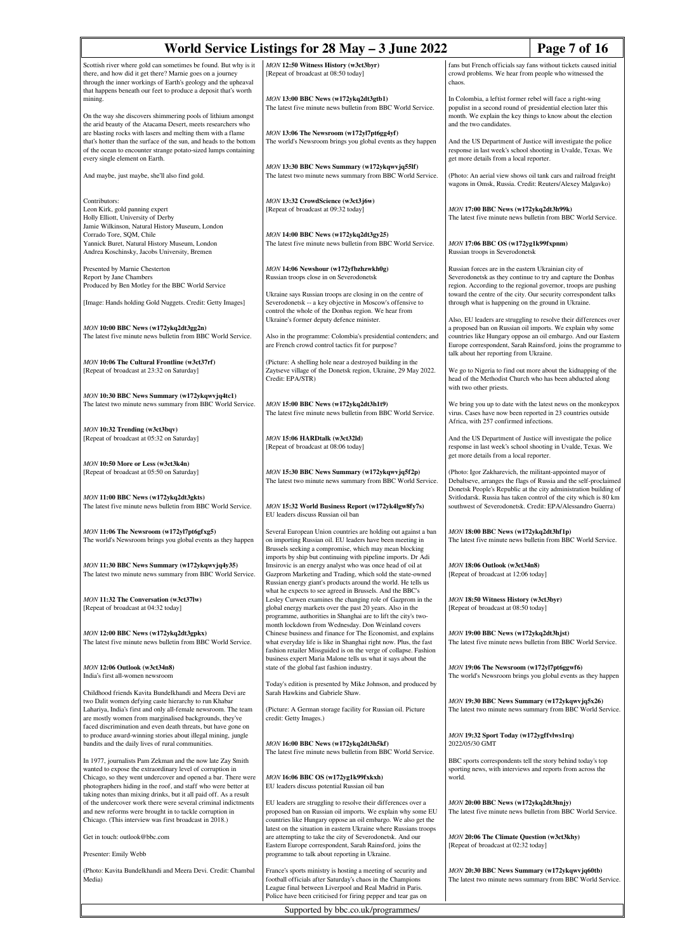| World Service Listings for $28$ May $-3$ June $2022$<br>Page 7 of 16                                                                                                                                                                                                                                    |                                                                                                                                                                                                                                                                      |                                                                                                                                                                                                                                                                                                                                                                                                   |  |
|---------------------------------------------------------------------------------------------------------------------------------------------------------------------------------------------------------------------------------------------------------------------------------------------------------|----------------------------------------------------------------------------------------------------------------------------------------------------------------------------------------------------------------------------------------------------------------------|---------------------------------------------------------------------------------------------------------------------------------------------------------------------------------------------------------------------------------------------------------------------------------------------------------------------------------------------------------------------------------------------------|--|
| Scottish river where gold can sometimes be found. But why is it<br>there, and how did it get there? Marnie goes on a journey<br>through the inner workings of Earth's geology and the upheaval<br>that happens beneath our feet to produce a deposit that's worth                                       | MON 12:50 Witness History (w3ct3byr)<br>[Repeat of broadcast at 08:50 today]                                                                                                                                                                                         | fans but French officials say fans without tickets caused initial<br>crowd problems. We hear from people who witnessed the<br>chaos.                                                                                                                                                                                                                                                              |  |
| mining.<br>On the way she discovers shimmering pools of lithium amongst                                                                                                                                                                                                                                 | MON 13:00 BBC News (w172ykq2dt3gtb1)<br>The latest five minute news bulletin from BBC World Service.                                                                                                                                                                 | In Colombia, a leftist former rebel will face a right-wing<br>populist in a second round of presidential election later this<br>month. We explain the key things to know about the election<br>and the two candidates.<br>And the US Department of Justice will investigate the police<br>response in last week's school shooting in Uvalde, Texas. We<br>get more details from a local reporter. |  |
| the arid beauty of the Atacama Desert, meets researchers who<br>are blasting rocks with lasers and melting them with a flame<br>that's hotter than the surface of the sun, and heads to the bottom<br>of the ocean to encounter strange potato-sized lumps containing<br>every single element on Earth. | MON 13:06 The Newsroom (w172yl7pt6gg4yf)<br>The world's Newsroom brings you global events as they happen                                                                                                                                                             |                                                                                                                                                                                                                                                                                                                                                                                                   |  |
| And maybe, just maybe, she'll also find gold.                                                                                                                                                                                                                                                           | MON 13:30 BBC News Summary (w172ykqwvjq55lf)<br>The latest two minute news summary from BBC World Service.                                                                                                                                                           | (Photo: An aerial view shows oil tank cars and railroad freight)<br>wagons in Omsk, Russia. Credit: Reuters/Alexey Malgavko)                                                                                                                                                                                                                                                                      |  |
| Contributors:<br>Leon Kirk, gold panning expert<br>Holly Elliott, University of Derby<br>Jamie Wilkinson, Natural History Museum, London                                                                                                                                                                | MON 13:32 CrowdScience (w3ct3j6w)<br>[Repeat of broadcast at 09:32 today]                                                                                                                                                                                            | MON 17:00 BBC News (w172ykq2dt3h99k)<br>The latest five minute news bulletin from BBC World Service.                                                                                                                                                                                                                                                                                              |  |
| Corrado Tore, SQM, Chile<br>Yannick Buret, Natural History Museum, London<br>Andrea Koschinsky, Jacobs University, Bremen                                                                                                                                                                               | MON 14:00 BBC News (w172ykq2dt3gy25)<br>The latest five minute news bulletin from BBC World Service.                                                                                                                                                                 | MON 17:06 BBC OS (w172yg1k99fxpnm)<br>Russian troops in Severodonetsk                                                                                                                                                                                                                                                                                                                             |  |
| Presented by Marnie Chesterton<br>Report by Jane Chambers<br>Produced by Ben Motley for the BBC World Service                                                                                                                                                                                           | MON 14:06 Newshour (w172yfbzhzwkh0g)<br>Russian troops close in on Severodonetsk                                                                                                                                                                                     | Russian forces are in the eastern Ukrainian city of<br>Severodonetsk as they continue to try and capture the Donbas<br>region. According to the regional governor, troops are pushing                                                                                                                                                                                                             |  |
| [Image: Hands holding Gold Nuggets. Credit: Getty Images]                                                                                                                                                                                                                                               | Ukraine says Russian troops are closing in on the centre of<br>Severodonetsk -- a key objective in Moscow's offensive to<br>control the whole of the Donbas region. We hear from<br>Ukraine's former deputy defence minister.                                        | toward the centre of the city. Our security correspondent talks<br>through what is happening on the ground in Ukraine.<br>Also, EU leaders are struggling to resolve their differences over                                                                                                                                                                                                       |  |
| MON 10:00 BBC News (w172ykq2dt3gg2n)<br>The latest five minute news bulletin from BBC World Service.                                                                                                                                                                                                    | Also in the programme: Colombia's presidential contenders; and<br>are French crowd control tactics fit for purpose?                                                                                                                                                  | a proposed ban on Russian oil imports. We explain why some<br>countries like Hungary oppose an oil embargo. And our Eastern<br>Europe correspondent, Sarah Rainsford, joins the programme to<br>talk about her reporting from Ukraine.                                                                                                                                                            |  |
| MON 10:06 The Cultural Frontline (w3ct37rf)<br>[Repeat of broadcast at 23:32 on Saturday]                                                                                                                                                                                                               | (Picture: A shelling hole near a destroyed building in the<br>Zaytseve village of the Donetsk region, Ukraine, 29 May 2022.<br>Credit: EPA/STR)                                                                                                                      | We go to Nigeria to find out more about the kidnapping of the<br>head of the Methodist Church who has been abducted along<br>with two other priests.                                                                                                                                                                                                                                              |  |
| MON 10:30 BBC News Summary (w172ykqwvjq4tc1)<br>The latest two minute news summary from BBC World Service.                                                                                                                                                                                              | MON 15:00 BBC News (w172ykq2dt3h1t9)<br>The latest five minute news bulletin from BBC World Service.                                                                                                                                                                 | We bring you up to date with the latest news on the monkeypox<br>virus. Cases have now been reported in 23 countries outside<br>Africa, with 257 confirmed infections.                                                                                                                                                                                                                            |  |
| MON 10:32 Trending (w3ct3bqv)<br>[Repeat of broadcast at 05:32 on Saturday]                                                                                                                                                                                                                             | MON 15:06 HARDtalk (w3ct32ld)<br>[Repeat of broadcast at 08:06 today]                                                                                                                                                                                                | And the US Department of Justice will investigate the police<br>response in last week's school shooting in Uvalde, Texas. We<br>get more details from a local reporter.                                                                                                                                                                                                                           |  |
| MON 10:50 More or Less (w3ct3k4n)<br>[Repeat of broadcast at 05:50 on Saturday]                                                                                                                                                                                                                         | MON 15:30 BBC News Summary (w172ykqwvjq5f2p)<br>The latest two minute news summary from BBC World Service.                                                                                                                                                           | (Photo: Igor Zakharevich, the militant-appointed mayor of<br>Debaltseve, arranges the flags of Russia and the self-proclaimed<br>Donetsk People's Republic at the city administration building of<br>Svitlodarsk. Russia has taken control of the city which is 80 km<br>southwest of Severodonetsk. Credit: EPA/Alessandro Guerra)                                                               |  |
| MON 11:00 BBC News (w172ykq2dt3gkts)<br>The latest five minute news bulletin from BBC World Service.                                                                                                                                                                                                    | MON 15:32 World Business Report (w172yk4lgw8fy7s)<br>EU leaders discuss Russian oil ban                                                                                                                                                                              |                                                                                                                                                                                                                                                                                                                                                                                                   |  |
| MON 11:06 The Newsroom (w172yl7pt6gfxg5)<br>The world's Newsroom brings you global events as they happen                                                                                                                                                                                                | Several European Union countries are holding out against a ban<br>on importing Russian oil. EU leaders have been meeting in<br>Brussels seeking a compromise, which may mean blocking<br>imports by ship but continuing with pipeline imports. Dr Adi                | MON 18:00 BBC News (w172ykq2dt3hf1p)<br>The latest five minute news bulletin from BBC World Service.                                                                                                                                                                                                                                                                                              |  |
| MON 11:30 BBC News Summary (w172ykqwvjq4y35)<br>The latest two minute news summary from BBC World Service.                                                                                                                                                                                              | Imsirovic is an energy analyst who was once head of oil at<br>Gazprom Marketing and Trading, which sold the state-owned<br>Russian energy giant's products around the world. He tells us<br>what he expects to see agreed in Brussels. And the BBC's                 | MON 18:06 Outlook (w3ct34n8)<br>[Repeat of broadcast at 12:06 today]                                                                                                                                                                                                                                                                                                                              |  |
| MON 11:32 The Conversation (w3ct37lw)<br>[Repeat of broadcast at 04:32 today]                                                                                                                                                                                                                           | Lesley Curwen examines the changing role of Gazprom in the<br>global energy markets over the past 20 years. Also in the<br>programme, authorities in Shanghai are to lift the city's two-<br>month lockdown from Wednesday. Don Weinland covers                      | MON 18:50 Witness History (w3ct3byr)<br>[Repeat of broadcast at 08:50 today]                                                                                                                                                                                                                                                                                                                      |  |
| MON 12:00 BBC News (w172ykq2dt3gpkx)<br>The latest five minute news bulletin from BBC World Service.                                                                                                                                                                                                    | Chinese business and finance for The Economist, and explains<br>what everyday life is like in Shanghai right now. Plus, the fast<br>fashion retailer Missguided is on the verge of collapse. Fashion<br>business expert Maria Malone tells us what it says about the | MON 19:00 BBC News (w172ykq2dt3hjst)<br>The latest five minute news bulletin from BBC World Service.                                                                                                                                                                                                                                                                                              |  |
| MON 12:06 Outlook (w3ct34n8)<br>India's first all-women newsroom                                                                                                                                                                                                                                        | state of the global fast fashion industry.<br>Today's edition is presented by Mike Johnson, and produced by                                                                                                                                                          | MON 19:06 The Newsroom (w172yl7pt6ggwf6)<br>The world's Newsroom brings you global events as they happen                                                                                                                                                                                                                                                                                          |  |
| Childhood friends Kavita Bundelkhandi and Meera Devi are<br>two Dalit women defying caste hierarchy to run Khabar<br>Lahariya, India's first and only all-female newsroom. The team<br>are mostly women from marginalised backgrounds, they've                                                          | Sarah Hawkins and Gabriele Shaw.<br>(Picture: A German storage facility for Russian oil. Picture<br>credit: Getty Images.)                                                                                                                                           | MON 19:30 BBC News Summary (w172ykqwvjq5x26)<br>The latest two minute news summary from BBC World Service.                                                                                                                                                                                                                                                                                        |  |
| faced discrimination and even death threats, but have gone on<br>to produce award-winning stories about illegal mining, jungle<br>bandits and the daily lives of rural communities.                                                                                                                     | MON 16:00 BBC News (w172ykq2dt3h5kf)<br>The latest five minute news bulletin from BBC World Service.                                                                                                                                                                 | MON 19:32 Sport Today (w172ygffvlws1rq)<br>2022/05/30 GMT                                                                                                                                                                                                                                                                                                                                         |  |
| In 1977, journalists Pam Zekman and the now late Zay Smith<br>wanted to expose the extraordinary level of corruption in<br>Chicago, so they went undercover and opened a bar. There were<br>photographers hiding in the roof, and staff who were better at                                              | MON 16:06 BBC OS (w172yg1k99fxkxh)<br>EU leaders discuss potential Russian oil ban                                                                                                                                                                                   | BBC sports correspondents tell the story behind today's top<br>sporting news, with interviews and reports from across the<br>world.                                                                                                                                                                                                                                                               |  |
| taking notes than mixing drinks, but it all paid off. As a result<br>of the undercover work there were several criminal indictments<br>and new reforms were brought in to tackle corruption in<br>Chicago. (This interview was first broadcast in 2018.)                                                | EU leaders are struggling to resolve their differences over a<br>proposed ban on Russian oil imports. We explain why some EU<br>countries like Hungary oppose an oil embargo. We also get the                                                                        | MON 20:00 BBC News (w172ykq2dt3hnjy)<br>The latest five minute news bulletin from BBC World Service.                                                                                                                                                                                                                                                                                              |  |
| Get in touch: outlook@bbc.com                                                                                                                                                                                                                                                                           | latest on the situation in eastern Ukraine where Russians troops<br>are attempting to take the city of Severodonetsk. And our<br>Eastern Europe correspondent, Sarah Rainsford, joins the                                                                            | MON 20:06 The Climate Question (w3ct3khy)<br>[Repeat of broadcast at 02:32 today]                                                                                                                                                                                                                                                                                                                 |  |
| Presenter: Emily Webb                                                                                                                                                                                                                                                                                   | programme to talk about reporting in Ukraine.                                                                                                                                                                                                                        |                                                                                                                                                                                                                                                                                                                                                                                                   |  |
| (Photo: Kavita Bundelkhandi and Meera Devi. Credit: Chambal<br>Media)                                                                                                                                                                                                                                   | France's sports ministry is hosting a meeting of security and<br>football officials after Saturday's chaos in the Champions<br>League final between Liverpool and Real Madrid in Paris.<br>Police have been criticised for firing pepper and tear gas on             | MON 20:30 BBC News Summary (w172ykqwvjq60tb)<br>The latest two minute news summary from BBC World Service.                                                                                                                                                                                                                                                                                        |  |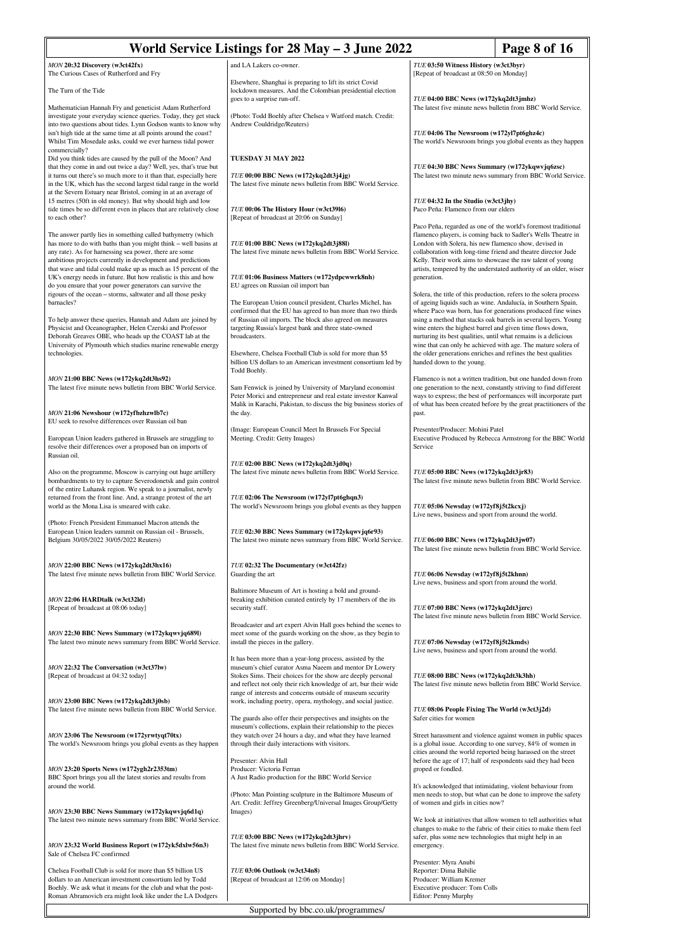| World Service Listings for 28 May - 3 June 2022                                                                                                                                                                                                                                                                                                                                              |                                                                                                                                                                                                                                                                                                                       |                                                                                                                                                                                                                                                                                                                                                                                                                                                                         | Page 8 of 16                                                                                                                       |
|----------------------------------------------------------------------------------------------------------------------------------------------------------------------------------------------------------------------------------------------------------------------------------------------------------------------------------------------------------------------------------------------|-----------------------------------------------------------------------------------------------------------------------------------------------------------------------------------------------------------------------------------------------------------------------------------------------------------------------|-------------------------------------------------------------------------------------------------------------------------------------------------------------------------------------------------------------------------------------------------------------------------------------------------------------------------------------------------------------------------------------------------------------------------------------------------------------------------|------------------------------------------------------------------------------------------------------------------------------------|
| MON 20:32 Discovery (w3ct42fx)                                                                                                                                                                                                                                                                                                                                                               | and LA Lakers co-owner.                                                                                                                                                                                                                                                                                               | TUE 03:50 Witness History (w3ct3byr)                                                                                                                                                                                                                                                                                                                                                                                                                                    |                                                                                                                                    |
| The Curious Cases of Rutherford and Fry<br>The Turn of the Tide                                                                                                                                                                                                                                                                                                                              | Elsewhere, Shanghai is preparing to lift its strict Covid<br>lockdown measures. And the Colombian presidential election                                                                                                                                                                                               | [Repeat of broadcast at 08:50 on Monday]                                                                                                                                                                                                                                                                                                                                                                                                                                |                                                                                                                                    |
| Mathematician Hannah Fry and geneticist Adam Rutherford                                                                                                                                                                                                                                                                                                                                      | goes to a surprise run-off.                                                                                                                                                                                                                                                                                           | TUE 04:00 BBC News (w172ykq2dt3jmhz)<br>The latest five minute news bulletin from BBC World Service.                                                                                                                                                                                                                                                                                                                                                                    |                                                                                                                                    |
| investigate your everyday science queries. Today, they get stuck<br>into two questions about tides. Lynn Godson wants to know why<br>isn't high tide at the same time at all points around the coast?<br>Whilst Tim Mosedale asks, could we ever harness tidal power<br>commercially?                                                                                                        | (Photo: Todd Boehly after Chelsea v Watford match. Credit:<br>Andrew Couldridge/Reuters)                                                                                                                                                                                                                              | TUE 04:06 The Newsroom (w172yl7pt6ghz4c)<br>The world's Newsroom brings you global events as they happen                                                                                                                                                                                                                                                                                                                                                                |                                                                                                                                    |
| Did you think tides are caused by the pull of the Moon? And<br>that they come in and out twice a day? Well, yes, that's true but                                                                                                                                                                                                                                                             | TUESDAY 31 MAY 2022                                                                                                                                                                                                                                                                                                   | TUE 04:30 BBC News Summary (w172ykqwvjq6zsc)                                                                                                                                                                                                                                                                                                                                                                                                                            |                                                                                                                                    |
| it turns out there's so much more to it than that, especially here<br>in the UK, which has the second largest tidal range in the world<br>at the Severn Estuary near Bristol, coming in at an average of                                                                                                                                                                                     | TUE 00:00 BBC News (w172ykq2dt3j4jg)<br>The latest five minute news bulletin from BBC World Service.                                                                                                                                                                                                                  | The latest two minute news summary from BBC World Service.                                                                                                                                                                                                                                                                                                                                                                                                              |                                                                                                                                    |
| 15 metres (50ft in old money). But why should high and low<br>tide times be so different even in places that are relatively close<br>to each other?                                                                                                                                                                                                                                          | TUE 00:06 The History Hour (w3ct3916)<br>[Repeat of broadcast at 20:06 on Sunday]                                                                                                                                                                                                                                     | TUE 04:32 In the Studio (w3ct3jhy)<br>Paco Peña: Flamenco from our elders                                                                                                                                                                                                                                                                                                                                                                                               |                                                                                                                                    |
| The answer partly lies in something called bathymetry (which<br>has more to do with baths than you might think - well basins at<br>any rate). As for harnessing sea power, there are some<br>ambitious projects currently in development and predictions<br>that wave and tidal could make up as much as 15 percent of the<br>UK's energy needs in future. But how realistic is this and how | TUE 01:00 BBC News (w172ykq2dt3j88l)<br>The latest five minute news bulletin from BBC World Service.<br>TUE 01:06 Business Matters (w172ydpcwwrk8nh)                                                                                                                                                                  | Paco Peña, regarded as one of the world's foremost traditional<br>flamenco players, is coming back to Sadler's Wells Theatre in<br>London with Solera, his new flamenco show, devised in<br>collaboration with long-time friend and theatre director Jude<br>Kelly. Their work aims to showcase the raw talent of young<br>artists, tempered by the understated authority of an older, wiser<br>generation.                                                             |                                                                                                                                    |
| do you ensure that your power generators can survive the<br>rigours of the ocean - storms, saltwater and all those pesky                                                                                                                                                                                                                                                                     | EU agrees on Russian oil import ban                                                                                                                                                                                                                                                                                   |                                                                                                                                                                                                                                                                                                                                                                                                                                                                         |                                                                                                                                    |
| barnacles?<br>To help answer these queries, Hannah and Adam are joined by<br>Physicist and Oceanographer, Helen Czerski and Professor<br>Deborah Greaves OBE, who heads up the COAST lab at the                                                                                                                                                                                              | The European Union council president, Charles Michel, has<br>confirmed that the EU has agreed to ban more than two thirds<br>of Russian oil imports. The block also agreed on measures<br>targeting Russia's largest bank and three state-owned<br>broadcasters.                                                      | Solera, the title of this production, refers to the solera process<br>of ageing liquids such as wine. Andalucía, in Southern Spain,<br>where Paco was born, has for generations produced fine wines<br>using a method that stacks oak barrels in several layers. Young<br>wine enters the highest barrel and given time flows down,<br>nurturing its best qualities, until what remains is a delicious<br>wine that can only be achieved with age. The mature solera of |                                                                                                                                    |
| University of Plymouth which studies marine renewable energy<br>technologies.                                                                                                                                                                                                                                                                                                                | Elsewhere, Chelsea Football Club is sold for more than \$5<br>billion US dollars to an American investment consortium led by<br>Todd Boehly.                                                                                                                                                                          | the older generations enriches and refines the best qualities<br>handed down to the young.                                                                                                                                                                                                                                                                                                                                                                              |                                                                                                                                    |
| MON 21:00 BBC News (w172ykq2dt3hs92)<br>The latest five minute news bulletin from BBC World Service.                                                                                                                                                                                                                                                                                         | Sam Fenwick is joined by University of Maryland economist                                                                                                                                                                                                                                                             |                                                                                                                                                                                                                                                                                                                                                                                                                                                                         | Flamenco is not a written tradition, but one handed down from<br>one generation to the next, constantly striving to find different |
| MON 21:06 Newshour (w172yfbzhzwlb7c)<br>EU seek to resolve differences over Russian oil ban                                                                                                                                                                                                                                                                                                  | Peter Morici and entrepreneur and real estate investor Kanwal<br>Malik in Karachi, Pakistan, to discuss the big business stories of<br>the day.                                                                                                                                                                       | ways to express; the best of performances will incorporate part<br>of what has been created before by the great practitioners of the<br>past.                                                                                                                                                                                                                                                                                                                           |                                                                                                                                    |
| European Union leaders gathered in Brussels are struggling to<br>resolve their differences over a proposed ban on imports of<br>Russian oil.                                                                                                                                                                                                                                                 | (Image: European Council Meet In Brussels For Special<br>Meeting. Credit: Getty Images)                                                                                                                                                                                                                               | Presenter/Producer: Mohini Patel<br>Service                                                                                                                                                                                                                                                                                                                                                                                                                             | Executive Produced by Rebecca Armstrong for the BBC World                                                                          |
| Also on the programme, Moscow is carrying out huge artillery<br>bombardments to try to capture Severodonetsk and gain control<br>of the entire Luhansk region. We speak to a journalist, newly                                                                                                                                                                                               | TUE 02:00 BBC News (w172ykq2dt3jd0q)<br>The latest five minute news bulletin from BBC World Service.                                                                                                                                                                                                                  | TUE 05:00 BBC News (w172ykq2dt3jr83)                                                                                                                                                                                                                                                                                                                                                                                                                                    | The latest five minute news bulletin from BBC World Service.                                                                       |
| returned from the front line. And, a strange protest of the art<br>world as the Mona Lisa is smeared with cake.                                                                                                                                                                                                                                                                              | TUE 02:06 The Newsroom (w172yl7pt6ghqn3)<br>The world's Newsroom brings you global events as they happen                                                                                                                                                                                                              | TUE 05:06 Newsday (w172yf8j5t2kcxj)<br>Live news, business and sport from around the world.                                                                                                                                                                                                                                                                                                                                                                             |                                                                                                                                    |
| (Photo: French President Emmanuel Macron attends the<br>European Union leaders summit on Russian oil - Brussels,<br>Belgium 30/05/2022 30/05/2022 Reuters)                                                                                                                                                                                                                                   | TUE 02:30 BBC News Summary (w172ykqwvjq6r93)<br>The latest two minute news summary from BBC World Service.                                                                                                                                                                                                            | TUE 06:00 BBC News (w172ykq2dt3jw07)<br>The latest five minute news bulletin from BBC World Service.                                                                                                                                                                                                                                                                                                                                                                    |                                                                                                                                    |
| MON 22:00 BBC News (w172ykq2dt3hx16)<br>The latest five minute news bulletin from BBC World Service.                                                                                                                                                                                                                                                                                         | TUE 02:32 The Documentary (w3ct42fz)<br>Guarding the art                                                                                                                                                                                                                                                              | TUE 06:06 Newsday (w172yf8j5t2khnn)<br>Live news, business and sport from around the world.                                                                                                                                                                                                                                                                                                                                                                             |                                                                                                                                    |
| MON 22:06 HARDtalk (w3ct32ld)                                                                                                                                                                                                                                                                                                                                                                | Baltimore Museum of Art is hosting a bold and ground-<br>breaking exhibition curated entirely by 17 members of the its                                                                                                                                                                                                |                                                                                                                                                                                                                                                                                                                                                                                                                                                                         |                                                                                                                                    |
| [Repeat of broadcast at 08:06 today]                                                                                                                                                                                                                                                                                                                                                         | security staff.                                                                                                                                                                                                                                                                                                       | TUE 07:00 BBC News (w172ykq2dt3jzrc)                                                                                                                                                                                                                                                                                                                                                                                                                                    | The latest five minute news bulletin from BBC World Service.                                                                       |
| MON 22:30 BBC News Summary (w172ykqwvjq689l)<br>The latest two minute news summary from BBC World Service.                                                                                                                                                                                                                                                                                   | Broadcaster and art expert Alvin Hall goes behind the scenes to<br>meet some of the guards working on the show, as they begin to<br>install the pieces in the gallery.                                                                                                                                                | TUE 07:06 Newsday (w172yf8j5t2kmds)<br>Live news, business and sport from around the world.                                                                                                                                                                                                                                                                                                                                                                             |                                                                                                                                    |
| MON 22:32 The Conversation (w3ct37lw)<br>[Repeat of broadcast at 04:32 today]                                                                                                                                                                                                                                                                                                                | It has been more than a year-long process, assisted by the<br>museum's chief curator Asma Naeem and mentor Dr Lowery<br>Stokes Sims. Their choices for the show are deeply personal<br>and reflect not only their rich knowledge of art, bur their wide<br>range of interests and concerns outside of museum security | TUE 08:00 BBC News (w172ykq2dt3k3hh)                                                                                                                                                                                                                                                                                                                                                                                                                                    | The latest five minute news bulletin from BBC World Service.                                                                       |
| MON 23:00 BBC News (w172ykq2dt3j0sb)<br>The latest five minute news bulletin from BBC World Service.                                                                                                                                                                                                                                                                                         | work, including poetry, opera, mythology, and social justice.<br>The guards also offer their perspectives and insights on the                                                                                                                                                                                         | TUE 08:06 People Fixing The World (w3ct3j2d)<br>Safer cities for women                                                                                                                                                                                                                                                                                                                                                                                                  |                                                                                                                                    |
| MON 23:06 The Newsroom (w172yrwtyqt70tx)<br>The world's Newsroom brings you global events as they happen                                                                                                                                                                                                                                                                                     | museum's collections, explain their relationship to the pieces<br>they watch over 24 hours a day, and what they have learned<br>through their daily interactions with visitors.<br>Presenter: Alvin Hall                                                                                                              | is a global issue. According to one survey, 84% of women in<br>cities around the world reported being harassed on the street<br>before the age of 17; half of respondents said they had been                                                                                                                                                                                                                                                                            | Street harassment and violence against women in public spaces                                                                      |
| MON 23:20 Sports News (w172ygh2r2353tm)<br>BBC Sport brings you all the latest stories and results from<br>around the world.                                                                                                                                                                                                                                                                 | Producer: Victoria Ferran<br>A Just Radio production for the BBC World Service                                                                                                                                                                                                                                        | groped or fondled.<br>It's acknowledged that intimidating, violent behaviour from                                                                                                                                                                                                                                                                                                                                                                                       |                                                                                                                                    |
| MON 23:30 BBC News Summary (w172ykqwvjq6d1q)<br>The latest two minute news summary from BBC World Service.                                                                                                                                                                                                                                                                                   | (Photo: Man Pointing sculpture in the Baltimore Museum of<br>Art. Credit: Jeffrey Greenberg/Universal Images Group/Getty<br>Images)                                                                                                                                                                                   | of women and girls in cities now?                                                                                                                                                                                                                                                                                                                                                                                                                                       | men needs to stop, but what can be done to improve the safety<br>We look at initiatives that allow women to tell authorities what  |
| MON 23:32 World Business Report (w172yk5dxlw56n3)<br>Sale of Chelsea FC confirmed                                                                                                                                                                                                                                                                                                            | TUE 03:00 BBC News (w172ykq2dt3jhrv)<br>The latest five minute news bulletin from BBC World Service.                                                                                                                                                                                                                  | safer, plus some new technologies that might help in an<br>emergency.                                                                                                                                                                                                                                                                                                                                                                                                   | changes to make to the fabric of their cities to make them feel                                                                    |
| Chelsea Football Club is sold for more than \$5 billion US<br>dollars to an American investment consortium led by Todd<br>Boehly. We ask what it means for the club and what the post-<br>Roman Abramovich era might look like under the LA Dodgers                                                                                                                                          | TUE 03:06 Outlook (w3ct34n8)<br>[Repeat of broadcast at 12:06 on Monday]                                                                                                                                                                                                                                              | Presenter: Myra Anubi<br>Reporter: Dima Babilie<br>Producer: William Kremer<br>Executive producer: Tom Colls<br>Editor: Penny Murphy                                                                                                                                                                                                                                                                                                                                    |                                                                                                                                    |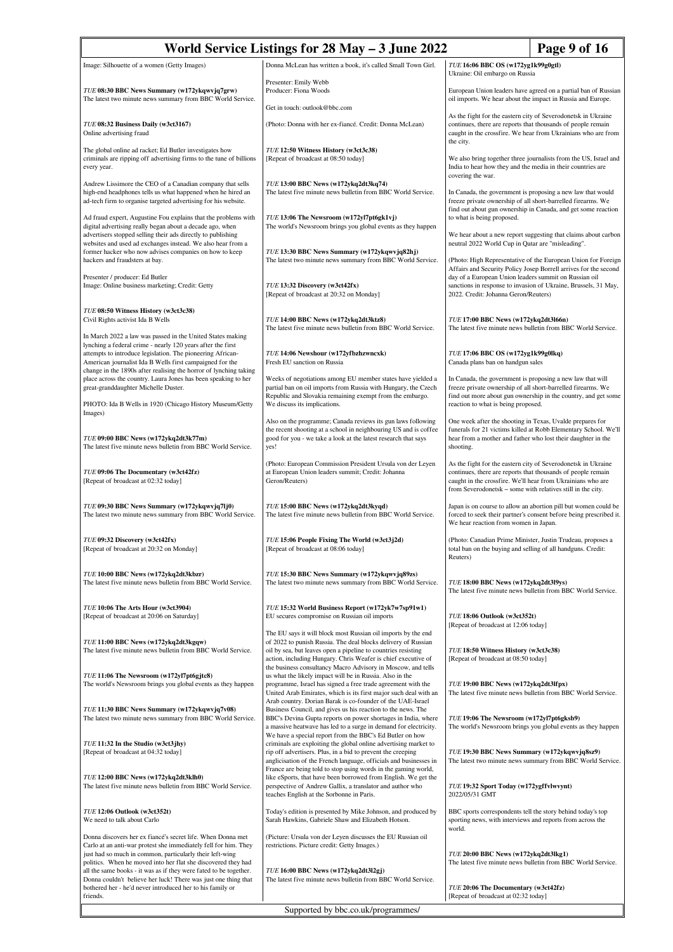| World Service Listings for 28 May - 3 June 2022                                                                                                                                                                                                             |                                                                                                                                                                                                                                                                                                                                  |                                                                                                                                                                                                                                                             | Page 9 of 16                                                                                                                      |
|-------------------------------------------------------------------------------------------------------------------------------------------------------------------------------------------------------------------------------------------------------------|----------------------------------------------------------------------------------------------------------------------------------------------------------------------------------------------------------------------------------------------------------------------------------------------------------------------------------|-------------------------------------------------------------------------------------------------------------------------------------------------------------------------------------------------------------------------------------------------------------|-----------------------------------------------------------------------------------------------------------------------------------|
| Image: Silhouette of a women (Getty Images)                                                                                                                                                                                                                 | Donna McLean has written a book, it's called Small Town Girl.                                                                                                                                                                                                                                                                    | TUE 16:06 BBC OS (w172yg1k99g0gtl)<br>Ukraine: Oil embargo on Russia                                                                                                                                                                                        |                                                                                                                                   |
| TUE 08:30 BBC News Summary (w172ykqwvjq7grw)<br>The latest two minute news summary from BBC World Service.                                                                                                                                                  | Presenter: Emily Webb<br>Producer: Fiona Woods<br>Get in touch: outlook@bbc.com                                                                                                                                                                                                                                                  | European Union leaders have agreed on a partial ban of Russian<br>oil imports. We hear about the impact in Russia and Europe.                                                                                                                               |                                                                                                                                   |
| TUE 08:32 Business Daily (w3ct3167)<br>Online advertising fraud                                                                                                                                                                                             | (Photo: Donna with her ex-fiancé. Credit: Donna McLean)                                                                                                                                                                                                                                                                          | As the fight for the eastern city of Severodonetsk in Ukraine<br>continues, there are reports that thousands of people remain<br>caught in the crossfire. We hear from Ukrainians who are from                                                              |                                                                                                                                   |
| The global online ad racket; Ed Butler investigates how<br>criminals are ripping off advertising firms to the tune of billions<br>every year.                                                                                                               | TUE 12:50 Witness History (w3ct3c38)<br>[Repeat of broadcast at 08:50 today]                                                                                                                                                                                                                                                     | the city.<br>We also bring together three journalists from the US, Israel and<br>India to hear how they and the media in their countries are                                                                                                                |                                                                                                                                   |
| Andrew Lissimore the CEO of a Canadian company that sells<br>high-end headphones tells us what happened when he hired an<br>ad-tech firm to organise targeted advertising for his website.                                                                  | TUE 13:00 BBC News (w172ykq2dt3kq74)<br>The latest five minute news bulletin from BBC World Service.                                                                                                                                                                                                                             | covering the war.<br>In Canada, the government is proposing a new law that would<br>freeze private ownership of all short-barrelled firearms. We<br>find out about gun ownership in Canada, and get some reaction                                           |                                                                                                                                   |
| Ad fraud expert, Augustine Fou explains that the problems with<br>digital advertising really began about a decade ago, when<br>advertisers stopped selling their ads directly to publishing                                                                 | TUE 13:06 The Newsroom (w172yl7pt6gk1vj)<br>The world's Newsroom brings you global events as they happen                                                                                                                                                                                                                         | to what is being proposed.                                                                                                                                                                                                                                  | We hear about a new report suggesting that claims about carbon                                                                    |
| websites and used ad exchanges instead. We also hear from a<br>former hacker who now advises companies on how to keep<br>hackers and fraudsters at bay.                                                                                                     | TUE 13:30 BBC News Summary (w172ykqwvjq82hj)<br>The latest two minute news summary from BBC World Service.                                                                                                                                                                                                                       | neutral 2022 World Cup in Qatar are "misleading".                                                                                                                                                                                                           | (Photo: High Representative of the European Union for Foreign<br>Affairs and Security Policy Josep Borrell arrives for the second |
| Presenter / producer: Ed Butler<br>Image: Online business marketing; Credit: Getty                                                                                                                                                                          | TUE 13:32 Discovery (w3ct42fx)<br>[Repeat of broadcast at 20:32 on Monday]                                                                                                                                                                                                                                                       | day of a European Union leaders summit on Russian oil<br>sanctions in response to invasion of Ukraine, Brussels, 31 May,<br>2022. Credit: Johanna Geron/Reuters)                                                                                            |                                                                                                                                   |
| TUE 08:50 Witness History (w3ct3c38)<br>Civil Rights activist Ida B Wells                                                                                                                                                                                   | TUE 14:00 BBC News (w172ykq2dt3ktz8)<br>The latest five minute news bulletin from BBC World Service.                                                                                                                                                                                                                             | TUE 17:00 BBC News (w172ykq2dt3l66n)                                                                                                                                                                                                                        | The latest five minute news bulletin from BBC World Service.                                                                      |
| In March 2022 a law was passed in the United States making<br>lynching a federal crime - nearly 120 years after the first<br>attempts to introduce legislation. The pioneering African-<br>American journalist Ida B Wells first campaigned for the         | TUE 14:06 Newshour (w172yfbzhzwncxk)<br>Fresh EU sanction on Russia                                                                                                                                                                                                                                                              | TUE 17:06 BBC OS (w172yg1k99g0lkq)<br>Canada plans ban on handgun sales                                                                                                                                                                                     |                                                                                                                                   |
| change in the 1890s after realising the horror of lynching taking<br>place across the country. Laura Jones has been speaking to her<br>great-granddaughter Michelle Duster.<br>PHOTO: Ida B Wells in 1920 (Chicago History Museum/Getty                     | Weeks of negotiations among EU member states have yielded a<br>partial ban on oil imports from Russia with Hungary, the Czech<br>Republic and Slovakia remaining exempt from the embargo.<br>We discuss its implications.                                                                                                        | In Canada, the government is proposing a new law that will<br>freeze private ownership of all short-barrelled firearms. We<br>find out more about gun ownership in the country, and get some<br>reaction to what is being proposed.                         |                                                                                                                                   |
| Images)<br>TUE 09:00 BBC News (w172ykq2dt3k77m)                                                                                                                                                                                                             | Also on the programme; Canada reviews its gun laws following<br>the recent shooting at a school in neighbouring US and is coffee<br>good for you - we take a look at the latest research that says                                                                                                                               | One week after the shooting in Texas, Uvalde prepares for<br>funerals for 21 victims killed at Robb Elementary School. We'll<br>hear from a mother and father who lost their daughter in the                                                                |                                                                                                                                   |
| The latest five minute news bulletin from BBC World Service.                                                                                                                                                                                                | yes!                                                                                                                                                                                                                                                                                                                             | shooting.                                                                                                                                                                                                                                                   |                                                                                                                                   |
| TUE 09:06 The Documentary (w3ct42fz)<br>[Repeat of broadcast at 02:32 today]                                                                                                                                                                                | (Photo: European Commission President Ursula von der Leyen<br>at European Union leaders summit; Credit: Johanna<br>Geron/Reuters)                                                                                                                                                                                                | As the fight for the eastern city of Severodonetsk in Ukraine<br>continues, there are reports that thousands of people remain<br>caught in the crossfire. We'll hear from Ukrainians who are<br>from Severodonetsk - some with relatives still in the city. |                                                                                                                                   |
| TUE 09:30 BBC News Summary (w172ykqwvjq7lj0)<br>The latest two minute news summary from BBC World Service.                                                                                                                                                  | TUE 15:00 BBC News (w172ykq2dt3kyqd)<br>The latest five minute news bulletin from BBC World Service.                                                                                                                                                                                                                             | Japan is on course to allow an abortion pill but women could be<br>forced to seek their partner's consent before being prescribed it.<br>We hear reaction from women in Japan.                                                                              |                                                                                                                                   |
| TUE 09:32 Discovery (w3ct42fx)<br>[Repeat of broadcast at 20:32 on Monday]                                                                                                                                                                                  | TUE 15:06 People Fixing The World (w3ct3j2d)<br>[Repeat of broadcast at 08:06 today]                                                                                                                                                                                                                                             | (Photo: Canadian Prime Minister, Justin Trudeau, proposes a<br>total ban on the buying and selling of all handguns. Credit:<br>Reuters)                                                                                                                     |                                                                                                                                   |
| TUE 10:00 BBC News (w172ykq2dt3kbzr)<br>The latest five minute news bulletin from BBC World Service.                                                                                                                                                        | TUE 15:30 BBC News Summary (w172ykqwvjq89zs)<br>The latest two minute news summary from BBC World Service.                                                                                                                                                                                                                       | TUE 18:00 BBC News (w172ykq2dt3l9ys)<br>The latest five minute news bulletin from BBC World Service.                                                                                                                                                        |                                                                                                                                   |
| TUE 10:06 The Arts Hour (w3ct3904)<br>[Repeat of broadcast at 20:06 on Saturday]                                                                                                                                                                            | TUE 15:32 World Business Report (w172yk7w7sp91w1)<br>EU secures compromise on Russian oil imports                                                                                                                                                                                                                                | TUE 18:06 Outlook (w3ct352t)<br>[Repeat of broadcast at 12:06 today]                                                                                                                                                                                        |                                                                                                                                   |
| TUE 11:00 BBC News (w172ykq2dt3kgqw)<br>The latest five minute news bulletin from BBC World Service.                                                                                                                                                        | The EU says it will block most Russian oil imports by the end<br>of 2022 to punish Russia. The deal blocks delivery of Russian<br>oil by sea, but leaves open a pipeline to countries resisting<br>action, including Hungary. Chris Weafer is chief executive of<br>the business consultancy Macro Advisory in Moscow, and tells | TUE 18:50 Witness History (w3ct3c38)<br>[Repeat of broadcast at 08:50 today]                                                                                                                                                                                |                                                                                                                                   |
| TUE 11:06 The Newsroom (w172yl7pt6gjtc8)<br>The world's Newsroom brings you global events as they happen                                                                                                                                                    | us what the likely impact will be in Russia. Also in the<br>programme, Israel has signed a free trade agreement with the<br>United Arab Emirates, which is its first major such deal with an<br>Arab country. Dorian Barak is co-founder of the UAE-Israel                                                                       | TUE 19:00 BBC News (w172ykq2dt3lfpx)                                                                                                                                                                                                                        | The latest five minute news bulletin from BBC World Service.                                                                      |
| TUE 11:30 BBC News Summary (w172ykqwvjq7v08)<br>The latest two minute news summary from BBC World Service.                                                                                                                                                  | Business Council, and gives us his reaction to the news. The<br>BBC's Devina Gupta reports on power shortages in India, where<br>a massive heatwave has led to a surge in demand for electricity.<br>We have a special report from the BBC's Ed Butler on how                                                                    | TUE 19:06 The Newsroom (w172yl7pt6gksb9)                                                                                                                                                                                                                    | The world's Newsroom brings you global events as they happen                                                                      |
| TUE 11:32 In the Studio (w3ct3jhy)<br>[Repeat of broadcast at 04:32 today]                                                                                                                                                                                  | criminals are exploiting the global online advertising market to<br>rip off advertisers. Plus, in a bid to prevent the creeping<br>anglicisation of the French language, officials and businesses in                                                                                                                             | TUE 19:30 BBC News Summary (w172ykqwvjq8sz9)                                                                                                                                                                                                                | The latest two minute news summary from BBC World Service.                                                                        |
| TUE 12:00 BBC News (w172ykq2dt3klh0)<br>The latest five minute news bulletin from BBC World Service.                                                                                                                                                        | France are being told to stop using words in the gaming world,<br>like eSports, that have been borrowed from English. We get the<br>perspective of Andrew Gallix, a translator and author who<br>teaches English at the Sorbonne in Paris.                                                                                       | TUE 19:32 Sport Today (w172ygffvlwvynt)<br>2022/05/31 GMT                                                                                                                                                                                                   |                                                                                                                                   |
| TUE 12:06 Outlook (w3ct352t)<br>We need to talk about Carlo                                                                                                                                                                                                 | Today's edition is presented by Mike Johnson, and produced by<br>Sarah Hawkins, Gabriele Shaw and Elizabeth Hotson.                                                                                                                                                                                                              | BBC sports correspondents tell the story behind today's top<br>sporting news, with interviews and reports from across the<br>world.                                                                                                                         |                                                                                                                                   |
| Donna discovers her ex fiancé's secret life. When Donna met<br>Carlo at an anti-war protest she immediately fell for him. They<br>just had so much in common, particularly their left-wing<br>politics. When he moved into her flat she discovered they had | (Picture: Ursula von der Leyen discusses the EU Russian oil<br>restrictions. Picture credit: Getty Images.)                                                                                                                                                                                                                      | TUE 20:00 BBC News (w172ykq2dt3lkg1)                                                                                                                                                                                                                        | The latest five minute news bulletin from BBC World Service.                                                                      |
| all the same books - it was as if they were fated to be together.<br>Donna couldn't believe her luck! There was just one thing that<br>bothered her - he'd never introduced her to his family or<br>friends.                                                | TUE 16:00 BBC News (w172ykq2dt3l2gj)<br>The latest five minute news bulletin from BBC World Service.                                                                                                                                                                                                                             | TUE 20:06 The Documentary (w3ct42fz)<br>[Repeat of broadcast at 02:32 today]                                                                                                                                                                                |                                                                                                                                   |
|                                                                                                                                                                                                                                                             | Supported by bbc.co.uk/programmes/                                                                                                                                                                                                                                                                                               |                                                                                                                                                                                                                                                             |                                                                                                                                   |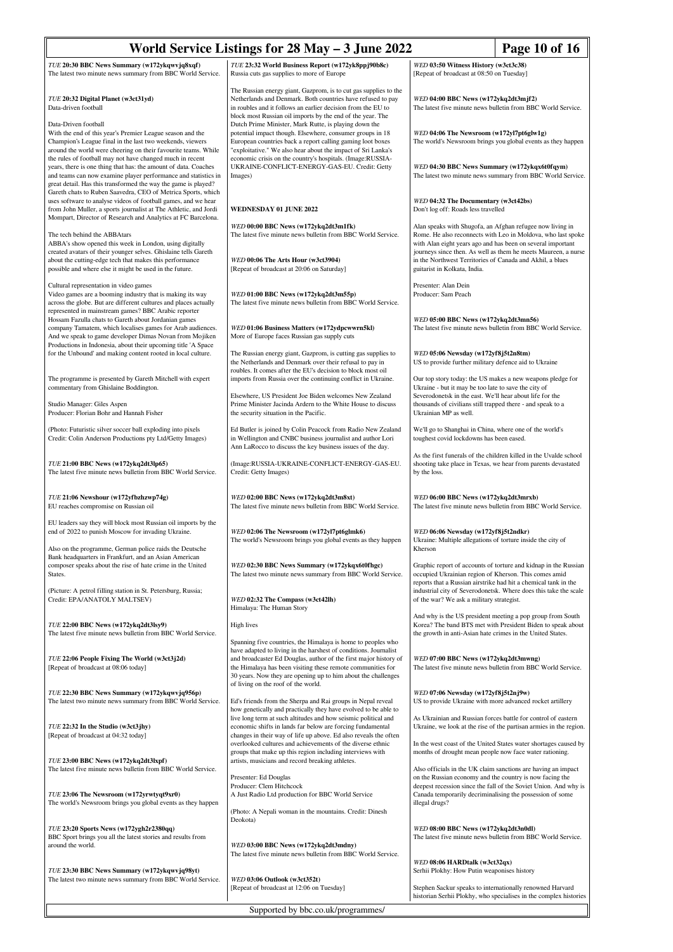|                                                                                                                                                                                                                                                                                                                                  | World Service Listings for 28 May - 3 June 2022                                                                                                                                                                                                                                                                                                                             | Page 10 of 16                                                                                                                                                                                                                                              |  |
|----------------------------------------------------------------------------------------------------------------------------------------------------------------------------------------------------------------------------------------------------------------------------------------------------------------------------------|-----------------------------------------------------------------------------------------------------------------------------------------------------------------------------------------------------------------------------------------------------------------------------------------------------------------------------------------------------------------------------|------------------------------------------------------------------------------------------------------------------------------------------------------------------------------------------------------------------------------------------------------------|--|
| TUE 20:30 BBC News Summary (w172ykqwvjq8xqf)                                                                                                                                                                                                                                                                                     | TUE 23:32 World Business Report (w172yk8ppj90b8c)                                                                                                                                                                                                                                                                                                                           | WED 03:50 Witness History (w3ct3c38)                                                                                                                                                                                                                       |  |
| The latest two minute news summary from BBC World Service.                                                                                                                                                                                                                                                                       | Russia cuts gas supplies to more of Europe                                                                                                                                                                                                                                                                                                                                  | [Repeat of broadcast at 08:50 on Tuesday]                                                                                                                                                                                                                  |  |
| TUE 20:32 Digital Planet (w3ct31yd)<br>Data-driven football                                                                                                                                                                                                                                                                      | The Russian energy giant, Gazprom, is to cut gas supplies to the<br>Netherlands and Denmark. Both countries have refused to pay<br>in roubles and it follows an earlier decision from the EU to<br>block most Russian oil imports by the end of the year. The                                                                                                               | WED 04:00 BBC News (w172ykq2dt3mjf2)<br>The latest five minute news bulletin from BBC World Service.                                                                                                                                                       |  |
| Data-Driven football<br>With the end of this year's Premier League season and the<br>Champion's League final in the last two weekends, viewers<br>around the world were cheering on their favourite teams. While                                                                                                                 | Dutch Prime Minister, Mark Rutte, is playing down the<br>potential impact though. Elsewhere, consumer groups in 18<br>European countries back a report calling gaming loot boxes<br>"exploitative." We also hear about the impact of Sri Lanka's                                                                                                                            | WED 04:06 The Newsroom (w172yl7pt6glw1g)<br>The world's Newsroom brings you global events as they happen                                                                                                                                                   |  |
| the rules of football may not have changed much in recent<br>years, there is one thing that has: the amount of data. Coaches<br>and teams can now examine player performance and statistics in<br>great detail. Has this transformed the way the game is played?<br>Gareth chats to Ruben Saavedra, CEO of Metrica Sports, which | economic crisis on the country's hospitals. (Image:RUSSIA-<br>UKRAINE-CONFLICT-ENERGY-GAS-EU. Credit: Getty<br>Images)                                                                                                                                                                                                                                                      | WED 04:30 BBC News Summary (w172ykqx6t0fqym)<br>The latest two minute news summary from BBC World Service.                                                                                                                                                 |  |
| uses software to analyse videos of football games, and we hear<br>from John Muller, a sports journalist at The Athletic, and Jordi<br>Mompart, Director of Research and Analytics at FC Barcelona.                                                                                                                               | WEDNESDAY 01 JUNE 2022                                                                                                                                                                                                                                                                                                                                                      | WED 04:32 The Documentary (w3ct42bs)<br>Don't log off: Roads less travelled                                                                                                                                                                                |  |
| The tech behind the ABBAtars<br>ABBA's show opened this week in London, using digitally<br>created avatars of their younger selves. Ghislaine tells Gareth                                                                                                                                                                       | WED 00:00 BBC News (w172ykq2dt3m1fk)<br>The latest five minute news bulletin from BBC World Service.                                                                                                                                                                                                                                                                        | Alan speaks with Shugofa, an Afghan refugee now living in<br>Rome. He also reconnects with Leo in Moldova, who last spoke<br>with Alan eight years ago and has been on several important<br>journeys since then. As well as them he meets Maureen, a nurse |  |
| about the cutting-edge tech that makes this performance<br>possible and where else it might be used in the future.                                                                                                                                                                                                               | WED 00:06 The Arts Hour (w3ct3904)<br>[Repeat of broadcast at 20:06 on Saturday]                                                                                                                                                                                                                                                                                            | in the Northwest Territories of Canada and Akhil, a blues<br>guitarist in Kolkata, India.                                                                                                                                                                  |  |
| Cultural representation in video games<br>Video games are a booming industry that is making its way<br>across the globe. But are different cultures and places actually<br>represented in mainstream games? BBC Arabic reporter                                                                                                  | WED 01:00 BBC News (w172ykq2dt3m55p)<br>The latest five minute news bulletin from BBC World Service.                                                                                                                                                                                                                                                                        | Presenter: Alan Dein<br>Producer: Sam Peach                                                                                                                                                                                                                |  |
| Hossam Fazulla chats to Gareth about Jordanian games<br>company Tamatem, which localises games for Arab audiences.<br>And we speak to game developer Dimas Novan from Mojiken                                                                                                                                                    | WED 01:06 Business Matters (w172ydpcwwrn5kl)<br>More of Europe faces Russian gas supply cuts                                                                                                                                                                                                                                                                                | WED 05:00 BBC News (w172ykq2dt3mn56)<br>The latest five minute news bulletin from BBC World Service.                                                                                                                                                       |  |
| Productions in Indonesia, about their upcoming title 'A Space<br>for the Unbound' and making content rooted in local culture.                                                                                                                                                                                                    | The Russian energy giant, Gazprom, is cutting gas supplies to<br>the Netherlands and Denmark over their refusal to pay in<br>roubles. It comes after the EU's decision to block most oil                                                                                                                                                                                    | WED 05:06 Newsday (w172yf8j5t2n8tm)<br>US to provide further military defence aid to Ukraine                                                                                                                                                               |  |
| The programme is presented by Gareth Mitchell with expert<br>commentary from Ghislaine Boddington.                                                                                                                                                                                                                               | imports from Russia over the continuing conflict in Ukraine.<br>Elsewhere, US President Joe Biden welcomes New Zealand                                                                                                                                                                                                                                                      | Our top story today: the US makes a new weapons pledge for<br>Ukraine - but it may be too late to save the city of<br>Severodonetsk in the east. We'll hear about life for the                                                                             |  |
| Studio Manager: Giles Aspen<br>Producer: Florian Bohr and Hannah Fisher<br>(Photo: Futuristic silver soccer ball exploding into pixels                                                                                                                                                                                           | Prime Minister Jacinda Ardern to the White House to discuss<br>the security situation in the Pacific.<br>Ed Butler is joined by Colin Peacock from Radio New Zealand                                                                                                                                                                                                        | thousands of civilians still trapped there - and speak to a<br>Ukrainian MP as well.<br>We'll go to Shanghai in China, where one of the world's                                                                                                            |  |
| Credit: Colin Anderson Productions pty Ltd/Getty Images)                                                                                                                                                                                                                                                                         | in Wellington and CNBC business journalist and author Lori<br>Ann LaRocco to discuss the key business issues of the day.                                                                                                                                                                                                                                                    | toughest covid lockdowns has been eased.<br>As the first funerals of the children killed in the Uvalde school                                                                                                                                              |  |
| TUE 21:00 BBC News (w172ykq2dt3lp65)<br>The latest five minute news bulletin from BBC World Service.                                                                                                                                                                                                                             | (Image:RUSSIA-UKRAINE-CONFLICT-ENERGY-GAS-EU.<br>Credit: Getty Images)                                                                                                                                                                                                                                                                                                      | shooting take place in Texas, we hear from parents devastated<br>by the loss.                                                                                                                                                                              |  |
| TUE 21:06 Newshour (w172yfbzhzwp74g)<br>EU reaches compromise on Russian oil                                                                                                                                                                                                                                                     | WED 02:00 BBC News (w172ykq2dt3m8xt)<br>The latest five minute news bulletin from BBC World Service.                                                                                                                                                                                                                                                                        | WED 06:00 BBC News (w172ykq2dt3mrxb)<br>The latest five minute news bulletin from BBC World Service.                                                                                                                                                       |  |
| EU leaders say they will block most Russian oil imports by the<br>end of 2022 to punish Moscow for invading Ukraine.<br>Also on the programme, German police raids the Deutsche                                                                                                                                                  | WED 02:06 The Newsroom (w172yl7pt6glmk6)<br>The world's Newsroom brings you global events as they happen                                                                                                                                                                                                                                                                    | WED 06:06 Newsday (w172yf8j5t2ndkr)<br>Ukraine: Multiple allegations of torture inside the city of<br>Kherson                                                                                                                                              |  |
| Bank headquarters in Frankfurt, and an Asian American<br>composer speaks about the rise of hate crime in the United<br>States.                                                                                                                                                                                                   | WED 02:30 BBC News Summary (w172ykqx6t0fhgc)<br>The latest two minute news summary from BBC World Service.                                                                                                                                                                                                                                                                  | Graphic report of accounts of torture and kidnap in the Russian<br>occupied Ukrainian region of Kherson. This comes amid                                                                                                                                   |  |
| (Picture: A petrol filling station in St. Petersburg, Russia;<br>Credit: EPA/ANATOLY MALTSEV)                                                                                                                                                                                                                                    | WED 02:32 The Compass (w3ct42lh)<br>Himalaya: The Human Story                                                                                                                                                                                                                                                                                                               | reports that a Russian airstrike had hit a chemical tank in the<br>industrial city of Severodonetsk. Where does this take the scale<br>of the war? We ask a military strategist.                                                                           |  |
| TUE 22:00 BBC News (w172ykq2dt3lsy9)<br>The latest five minute news bulletin from BBC World Service.                                                                                                                                                                                                                             | <b>High lives</b>                                                                                                                                                                                                                                                                                                                                                           | And why is the US president meeting a pop group from South<br>Korea? The band BTS met with President Biden to speak about<br>the growth in anti-Asian hate crimes in the United States.                                                                    |  |
| TUE 22:06 People Fixing The World (w3ct3j2d)<br>[Repeat of broadcast at 08:06 today]                                                                                                                                                                                                                                             | Spanning five countries, the Himalaya is home to peoples who<br>have adapted to living in the harshest of conditions. Journalist<br>and broadcaster Ed Douglas, author of the first major history of<br>the Himalaya has been visiting these remote communities for<br>30 years. Now they are opening up to him about the challenges<br>of living on the roof of the world. | WED 07:00 BBC News (w172ykq2dt3mwng)<br>The latest five minute news bulletin from BBC World Service.                                                                                                                                                       |  |
| TUE 22:30 BBC News Summary (w172ykqwvjq956p)<br>The latest two minute news summary from BBC World Service.                                                                                                                                                                                                                       | Ed's friends from the Sherpa and Rai groups in Nepal reveal<br>how genetically and practically they have evolved to be able to                                                                                                                                                                                                                                              | WED 07:06 Newsday (w172yf8j5t2nj9w)<br>US to provide Ukraine with more advanced rocket artillery                                                                                                                                                           |  |
| TUE 22:32 In the Studio (w3ct3jhy)<br>[Repeat of broadcast at 04:32 today]                                                                                                                                                                                                                                                       | live long term at such altitudes and how seismic political and<br>economic shifts in lands far below are forcing fundamental<br>changes in their way of life up above. Ed also reveals the often<br>overlooked cultures and achievements of the diverse ethnic                                                                                                              | As Ukrainian and Russian forces battle for control of eastern<br>Ukraine, we look at the rise of the partisan armies in the region.<br>In the west coast of the United States water shortages caused by                                                    |  |
| TUE 23:00 BBC News (w172ykq2dt3lxpf)<br>The latest five minute news bulletin from BBC World Service.                                                                                                                                                                                                                             | groups that make up this region including interviews with<br>artists, musicians and record breaking athletes.                                                                                                                                                                                                                                                               | months of drought mean people now face water rationing.<br>Also officials in the UK claim sanctions are having an impact                                                                                                                                   |  |
| TUE 23:06 The Newsroom (w172yrwtyqt9xr0)<br>The world's Newsroom brings you global events as they happen                                                                                                                                                                                                                         | Presenter: Ed Douglas<br>Producer: Clem Hitchcock<br>A Just Radio Ltd production for BBC World Service                                                                                                                                                                                                                                                                      | on the Russian economy and the country is now facing the<br>deepest recession since the fall of the Soviet Union. And why is<br>Canada temporarily decriminalising the possession of some<br>illegal drugs?                                                |  |
|                                                                                                                                                                                                                                                                                                                                  | (Photo: A Nepali woman in the mountains. Credit: Dinesh<br>Deokota)                                                                                                                                                                                                                                                                                                         |                                                                                                                                                                                                                                                            |  |
| TUE 23:20 Sports News (w172ygh2r2380qq)<br>BBC Sport brings you all the latest stories and results from<br>around the world.                                                                                                                                                                                                     | WED 03:00 BBC News (w172ykq2dt3mdny)                                                                                                                                                                                                                                                                                                                                        | WED 08:00 BBC News (w172ykq2dt3n0dl)<br>The latest five minute news bulletin from BBC World Service.                                                                                                                                                       |  |
| TUE 23:30 BBC News Summary (w172ykqwvjq98yt)<br>The latest two minute news summary from BBC World Service.                                                                                                                                                                                                                       | The latest five minute news bulletin from BBC World Service.<br>WED 03:06 Outlook (w3ct352t)                                                                                                                                                                                                                                                                                | WED 08:06 HARDtalk (w3ct32qx)<br>Serhii Plokhy: How Putin weaponises history                                                                                                                                                                               |  |
|                                                                                                                                                                                                                                                                                                                                  | [Repeat of broadcast at 12:06 on Tuesday]                                                                                                                                                                                                                                                                                                                                   | Stephen Sackur speaks to internationally renowned Harvard<br>historian Serhii Plokhy, who specialises in the complex histories                                                                                                                             |  |
| Supported by bbc.co.uk/programmes/                                                                                                                                                                                                                                                                                               |                                                                                                                                                                                                                                                                                                                                                                             |                                                                                                                                                                                                                                                            |  |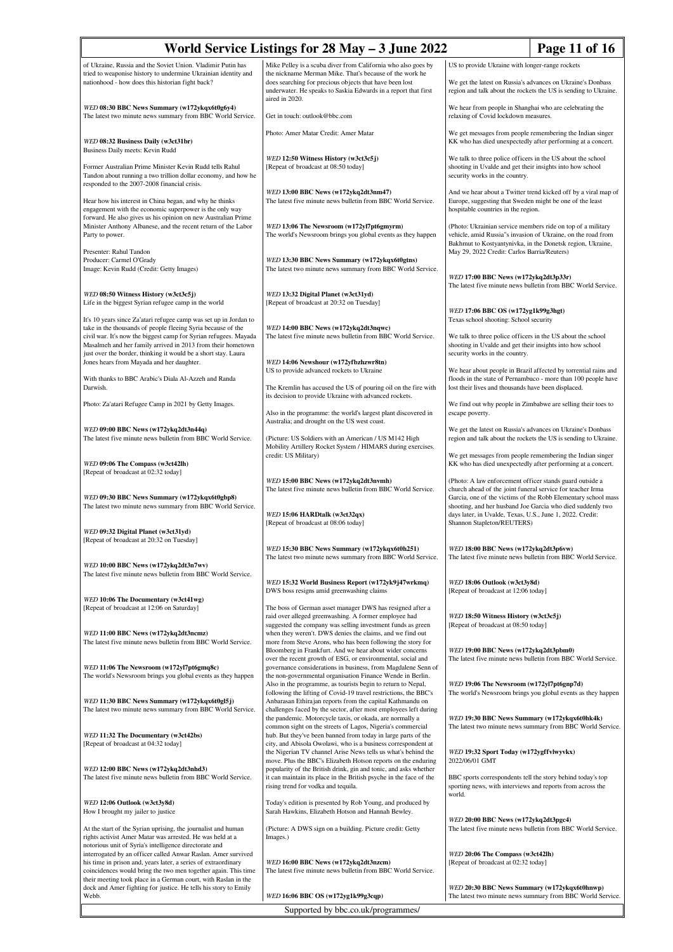| World Service Listings for 28 May - 3 June 2022<br>Page 11 of 16                                                                                                                                                                                            |                                                                                                                                                                                                                                                                                                                 |                                                                                                                                                                                                                                                                                                                                                                |  |
|-------------------------------------------------------------------------------------------------------------------------------------------------------------------------------------------------------------------------------------------------------------|-----------------------------------------------------------------------------------------------------------------------------------------------------------------------------------------------------------------------------------------------------------------------------------------------------------------|----------------------------------------------------------------------------------------------------------------------------------------------------------------------------------------------------------------------------------------------------------------------------------------------------------------------------------------------------------------|--|
| of Ukraine, Russia and the Soviet Union. Vladimir Putin has<br>tried to weaponise history to undermine Ukrainian identity and<br>nationhood - how does this historian fight back?                                                                           | Mike Pelley is a scuba diver from California who also goes by<br>the nickname Merman Mike. That's because of the work he<br>does searching for precious objects that have been lost<br>underwater. He speaks to Saskia Edwards in a report that first                                                           | US to provide Ukraine with longer-range rockets<br>We get the latest on Russia's advances on Ukraine's Donbass<br>region and talk about the rockets the US is sending to Ukraine.                                                                                                                                                                              |  |
| WED 08:30 BBC News Summary (w172ykqx6t0g6y4)<br>The latest two minute news summary from BBC World Service.                                                                                                                                                  | aired in 2020.<br>Get in touch: outlook@bbc.com                                                                                                                                                                                                                                                                 | We hear from people in Shanghai who are celebrating the<br>relaxing of Covid lockdown measures.                                                                                                                                                                                                                                                                |  |
|                                                                                                                                                                                                                                                             | Photo: Amer Matar Credit: Amer Matar                                                                                                                                                                                                                                                                            | We get messages from people remembering the Indian singer                                                                                                                                                                                                                                                                                                      |  |
| WED 08:32 Business Daily (w3ct31br)<br>Business Daily meets: Kevin Rudd                                                                                                                                                                                     | WED 12:50 Witness History (w3ct3c5j)                                                                                                                                                                                                                                                                            | KK who has died unexpectedly after performing at a concert.<br>We talk to three police officers in the US about the school                                                                                                                                                                                                                                     |  |
| Former Australian Prime Minister Kevin Rudd tells Rahul<br>Tandon about running a two trillion dollar economy, and how he<br>responded to the 2007-2008 financial crisis.                                                                                   | [Repeat of broadcast at 08:50 today]                                                                                                                                                                                                                                                                            | shooting in Uvalde and get their insights into how school<br>security works in the country.                                                                                                                                                                                                                                                                    |  |
| Hear how his interest in China began, and why he thinks<br>engagement with the economic superpower is the only way<br>forward. He also gives us his opinion on new Australian Prime                                                                         | WED 13:00 BBC News (w172ykq2dt3nm47)<br>The latest five minute news bulletin from BBC World Service.                                                                                                                                                                                                            | And we hear about a Twitter trend kicked off by a viral map of<br>Europe, suggesting that Sweden might be one of the least<br>hospitable countries in the region.<br>(Photo: Ukrainian service members ride on top of a military<br>vehicle, amid Russia"s invasion of Ukraine, on the road from<br>Bakhmut to Kostyantynivka, in the Donetsk region, Ukraine, |  |
| Minister Anthony Albanese, and the recent return of the Labor<br>Party to power.                                                                                                                                                                            | WED 13:06 The Newsroom (w172yl7pt6gmyrm)<br>The world's Newsroom brings you global events as they happen                                                                                                                                                                                                        |                                                                                                                                                                                                                                                                                                                                                                |  |
| Presenter: Rahul Tandon<br>Producer: Carmel O'Grady<br>Image: Kevin Rudd (Credit: Getty Images)                                                                                                                                                             | WED 13:30 BBC News Summary (w172ykqx6t0gtns)<br>The latest two minute news summary from BBC World Service.                                                                                                                                                                                                      | May 29, 2022 Credit: Carlos Barria/Reuters)                                                                                                                                                                                                                                                                                                                    |  |
|                                                                                                                                                                                                                                                             |                                                                                                                                                                                                                                                                                                                 | WED 17:00 BBC News (w172ykq2dt3p33r)<br>The latest five minute news bulletin from BBC World Service.                                                                                                                                                                                                                                                           |  |
| WED 08:50 Witness History (w3ct3c5j)<br>Life in the biggest Syrian refugee camp in the world                                                                                                                                                                | WED 13:32 Digital Planet (w3ct31yd)<br>[Repeat of broadcast at 20:32 on Tuesday]                                                                                                                                                                                                                                | WED 17:06 BBC OS (w172yg1k99g3hgt)                                                                                                                                                                                                                                                                                                                             |  |
| It's 10 years since Za'atari refugee camp was set up in Jordan to<br>take in the thousands of people fleeing Syria because of the                                                                                                                           | WED 14:00 BBC News (w172ykq2dt3nqwc)                                                                                                                                                                                                                                                                            | Texas school shooting: School security                                                                                                                                                                                                                                                                                                                         |  |
| civil war. It's now the biggest camp for Syrian refugees. Mayada<br>Masalmeh and her family arrived in 2013 from their hometown<br>just over the border, thinking it would be a short stay. Laura                                                           | The latest five minute news bulletin from BBC World Service.                                                                                                                                                                                                                                                    | We talk to three police officers in the US about the school<br>shooting in Uvalde and get their insights into how school<br>security works in the country.                                                                                                                                                                                                     |  |
| Jones hears from Mayada and her daughter.<br>With thanks to BBC Arabic's Diala Al-Azzeh and Randa                                                                                                                                                           | WED 14:06 Newshour (w172yfbzhzwr8tn)<br>US to provide advanced rockets to Ukraine                                                                                                                                                                                                                               | We hear about people in Brazil affected by torrential rains and<br>floods in the state of Pernambuco - more than 100 people have                                                                                                                                                                                                                               |  |
| Darwish.                                                                                                                                                                                                                                                    | The Kremlin has accused the US of pouring oil on the fire with<br>its decision to provide Ukraine with advanced rockets.                                                                                                                                                                                        | lost their lives and thousands have been displaced.<br>We find out why people in Zimbabwe are selling their toes to                                                                                                                                                                                                                                            |  |
| Photo: Za'atari Refugee Camp in 2021 by Getty Images.                                                                                                                                                                                                       | Also in the programme: the world's largest plant discovered in<br>Australia; and drought on the US west coast.                                                                                                                                                                                                  | escape poverty.                                                                                                                                                                                                                                                                                                                                                |  |
| WED 09:00 BBC News (w172ykq2dt3n44q)<br>The latest five minute news bulletin from BBC World Service.                                                                                                                                                        | (Picture: US Soldiers with an American / US M142 High<br>Mobility Artillery Rocket System / HIMARS during exercises.                                                                                                                                                                                            | We get the latest on Russia's advances on Ukraine's Donbass<br>region and talk about the rockets the US is sending to Ukraine.                                                                                                                                                                                                                                 |  |
| WED 09:06 The Compass (w3ct42lh)<br>[Repeat of broadcast at 02:32 today]                                                                                                                                                                                    | credit: US Military)                                                                                                                                                                                                                                                                                            | We get messages from people remembering the Indian singer<br>KK who has died unexpectedly after performing at a concert.                                                                                                                                                                                                                                       |  |
| WED 09:30 BBC News Summary (w172ykqx6t0gbp8)                                                                                                                                                                                                                | WED 15:00 BBC News (w172ykq2dt3nvmh)<br>The latest five minute news bulletin from BBC World Service.                                                                                                                                                                                                            | (Photo: A law enforcement officer stands guard outside a<br>church ahead of the joint funeral service for teacher Irma<br>Garcia, one of the victims of the Robb Elementary school mass<br>shooting, and her husband Joe Garcia who died suddenly two<br>days later, in Uvalde, Texas, U.S., June 1, 2022. Credit:<br>Shannon Stapleton/REUTERS)               |  |
| The latest two minute news summary from BBC World Service.                                                                                                                                                                                                  | WED 15:06 HARDtalk (w3ct32qx)<br>[Repeat of broadcast at 08:06 today]                                                                                                                                                                                                                                           |                                                                                                                                                                                                                                                                                                                                                                |  |
| WED 09:32 Digital Planet (w3ct31yd)<br>[Repeat of broadcast at 20:32 on Tuesday]                                                                                                                                                                            |                                                                                                                                                                                                                                                                                                                 |                                                                                                                                                                                                                                                                                                                                                                |  |
| WED 10:00 BBC News (w172ykq2dt3n7wv)                                                                                                                                                                                                                        | WED 15:30 BBC News Summary (w172ykqx6t0h251)<br>The latest two minute news summary from BBC World Service.                                                                                                                                                                                                      | WED 18:00 BBC News (w172ykq2dt3p6vw)<br>The latest five minute news bulletin from BBC World Service.                                                                                                                                                                                                                                                           |  |
| The latest five minute news bulletin from BBC World Service.                                                                                                                                                                                                | WED 15:32 World Business Report (w172yk9j47wrkmq)                                                                                                                                                                                                                                                               | WED 18:06 Outlook (w3ct3y8d)                                                                                                                                                                                                                                                                                                                                   |  |
| WED 10:06 The Documentary (w3ct41wg)<br>[Repeat of broadcast at 12:06 on Saturday]                                                                                                                                                                          | DWS boss resigns amid greenwashing claims<br>The boss of German asset manager DWS has resigned after a                                                                                                                                                                                                          | [Repeat of broadcast at 12:06 today]                                                                                                                                                                                                                                                                                                                           |  |
| WED 11:00 BBC News (w172ykq2dt3ncmz)                                                                                                                                                                                                                        | raid over alleged greenwashing. A former employee had<br>suggested the company was selling investment funds as green<br>when they weren't. DWS denies the claims, and we find out                                                                                                                               | WED 18:50 Witness History (w3ct3c5j)<br>[Repeat of broadcast at 08:50 today]                                                                                                                                                                                                                                                                                   |  |
| The latest five minute news bulletin from BBC World Service.<br>WED 11:06 The Newsroom (w172yl7pt6gmq8c)                                                                                                                                                    | more from Steve Arons, who has been following the story for<br>Bloomberg in Frankfurt. And we hear about wider concerns<br>over the recent growth of ESG, or environmental, social and<br>governance considerations in business, from Magdalene Senn of                                                         | WED 19:00 BBC News (w172ykq2dt3pbm0)<br>The latest five minute news bulletin from BBC World Service.                                                                                                                                                                                                                                                           |  |
| The world's Newsroom brings you global events as they happen                                                                                                                                                                                                | the non-governmental organisation Finance Wende in Berlin.<br>Also in the programme, as tourists begin to return to Nepal,<br>following the lifting of Covid-19 travel restrictions, the BBC's                                                                                                                  | WED 19:06 The Newsroom (w172yl7pt6gnp7d)<br>The world's Newsroom brings you global events as they happen                                                                                                                                                                                                                                                       |  |
| WED 11:30 BBC News Summary (w172ykqx6t0gl5j)<br>The latest two minute news summary from BBC World Service.                                                                                                                                                  | Anbarasan Ethirajan reports from the capital Kathmandu on<br>challenges faced by the sector, after most employees left during<br>the pandemic. Motorcycle taxis, or okada, are normally a                                                                                                                       | WED 19:30 BBC News Summary (w172ykqx6t0hk4k)                                                                                                                                                                                                                                                                                                                   |  |
| WED 11:32 The Documentary (w3ct42bs)<br>[Repeat of broadcast at 04:32 today]                                                                                                                                                                                | common sight on the streets of Lagos, Nigeria's commercial<br>hub. But they've been banned from today in large parts of the<br>city, and Abisola Owolawi, who is a business correspondent at                                                                                                                    | The latest two minute news summary from BBC World Service.                                                                                                                                                                                                                                                                                                     |  |
| WED 12:00 BBC News (w172ykq2dt3nhd3)<br>The latest five minute news bulletin from BBC World Service.                                                                                                                                                        | the Nigerian TV channel Arise News tells us what's behind the<br>move. Plus the BBC's Elizabeth Hotson reports on the enduring<br>popularity of the British drink, gin and tonic, and asks whether<br>it can maintain its place in the British psyche in the face of the<br>rising trend for vodka and tequila. | WED 19:32 Sport Today (w172ygffvlwyvkx)<br>2022/06/01 GMT<br>BBC sports correspondents tell the story behind today's top<br>sporting news, with interviews and reports from across the                                                                                                                                                                         |  |
| WED 12:06 Outlook (w3ct3y8d)<br>How I brought my jailer to justice                                                                                                                                                                                          | Today's edition is presented by Rob Young, and produced by<br>Sarah Hawkins, Elizabeth Hotson and Hannah Bewley.                                                                                                                                                                                                | world.                                                                                                                                                                                                                                                                                                                                                         |  |
| At the start of the Syrian uprising, the journalist and human<br>rights activist Amer Matar was arrested. He was held at a                                                                                                                                  | (Picture: A DWS sign on a building. Picture credit: Getty<br>Images.)                                                                                                                                                                                                                                           | WED 20:00 BBC News (w172ykq2dt3pgc4)<br>The latest five minute news bulletin from BBC World Service.                                                                                                                                                                                                                                                           |  |
| notorious unit of Syria's intelligence directorate and<br>interrogated by an officer called Anwar Raslan. Amer survived<br>his time in prison and, years later, a series of extraordinary<br>coincidences would bring the two men together again. This time | WED 16:00 BBC News (w172ykq2dt3nzcm)<br>The latest five minute news bulletin from BBC World Service.                                                                                                                                                                                                            | WED 20:06 The Compass (w3ct42lh)<br>[Repeat of broadcast at 02:32 today]                                                                                                                                                                                                                                                                                       |  |
| their meeting took place in a German court, with Raslan in the<br>dock and Amer fighting for justice. He tells his story to Emily<br>Webb.                                                                                                                  | WED 16:06 BBC OS (w172yg1k99g3cqp)                                                                                                                                                                                                                                                                              | WED 20:30 BBC News Summary (w172ykqx6t0hnwp)<br>The latest two minute news summary from BBC World Service.                                                                                                                                                                                                                                                     |  |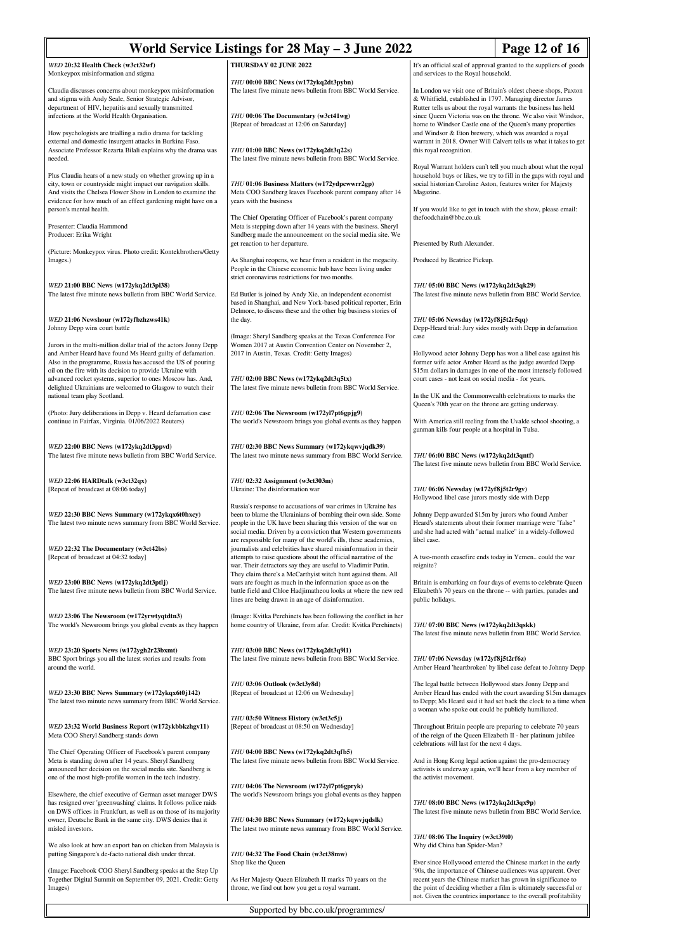| World Service Listings for 28 May – 3 June 2022<br>Page 12 of 16                                                                                                                                                                                                                                                                                                                        |                                                                                                                                                                                                                                                                                                                                   |                                                                                                                                                                                                  |                                                                                                                                                                                                                                                                                                                                      |
|-----------------------------------------------------------------------------------------------------------------------------------------------------------------------------------------------------------------------------------------------------------------------------------------------------------------------------------------------------------------------------------------|-----------------------------------------------------------------------------------------------------------------------------------------------------------------------------------------------------------------------------------------------------------------------------------------------------------------------------------|--------------------------------------------------------------------------------------------------------------------------------------------------------------------------------------------------|--------------------------------------------------------------------------------------------------------------------------------------------------------------------------------------------------------------------------------------------------------------------------------------------------------------------------------------|
| WED 20:32 Health Check (w3ct32wf)<br>Monkeypox misinformation and stigma                                                                                                                                                                                                                                                                                                                | THURSDAY 02 JUNE 2022                                                                                                                                                                                                                                                                                                             | and services to the Royal household.                                                                                                                                                             | It's an official seal of approval granted to the suppliers of goods                                                                                                                                                                                                                                                                  |
| Claudia discusses concerns about monkeypox misinformation<br>and stigma with Andy Seale, Senior Strategic Advisor,<br>department of HIV, hepatitis and sexually transmitted<br>infections at the World Health Organisation.<br>How psychologists are trialling a radio drama for tackling                                                                                               | THU 00:00 BBC News (w172ykq2dt3pybn)<br>The latest five minute news bulletin from BBC World Service.<br>THU 00:06 The Documentary (w3ct41wg)<br>[Repeat of broadcast at 12:06 on Saturday]                                                                                                                                        | & Whitfield, established in 1797. Managing director James<br>Rutter tells us about the royal warrants the business has held<br>and Windsor & Eton brewery, which was awarded a royal             | In London we visit one of Britain's oldest cheese shops, Paxton<br>since Queen Victoria was on the throne. We also visit Windsor,<br>home to Windsor Castle one of the Queen's many properties                                                                                                                                       |
| external and domestic insurgent attacks in Burkina Faso.<br>Associate Professor Rezarta Bilali explains why the drama was<br>needed.                                                                                                                                                                                                                                                    | THU 01:00 BBC News (w172ykq2dt3q22s)<br>The latest five minute news bulletin from BBC World Service.                                                                                                                                                                                                                              | this royal recognition.                                                                                                                                                                          | warrant in 2018. Owner Will Calvert tells us what it takes to get                                                                                                                                                                                                                                                                    |
| Plus Claudia hears of a new study on whether growing up in a<br>city, town or countryside might impact our navigation skills.<br>And visits the Chelsea Flower Show in London to examine the<br>evidence for how much of an effect gardening might have on a<br>person's mental health.                                                                                                 | THU 01:06 Business Matters (w172ydpcwwrr2gp)<br>Meta COO Sandberg leaves Facebook parent company after 14<br>years with the business                                                                                                                                                                                              | social historian Caroline Aston, features writer for Majesty<br>Magazine.                                                                                                                        | Royal Warrant holders can't tell you much about what the royal<br>household buys or likes, we try to fill in the gaps with royal and<br>If you would like to get in touch with the show, please email:                                                                                                                               |
| Presenter: Claudia Hammond<br>Producer: Erika Wright                                                                                                                                                                                                                                                                                                                                    | The Chief Operating Officer of Facebook's parent company<br>Meta is stepping down after 14 years with the business. Sheryl<br>Sandberg made the announcement on the social media site. We<br>get reaction to her departure.                                                                                                       | thefoodchain@bbc.co.uk<br>Presented by Ruth Alexander.                                                                                                                                           |                                                                                                                                                                                                                                                                                                                                      |
| (Picture: Monkeypox virus. Photo credit: Kontekbrothers/Getty<br>Images.)                                                                                                                                                                                                                                                                                                               | As Shanghai reopens, we hear from a resident in the megacity.<br>People in the Chinese economic hub have been living under<br>strict coronavirus restrictions for two months.                                                                                                                                                     | Produced by Beatrice Pickup.                                                                                                                                                                     |                                                                                                                                                                                                                                                                                                                                      |
| WED 21:00 BBC News (w172ykq2dt3pl38)<br>The latest five minute news bulletin from BBC World Service.                                                                                                                                                                                                                                                                                    | Ed Butler is joined by Andy Xie, an independent economist<br>based in Shanghai, and New York-based political reporter, Erin<br>Delmore, to discuss these and the other big business stories of                                                                                                                                    | THU 05:00 BBC News (w172ykq2dt3qk29)                                                                                                                                                             | The latest five minute news bulletin from BBC World Service.                                                                                                                                                                                                                                                                         |
| WED 21:06 Newshour (w172yfbzhzws41k)<br>Johnny Depp wins court battle                                                                                                                                                                                                                                                                                                                   | the day.                                                                                                                                                                                                                                                                                                                          | THU 05:06 Newsday (w172yf8j5t2r5qq)                                                                                                                                                              | Depp-Heard trial: Jury sides mostly with Depp in defamation                                                                                                                                                                                                                                                                          |
| Jurors in the multi-million dollar trial of the actors Jonny Depp<br>and Amber Heard have found Ms Heard guilty of defamation.<br>Also in the programme, Russia has accused the US of pouring<br>oil on the fire with its decision to provide Ukraine with<br>advanced rocket systems, superior to ones Moscow has. And,<br>delighted Ukrainians are welcomed to Glasgow to watch their | (Image: Sheryl Sandberg speaks at the Texas Conference For<br>Women 2017 at Austin Convention Center on November 2,<br>2017 in Austin, Texas. Credit: Getty Images)<br>THU 02:00 BBC News (w172ykq2dt3q5tx)<br>The latest five minute news bulletin from BBC World Service.                                                       | case<br>court cases - not least on social media - for years.                                                                                                                                     | Hollywood actor Johnny Depp has won a libel case against his<br>former wife actor Amber Heard as the judge awarded Depp<br>\$15m dollars in damages in one of the most intensely followed                                                                                                                                            |
| national team play Scotland.                                                                                                                                                                                                                                                                                                                                                            |                                                                                                                                                                                                                                                                                                                                   | Queen's 70th year on the throne are getting underway.                                                                                                                                            | In the UK and the Commonwealth celebrations to marks the                                                                                                                                                                                                                                                                             |
| (Photo: Jury deliberations in Depp v. Heard defamation case<br>continue in Fairfax, Virginia. 01/06/2022 Reuters)                                                                                                                                                                                                                                                                       | THU 02:06 The Newsroom (w172yl7pt6gpjg9)<br>The world's Newsroom brings you global events as they happen                                                                                                                                                                                                                          | gunman kills four people at a hospital in Tulsa.                                                                                                                                                 | With America still reeling from the Uvalde school shooting, a                                                                                                                                                                                                                                                                        |
| WED 22:00 BBC News (w172ykq2dt3ppvd)<br>The latest five minute news bulletin from BBC World Service.                                                                                                                                                                                                                                                                                    | THU 02:30 BBC News Summary (w172ykqwvjqdk39)<br>The latest two minute news summary from BBC World Service.                                                                                                                                                                                                                        | THU 06:00 BBC News (w172ykq2dt3qntf)                                                                                                                                                             | The latest five minute news bulletin from BBC World Service.                                                                                                                                                                                                                                                                         |
| WED 22:06 HARDtalk (w3ct32qx)<br>[Repeat of broadcast at 08:06 today]                                                                                                                                                                                                                                                                                                                   | THU 02:32 Assignment (w3ct303m)<br>Ukraine: The disinformation war                                                                                                                                                                                                                                                                | THU 06:06 Newsday (w172yf8j5t2r9gv)<br>Hollywood libel case jurors mostly side with Depp                                                                                                         |                                                                                                                                                                                                                                                                                                                                      |
| WED 22:30 BBC News Summary (w172ykqx6t0hxcy)<br>The latest two minute news summary from BBC World Service.                                                                                                                                                                                                                                                                              | Russia's response to accusations of war crimes in Ukraine has<br>been to blame the Ukrainians of bombing their own side. Some<br>people in the UK have been sharing this version of the war on<br>social media. Driven by a conviction that Western governments<br>are responsible for many of the world's ills, these academics, | Johnny Depp awarded \$15m by jurors who found Amber<br>Heard's statements about their former marriage were "false"<br>and she had acted with "actual malice" in a widely-followed<br>libel case. |                                                                                                                                                                                                                                                                                                                                      |
| WED 22:32 The Documentary (w3ct42bs)<br>[Repeat of broadcast at 04:32 today]                                                                                                                                                                                                                                                                                                            | journalists and celebrities have shared misinformation in their<br>attempts to raise questions about the official narrative of the<br>war. Their detractors say they are useful to Vladimir Putin.                                                                                                                                | A two-month ceasefire ends today in Yemen could the war<br>reignite?                                                                                                                             |                                                                                                                                                                                                                                                                                                                                      |
| WED 23:00 BBC News (w172ykq2dt3ptlj)<br>The latest five minute news bulletin from BBC World Service.                                                                                                                                                                                                                                                                                    | They claim there's a McCarthyist witch hunt against them. All<br>wars are fought as much in the information space as on the<br>battle field and Chloe Hadjimatheou looks at where the new red<br>lines are being drawn in an age of disinformation.                                                                               | public holidays.                                                                                                                                                                                 | Britain is embarking on four days of events to celebrate Queen<br>Elizabeth's 70 years on the throne -- with parties, parades and                                                                                                                                                                                                    |
| WED 23:06 The Newsroom (w172yrwtyqtdtn3)<br>The world's Newsroom brings you global events as they happen                                                                                                                                                                                                                                                                                | (Image: Kvitka Perehinets has been following the conflict in her<br>home country of Ukraine, from afar. Credit: Kvitka Perehinets)                                                                                                                                                                                                | THU 07:00 BBC News (w172ykq2dt3qskk)                                                                                                                                                             | The latest five minute news bulletin from BBC World Service.                                                                                                                                                                                                                                                                         |
| WED 23:20 Sports News (w172ygh2r23bxmt)<br>BBC Sport brings you all the latest stories and results from<br>around the world.                                                                                                                                                                                                                                                            | THU 03:00 BBC News (w172ykq2dt3q9l1)<br>The latest five minute news bulletin from BBC World Service.                                                                                                                                                                                                                              | THU 07:06 Newsday (w172yf8j5t2rf6z)                                                                                                                                                              | Amber Heard 'heartbroken' by libel case defeat to Johnny Depp                                                                                                                                                                                                                                                                        |
| WED 23:30 BBC News Summary (w172ykqx6t0j142)<br>The latest two minute news summary from BBC World Service.                                                                                                                                                                                                                                                                              | THU 03:06 Outlook (w3ct3y8d)<br>[Repeat of broadcast at 12:06 on Wednesday]                                                                                                                                                                                                                                                       | The legal battle between Hollywood stars Jonny Depp and<br>a woman who spoke out could be publicly humiliated.                                                                                   | Amber Heard has ended with the court awarding \$15m damages<br>to Depp; Ms Heard said it had set back the clock to a time when                                                                                                                                                                                                       |
| WED 23:32 World Business Report (w172ykbbkzhgv11)<br>Meta COO Sheryl Sandberg stands down                                                                                                                                                                                                                                                                                               | THU 03:50 Witness History (w3ct3c5j)<br>[Repeat of broadcast at 08:50 on Wednesday]                                                                                                                                                                                                                                               | of the reign of the Queen Elizabeth II - her platinum jubilee<br>celebrations will last for the next 4 days.                                                                                     | Throughout Britain people are preparing to celebrate 70 years                                                                                                                                                                                                                                                                        |
| The Chief Operating Officer of Facebook's parent company<br>Meta is standing down after 14 years. Sheryl Sandberg<br>announced her decision on the social media site. Sandberg is<br>one of the most high-profile women in the tech industry.                                                                                                                                           | THU 04:00 BBC News (w172ykq2dt3qfb5)<br>The latest five minute news bulletin from BBC World Service.<br>THU 04:06 The Newsroom (w172yl7pt6gpryk)                                                                                                                                                                                  | And in Hong Kong legal action against the pro-democracy<br>the activist movement.                                                                                                                | activists is underway again, we'll hear from a key member of                                                                                                                                                                                                                                                                         |
| Elsewhere, the chief executive of German asset manager DWS<br>has resigned over 'greenwashing' claims. It follows police raids<br>on DWS offices in Frankfurt, as well as on those of its majority<br>owner, Deutsche Bank in the same city. DWS denies that it<br>misled investors.                                                                                                    | The world's Newsroom brings you global events as they happen<br>THU 04:30 BBC News Summary (w172ykqwvjqdslk)<br>The latest two minute news summary from BBC World Service.                                                                                                                                                        | THU 08:00 BBC News (w172ykq2dt3qx9p)                                                                                                                                                             | The latest five minute news bulletin from BBC World Service.                                                                                                                                                                                                                                                                         |
| We also look at how an export ban on chicken from Malaysia is<br>putting Singapore's de-facto national dish under threat.                                                                                                                                                                                                                                                               | THU 04:32 The Food Chain (w3ct38mw)                                                                                                                                                                                                                                                                                               | THU 08:06 The Inquiry (w3ct39t0)<br>Why did China ban Spider-Man?                                                                                                                                |                                                                                                                                                                                                                                                                                                                                      |
| (Image: Facebook COO Sheryl Sandberg speaks at the Step Up<br>Together Digital Summit on September 09, 2021. Credit: Getty<br>Images)                                                                                                                                                                                                                                                   | Shop like the Queen<br>As Her Majesty Queen Elizabeth II marks 70 years on the<br>throne, we find out how you get a royal warrant.                                                                                                                                                                                                |                                                                                                                                                                                                  | Ever since Hollywood entered the Chinese market in the early<br>'90s, the importance of Chinese audiences was apparent. Over<br>recent years the Chinese market has grown in significance to<br>the point of deciding whether a film is ultimately successful or<br>not. Given the countries importance to the overall profitability |
|                                                                                                                                                                                                                                                                                                                                                                                         | Supported by bbc.co.uk/programmes/                                                                                                                                                                                                                                                                                                |                                                                                                                                                                                                  |                                                                                                                                                                                                                                                                                                                                      |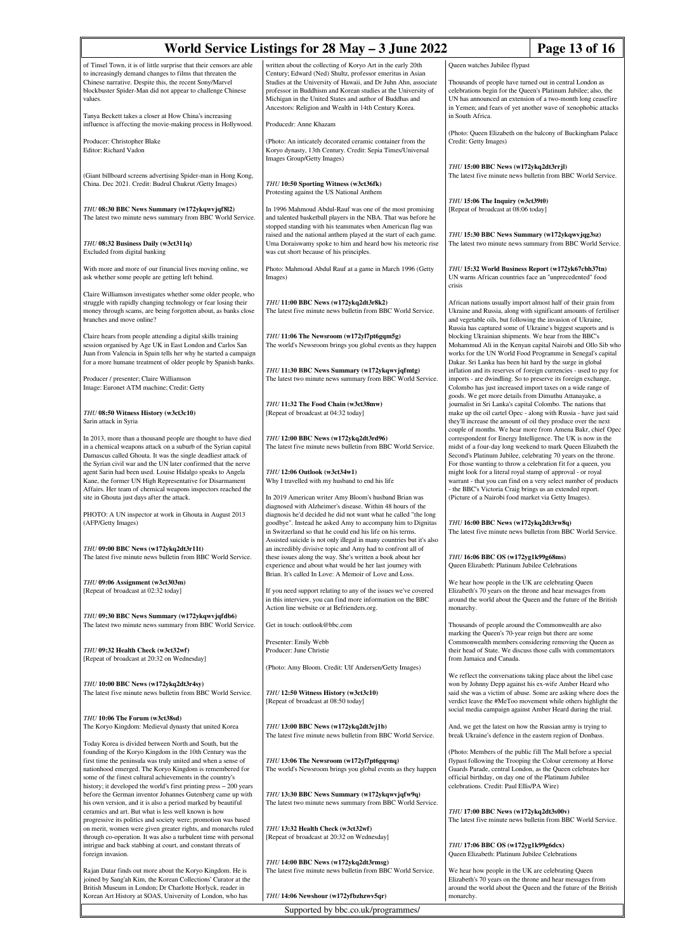| Page 13 of 16<br>World Service Listings for 28 May – 3 June 2022                                                                                                                                                                                                                                                                                                                    |                                                                                                                                                                                                                                                                                                                         |                                                                                                                                                                                                                                                                                                                                                                                                                                                                                                 |  |  |  |
|-------------------------------------------------------------------------------------------------------------------------------------------------------------------------------------------------------------------------------------------------------------------------------------------------------------------------------------------------------------------------------------|-------------------------------------------------------------------------------------------------------------------------------------------------------------------------------------------------------------------------------------------------------------------------------------------------------------------------|-------------------------------------------------------------------------------------------------------------------------------------------------------------------------------------------------------------------------------------------------------------------------------------------------------------------------------------------------------------------------------------------------------------------------------------------------------------------------------------------------|--|--|--|
| of Tinsel Town, it is of little surprise that their censors are able<br>to increasingly demand changes to films that threaten the<br>Chinese narrative. Despite this, the recent Sony/Marvel<br>blockbuster Spider-Man did not appear to challenge Chinese<br>values.                                                                                                               | written about the collecting of Koryo Art in the early 20th<br>Century; Edward (Ned) Shultz, professor emeritus in Asian<br>Studies at the University of Hawaii, and Dr Juhn Ahn, associate<br>professor in Buddhism and Korean studies at the University of<br>Michigan in the United States and author of Buddhas and | Queen watches Jubilee flypast<br>Thousands of people have turned out in central London as<br>celebrations begin for the Queen's Platinum Jubilee; also, the<br>UN has announced an extension of a two-month long ceasefire<br>in Yemen; and fears of yet another wave of xenophobic attacks<br>in South Africa.                                                                                                                                                                                 |  |  |  |
| Tanya Beckett takes a closer at How China's increasing<br>influence is affecting the movie-making process in Hollywood.                                                                                                                                                                                                                                                             | Ancestors: Religion and Wealth in 14th Century Korea.<br>Producedr: Anne Khazam                                                                                                                                                                                                                                         |                                                                                                                                                                                                                                                                                                                                                                                                                                                                                                 |  |  |  |
| Producer: Christopher Blake<br>Editor: Richard Vadon                                                                                                                                                                                                                                                                                                                                | (Photo: An inticately decorated ceramic container from the<br>Koryo dynasty, 13th Century. Credit: Sepia Times/Universal<br>Images Group/Getty Images)                                                                                                                                                                  | (Photo: Queen Elizabeth on the balcony of Buckingham Palace<br>Credit: Getty Images)                                                                                                                                                                                                                                                                                                                                                                                                            |  |  |  |
| (Giant billboard screens advertising Spider-man in Hong Kong,<br>China. Dec 2021. Credit: Budrul Chukrut /Getty Images)                                                                                                                                                                                                                                                             | THU 10:50 Sporting Witness (w3ct36fk)<br>Protesting against the US National Anthem                                                                                                                                                                                                                                      | THU 15:00 BBC News (w172ykq2dt3rrjl)<br>The latest five minute news bulletin from BBC World Service.                                                                                                                                                                                                                                                                                                                                                                                            |  |  |  |
| THU 08:30 BBC News Summary (w172ykqwvjqf8l2)<br>The latest two minute news summary from BBC World Service.                                                                                                                                                                                                                                                                          | In 1996 Mahmoud Abdul-Rauf was one of the most promising<br>and talented basketball players in the NBA. That was before he<br>stopped standing with his teammates when American flag was<br>raised and the national anthem played at the start of each game.                                                            | THU 15:06 The Inquiry (w3ct39t0)<br>[Repeat of broadcast at 08:06 today]                                                                                                                                                                                                                                                                                                                                                                                                                        |  |  |  |
| THU 08:32 Business Daily (w3ct311q)<br>Excluded from digital banking                                                                                                                                                                                                                                                                                                                | Uma Doraiswamy spoke to him and heard how his meteoric rise<br>was cut short because of his principles.                                                                                                                                                                                                                 | THU 15:30 BBC News Summary (w172ykqwvjqg3sz)<br>The latest two minute news summary from BBC World Service.                                                                                                                                                                                                                                                                                                                                                                                      |  |  |  |
| With more and more of our financial lives moving online, we<br>ask whether some people are getting left behind.                                                                                                                                                                                                                                                                     | Photo: Mahmoud Abdul Rauf at a game in March 1996 (Getty<br>Images)                                                                                                                                                                                                                                                     | THU 15:32 World Business Report (w172yk67cbh37tn)<br>UN warns African countries face an "unprecedented" food<br>crisis                                                                                                                                                                                                                                                                                                                                                                          |  |  |  |
| Claire Williamson investigates whether some older people, who<br>struggle with rapidly changing technology or fear losing their<br>money through scams, are being forgotten about, as banks close<br>branches and move online?                                                                                                                                                      | THU 11:00 BBC News (w172ykq2dt3r8k2)<br>The latest five minute news bulletin from BBC World Service.                                                                                                                                                                                                                    | African nations usually import almost half of their grain from<br>Ukraine and Russia, along with significant amounts of fertiliser<br>and vegetable oils, but following the invasion of Ukraine,<br>Russia has captured some of Ukraine's biggest seaports and is                                                                                                                                                                                                                               |  |  |  |
| Claire hears from people attending a digital skills training<br>session organised by Age UK in East London and Carlos San<br>Juan from Valencia in Spain tells her why he started a campaign<br>for a more humane treatment of older people by Spanish banks.                                                                                                                       | THU 11:06 The Newsroom (w172yl7pt6gqm5g)<br>The world's Newsroom brings you global events as they happen                                                                                                                                                                                                                | blocking Ukrainian shipments. We hear from the BBC's<br>Mohammud Ali in the Kenyan capital Nairobi and Ollo Sib who<br>works for the UN World Food Programme in Senegal's capital<br>Dakar. Sri Lanka has been hit hard by the surge in global                                                                                                                                                                                                                                                  |  |  |  |
| Producer / presenter; Claire Williamson<br>Image: Euronet ATM machine; Credit: Getty                                                                                                                                                                                                                                                                                                | THU 11:30 BBC News Summary (w172ykqwvjqfmtg)<br>The latest two minute news summary from BBC World Service.                                                                                                                                                                                                              | inflation and its reserves of foreign currencies - used to pay for<br>imports - are dwindling. So to preserve its foreign exchange,<br>Colombo has just increased import taxes on a wide range of<br>goods. We get more details from Dimuthu Attanayake, a                                                                                                                                                                                                                                      |  |  |  |
| THU 08:50 Witness History (w3ct3c10)<br>Sarin attack in Syria                                                                                                                                                                                                                                                                                                                       | THU 11:32 The Food Chain (w3ct38mw)<br>[Repeat of broadcast at 04:32 today]                                                                                                                                                                                                                                             | journalist in Sri Lanka's capital Colombo. The nations that<br>make up the oil cartel Opec - along with Russia - have just said<br>they'll increase the amount of oil they produce over the next<br>couple of months. We hear more from Amena Bakr, chief Opec                                                                                                                                                                                                                                  |  |  |  |
| In 2013, more than a thousand people are thought to have died<br>in a chemical weapons attack on a suburb of the Syrian capital<br>Damascus called Ghouta. It was the single deadliest attack of<br>the Syrian civil war and the UN later confirmed that the nerve<br>agent Sarin had been used. Louise Hidalgo speaks to Angela                                                    | THU 12:00 BBC News (w172ykq2dt3rd96)<br>The latest five minute news bulletin from BBC World Service.<br>THU 12:06 Outlook (w3ct34w1)                                                                                                                                                                                    | correspondent for Energy Intelligence. The UK is now in the<br>midst of a four-day long weekend to mark Queen Elizabeth the<br>Second's Platinum Jubilee, celebrating 70 years on the throne.<br>For those wanting to throw a celebration fit for a queen, you<br>might look for a literal royal stamp of approval - or royal                                                                                                                                                                   |  |  |  |
| Kane, the former UN High Representative for Disarmament<br>Affairs. Her team of chemical weapons inspectors reached the<br>site in Ghouta just days after the attack.                                                                                                                                                                                                               | Why I travelled with my husband to end his life<br>In 2019 American writer Amy Bloom's husband Brian was<br>diagnosed with Alzheimer's disease. Within 48 hours of the                                                                                                                                                  | warrant - that you can find on a very select number of products<br>- the BBC's Victoria Craig brings us an extended report.<br>(Picture of a Nairobi food market via Getty Images).                                                                                                                                                                                                                                                                                                             |  |  |  |
| PHOTO: A UN inspector at work in Ghouta in August 2013<br>(AFP/Getty Images)                                                                                                                                                                                                                                                                                                        | diagnosis he'd decided he did not want what he called "the long<br>goodbye". Instead he asked Amy to accompany him to Dignitas<br>in Switzerland so that he could end his life on his terms.<br>Assisted suicide is not only illegal in many countries but it's also                                                    | THU 16:00 BBC News (w172ykq2dt3rw8q)<br>The latest five minute news bulletin from BBC World Service.                                                                                                                                                                                                                                                                                                                                                                                            |  |  |  |
| THU 09:00 BBC News (w172ykq2dt3r11t)<br>The latest five minute news bulletin from BBC World Service.                                                                                                                                                                                                                                                                                | an incredibly divisive topic and Amy had to confront all of<br>these issues along the way. She's written a book about her<br>experience and about what would be her last journey with<br>Brian. It's called In Love: A Memoir of Love and Loss.                                                                         | THU 16:06 BBC OS (w172yg1k99g68ms)<br>Queen Elizabeth: Platinum Jubilee Celebrations                                                                                                                                                                                                                                                                                                                                                                                                            |  |  |  |
| THU 09:06 Assignment (w3ct303m)<br>[Repeat of broadcast at 02:32 today]                                                                                                                                                                                                                                                                                                             | If you need support relating to any of the issues we've covered<br>in this interview, you can find more information on the BBC<br>Action line website or at Befrienders.org.                                                                                                                                            | We hear how people in the UK are celebrating Queen<br>Elizabeth's 70 years on the throne and hear messages from<br>around the world about the Queen and the future of the British<br>monarchy.                                                                                                                                                                                                                                                                                                  |  |  |  |
| THU 09:30 BBC News Summary (w172ykqwvjqfdb6)<br>The latest two minute news summary from BBC World Service.                                                                                                                                                                                                                                                                          | Get in touch: outlook@bbc.com<br>Presenter: Emily Webb                                                                                                                                                                                                                                                                  | Thousands of people around the Commonwealth are also<br>marking the Queen's 70-year reign but there are some<br>Commonwealth members considering removing the Queen as                                                                                                                                                                                                                                                                                                                          |  |  |  |
| THU 09:32 Health Check (w3ct32wf)<br>[Repeat of broadcast at 20:32 on Wednesday]                                                                                                                                                                                                                                                                                                    | Producer: June Christie<br>(Photo: Amy Bloom. Credit: Ulf Andersen/Getty Images)                                                                                                                                                                                                                                        | their head of State. We discuss those calls with commentators<br>from Jamaica and Canada.                                                                                                                                                                                                                                                                                                                                                                                                       |  |  |  |
| THU 10:00 BBC News (w172ykq2dt3r4sy)<br>The latest five minute news bulletin from BBC World Service.                                                                                                                                                                                                                                                                                | THU 12:50 Witness History (w3ct3c10)<br>[Repeat of broadcast at 08:50 today]                                                                                                                                                                                                                                            | We reflect the conversations taking place about the libel case<br>won by Johnny Depp against his ex-wife Amber Heard who<br>said she was a victim of abuse. Some are asking where does the<br>verdict leave the #MeToo movement while others highlight the<br>social media campaign against Amber Heard during the trial.                                                                                                                                                                       |  |  |  |
| THU 10:06 The Forum (w3ct38sd)<br>The Koryo Kingdom: Medieval dynasty that united Korea                                                                                                                                                                                                                                                                                             | THU 13:00 BBC News (w172ykq2dt3rj1b)<br>The latest five minute news bulletin from BBC World Service.                                                                                                                                                                                                                    | And, we get the latest on how the Russian army is trying to<br>break Ukraine's defence in the eastern region of Donbass.                                                                                                                                                                                                                                                                                                                                                                        |  |  |  |
| Today Korea is divided between North and South, but the<br>founding of the Koryo Kingdom in the 10th Century was the<br>first time the peninsula was truly united and when a sense of<br>nationhood emerged. The Koryo Kingdom is remembered for<br>some of the finest cultural achievements in the country's<br>history; it developed the world's first printing press - 200 years | THU 13:06 The Newsroom (w172yl7pt6gqvnq)<br>The world's Newsroom brings you global events as they happen                                                                                                                                                                                                                | (Photo: Members of the public fill The Mall before a special<br>flypast following the Trooping the Colour ceremony at Horse<br>Guards Parade, central London, as the Queen celebrates her<br>official birthday, on day one of the Platinum Jubilee<br>celebrations. Credit: Paul Ellis/PA Wire)<br>THU 17:00 BBC News (w172ykq2dt3s00v)<br>The latest five minute news bulletin from BBC World Service.<br>THU 17:06 BBC OS (w172yg1k99g6dcx)<br>Queen Elizabeth: Platinum Jubilee Celebrations |  |  |  |
| before the German inventor Johannes Gutenberg came up with<br>his own version, and it is also a period marked by beautiful<br>ceramics and art. But what is less well known is how<br>progressive its politics and society were; promotion was based                                                                                                                                | THU 13:30 BBC News Summary (w172ykqwvjqfw9q)<br>The latest two minute news summary from BBC World Service.                                                                                                                                                                                                              |                                                                                                                                                                                                                                                                                                                                                                                                                                                                                                 |  |  |  |
| on merit, women were given greater rights, and monarchs ruled<br>through co-operation. It was also a turbulent time with personal<br>intrigue and back stabbing at court, and constant threats of<br>foreign invasion.                                                                                                                                                              | THU 13:32 Health Check (w3ct32wf)<br>[Repeat of broadcast at 20:32 on Wednesday]                                                                                                                                                                                                                                        |                                                                                                                                                                                                                                                                                                                                                                                                                                                                                                 |  |  |  |
| Rajan Datar finds out more about the Koryo Kingdom. He is<br>joined by Sang'ah Kim, the Korean Collections' Curator at the<br>British Museum in London; Dr Charlotte Horlyck, reader in                                                                                                                                                                                             | THU 14:00 BBC News (w172ykq2dt3rmsg)<br>The latest five minute news bulletin from BBC World Service.                                                                                                                                                                                                                    | We hear how people in the UK are celebrating Queen<br>Elizabeth's 70 years on the throne and hear messages from<br>around the world about the Queen and the future of the British                                                                                                                                                                                                                                                                                                               |  |  |  |
| Korean Art History at SOAS, University of London, who has                                                                                                                                                                                                                                                                                                                           | THU 14:06 Newshour (w172yfbzhzwv5qr)<br>Supported by bbc.co.uk/programmes/                                                                                                                                                                                                                                              | monarchy.                                                                                                                                                                                                                                                                                                                                                                                                                                                                                       |  |  |  |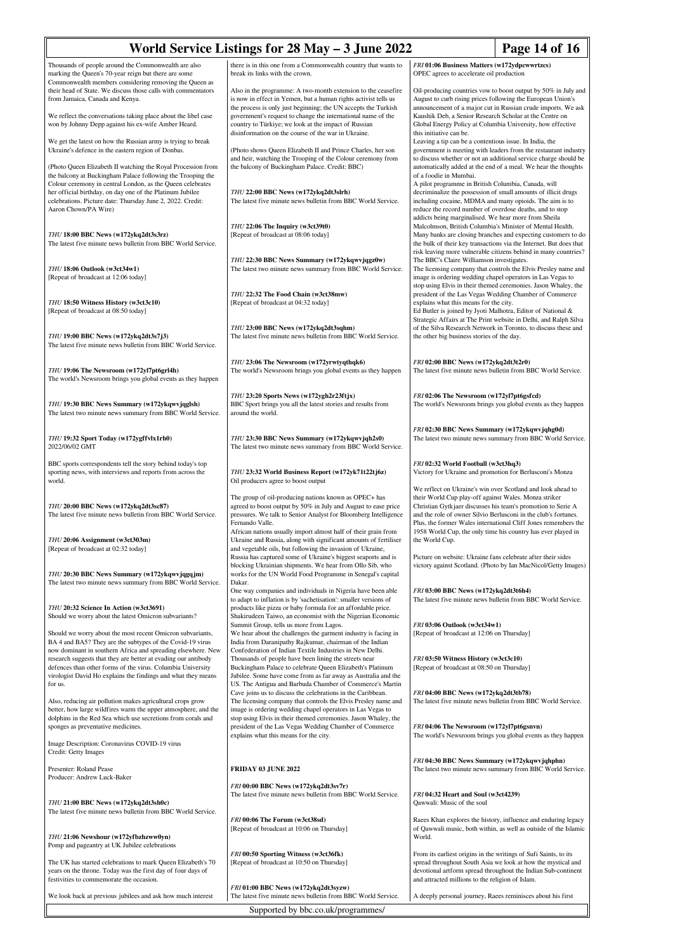| World Service Listings for 28 May - 3 June 2022                                                                                                                                                                                                           | Page 14 of 16                                                                                                                                                                                                                                                                   |                                                                                                                                                                                                                                                                                                                                                                                                                                                                                                                                                                                                    |                                                                                                                                    |  |  |  |
|-----------------------------------------------------------------------------------------------------------------------------------------------------------------------------------------------------------------------------------------------------------|---------------------------------------------------------------------------------------------------------------------------------------------------------------------------------------------------------------------------------------------------------------------------------|----------------------------------------------------------------------------------------------------------------------------------------------------------------------------------------------------------------------------------------------------------------------------------------------------------------------------------------------------------------------------------------------------------------------------------------------------------------------------------------------------------------------------------------------------------------------------------------------------|------------------------------------------------------------------------------------------------------------------------------------|--|--|--|
| Thousands of people around the Commonwealth are also<br>marking the Queen's 70-year reign but there are some                                                                                                                                              | there is in this one from a Commonwealth country that wants to<br>break its links with the crown.                                                                                                                                                                               | FRI 01:06 Business Matters (w172ydpcwwrtzcs)<br>OPEC agrees to accelerate oil production                                                                                                                                                                                                                                                                                                                                                                                                                                                                                                           |                                                                                                                                    |  |  |  |
| Commonwealth members considering removing the Queen as<br>their head of State. We discuss those calls with commentators<br>from Jamaica, Canada and Kenya.                                                                                                | Also in the programme: A two-month extension to the ceasefire<br>is now in effect in Yemen, but a human rights activist tells us<br>the process is only just beginning; the UN accepts the Turkish                                                                              | Oil-producing countries vow to boost output by 50% in July and<br>August to curb rising prices following the European Union's<br>announcement of a major cut in Russian crude imports. We ask                                                                                                                                                                                                                                                                                                                                                                                                      |                                                                                                                                    |  |  |  |
| We reflect the conversations taking place about the libel case<br>won by Johnny Depp against his ex-wife Amber Heard.                                                                                                                                     | government's request to change the international name of the<br>country to Türkiye; we look at the impact of Russian<br>disinformation on the course of the war in Ukraine.                                                                                                     | Kaushik Deb, a Senior Research Scholar at the Centre on<br>Global Energy Policy at Columbia University, how effective<br>this initiative can be.                                                                                                                                                                                                                                                                                                                                                                                                                                                   |                                                                                                                                    |  |  |  |
| We get the latest on how the Russian army is trying to break<br>Ukraine's defence in the eastern region of Donbas.                                                                                                                                        | (Photo shows Queen Elizabeth II and Prince Charles, her son                                                                                                                                                                                                                     | Leaving a tip can be a contentious issue. In India, the<br>government is meeting with leaders from the restaurant industry<br>to discuss whether or not an additional service charge should be<br>automatically added at the end of a meal. We hear the thoughts<br>of a foodie in Mumbai.<br>A pilot programme in British Columbia, Canada, will<br>decriminalize the possession of small amounts of illicit drugs<br>including cocaine, MDMA and many opioids. The aim is to<br>reduce the record number of overdose deaths, and to stop<br>addicts being marginalised. We hear more from Sheila |                                                                                                                                    |  |  |  |
| (Photo Queen Elizabeth II watching the Royal Procession from<br>the balcony at Buckingham Palace following the Trooping the<br>Colour ceremony in central London, as the Queen celebrates                                                                 | and heir, watching the Trooping of the Colour ceremony from<br>the balcony of Buckingham Palace. Credit: BBC)                                                                                                                                                                   |                                                                                                                                                                                                                                                                                                                                                                                                                                                                                                                                                                                                    |                                                                                                                                    |  |  |  |
| her official birthday, on day one of the Platinum Jubilee<br>celebrations. Picture date: Thursday June 2, 2022. Credit:<br>Aaron Chown/PA Wire)                                                                                                           | THU 22:00 BBC News (w172ykq2dt3slrh)<br>The latest five minute news bulletin from BBC World Service.                                                                                                                                                                            |                                                                                                                                                                                                                                                                                                                                                                                                                                                                                                                                                                                                    |                                                                                                                                    |  |  |  |
| THU 18:00 BBC News (w172ykq2dt3s3rz)<br>The latest five minute news bulletin from BBC World Service.                                                                                                                                                      | THU 22:06 The Inquiry (w3ct39t0)<br>[Repeat of broadcast at 08:06 today]                                                                                                                                                                                                        | Malcolmson, British Columbia's Minister of Mental Health.<br>Many banks are closing branches and expecting customers to do<br>the bulk of their key transactions via the Internet. But does that<br>risk leaving more vulnerable citizens behind in many countries?                                                                                                                                                                                                                                                                                                                                |                                                                                                                                    |  |  |  |
| THU 18:06 Outlook (w3ct34w1)<br>[Repeat of broadcast at 12:06 today]                                                                                                                                                                                      | THU 22:30 BBC News Summary (w172ykqwvjqgz0w)<br>The latest two minute news summary from BBC World Service.                                                                                                                                                                      | The BBC's Claire Williamson investigates.<br>The licensing company that controls the Elvis Presley name and<br>image is ordering wedding chapel operators in Las Vegas to<br>stop using Elvis in their themed ceremonies. Jason Whaley, the<br>president of the Las Vegas Wedding Chamber of Commerce<br>explains what this means for the city.<br>Ed Butler is joined by Jyoti Malhotra, Editor of National &<br>Strategic Affairs at The Print website in Delhi, and Ralph Silva<br>of the Silva Research Network in Toronto, to discuss these and<br>the other big business stories of the day. |                                                                                                                                    |  |  |  |
| THU 18:50 Witness History (w3ct3c10)<br>[Repeat of broadcast at 08:50 today]                                                                                                                                                                              | THU 22:32 The Food Chain (w3ct38mw)<br>[Repeat of broadcast at 04:32 today]                                                                                                                                                                                                     |                                                                                                                                                                                                                                                                                                                                                                                                                                                                                                                                                                                                    |                                                                                                                                    |  |  |  |
| THU 19:00 BBC News (w172ykq2dt3s7j3)<br>The latest five minute news bulletin from BBC World Service.                                                                                                                                                      | THU 23:00 BBC News (w172ykq2dt3sqhm)<br>The latest five minute news bulletin from BBC World Service.                                                                                                                                                                            |                                                                                                                                                                                                                                                                                                                                                                                                                                                                                                                                                                                                    |                                                                                                                                    |  |  |  |
| THU 19:06 The Newsroom (w172yl7pt6grl4h)<br>The world's Newsroom brings you global events as they happen                                                                                                                                                  | THU 23:06 The Newsroom (w172yrwtyqthqk6)<br>The world's Newsroom brings you global events as they happen                                                                                                                                                                        | FRI 02:00 BBC News (w172ykq2dt3t2r0)<br>The latest five minute news bulletin from BBC World Service.                                                                                                                                                                                                                                                                                                                                                                                                                                                                                               |                                                                                                                                    |  |  |  |
| THU 19:30 BBC News Summary (w172ykqwvjqglsh)<br>The latest two minute news summary from BBC World Service.                                                                                                                                                | THU 23:20 Sports News (w172ygh2r23ftjx)<br>BBC Sport brings you all the latest stories and results from<br>around the world.                                                                                                                                                    | FRI 02:06 The Newsroom (w172yl7pt6gsfcd)<br>The world's Newsroom brings you global events as they happen                                                                                                                                                                                                                                                                                                                                                                                                                                                                                           |                                                                                                                                    |  |  |  |
| THU 19:32 Sport Today (w172ygffvlx1rh0)<br>2022/06/02 GMT                                                                                                                                                                                                 | THU 23:30 BBC News Summary (w172ykqwvjqh2s0)<br>The latest two minute news summary from BBC World Service.                                                                                                                                                                      | FRI 02:30 BBC News Summary (w172ykqwvjqhg0d)                                                                                                                                                                                                                                                                                                                                                                                                                                                                                                                                                       | The latest two minute news summary from BBC World Service.                                                                         |  |  |  |
| BBC sports correspondents tell the story behind today's top<br>sporting news, with interviews and reports from across the<br>world.                                                                                                                       | THU 23:32 World Business Report (w172yk71t22tj6z)<br>Oil producers agree to boost output                                                                                                                                                                                        | FRI 02:32 World Football (w3ct3hq3)<br>Victory for Ukraine and promotion for Berlusconi's Monza                                                                                                                                                                                                                                                                                                                                                                                                                                                                                                    |                                                                                                                                    |  |  |  |
| THU 20:00 BBC News (w172ykq2dt3sc87)<br>The latest five minute news bulletin from BBC World Service.                                                                                                                                                      | The group of oil-producing nations known as OPEC+ has<br>agreed to boost output by 50% in July and August to ease price<br>pressures. We talk to Senior Analyst for Bloomberg Intelligence<br>Fernando Valle.<br>African nations usually import almost half of their grain from | We reflect on Ukraine's win over Scotland and look ahead to<br>their World Cup play-off against Wales. Monza striker<br>Christian Gytkjaer discusses his team's promotion to Serie A<br>and the role of owner Silvio Berlusconi in the club's fortunes.                                                                                                                                                                                                                                                                                                                                            | Plus, the former Wales international Cliff Jones remembers the<br>1958 World Cup, the only time his country has ever played in     |  |  |  |
| THU 20:06 Assignment (w3ct303m)<br>[Repeat of broadcast at 02:32 today]                                                                                                                                                                                   | Ukraine and Russia, along with significant amounts of fertiliser<br>and vegetable oils, but following the invasion of Ukraine,<br>Russia has captured some of Ukraine's biggest seaports and is<br>blocking Ukrainian shipments. We hear from Ollo Sib, who                     | the World Cup.<br>Picture on website: Ukraine fans celebrate after their sides                                                                                                                                                                                                                                                                                                                                                                                                                                                                                                                     | victory against Scotland. (Photo by Ian MacNicol/Getty Images)                                                                     |  |  |  |
| THU 20:30 BBC News Summary (w172ykqwyjqgqjm)<br>The latest two minute news summary from BBC World Service.                                                                                                                                                | works for the UN World Food Programme in Senegal's capital<br>Dakar.<br>One way companies and individuals in Nigeria have been able<br>to adapt to inflation is by 'sachetisation': smaller versions of                                                                         | FRI 03:00 BBC News (w172ykq2dt3t6h4)                                                                                                                                                                                                                                                                                                                                                                                                                                                                                                                                                               | The latest five minute news bulletin from BBC World Service.                                                                       |  |  |  |
| THU 20:32 Science In Action (w3ct3691)<br>Should we worry about the latest Omicron subvariants?                                                                                                                                                           | products like pizza or baby formula for an affordable price.<br>Shakirudeen Taiwo, an economist with the Nigerian Economic<br>Summit Group, tells us more from Lagos.                                                                                                           | FRI 03:06 Outlook (w3ct34w1)                                                                                                                                                                                                                                                                                                                                                                                                                                                                                                                                                                       |                                                                                                                                    |  |  |  |
| Should we worry about the most recent Omicron subvariants,<br>BA 4 and BA5? They are the subtypes of the Covid-19 virus<br>now dominant in southern Africa and spreading elsewhere. New<br>research suggests that they are better at evading our antibody | We hear about the challenges the garment industry is facing in<br>India from Daranipathy Rajkumar, chairman of the Indian<br>Confederation of Indian Textile Industries in New Delhi.<br>Thousands of people have been lining the streets near                                  | [Repeat of broadcast at 12:06 on Thursday]<br>FRI 03:50 Witness History (w3ct3c10)                                                                                                                                                                                                                                                                                                                                                                                                                                                                                                                 |                                                                                                                                    |  |  |  |
| defences than other forms of the virus. Columbia University<br>virologist David Ho explains the findings and what they means<br>for us.                                                                                                                   | Buckingham Palace to celebrate Queen Elizabeth's Platinum<br>Jubilee. Some have come from as far away as Australia and the<br>US. The Antigua and Barbuda Chamber of Commerce's Martin<br>Cave joins us to discuss the celebrations in the Caribbean.                           | [Repeat of broadcast at 08:50 on Thursday]<br>FRI 04:00 BBC News (w172ykq2dt3tb78)                                                                                                                                                                                                                                                                                                                                                                                                                                                                                                                 |                                                                                                                                    |  |  |  |
| Also, reducing air pollution makes agricultural crops grow<br>better, how large wildfires warm the upper atmosphere, and the<br>dolphins in the Red Sea which use secretions from corals and<br>sponges as preventative medicines.                        | The licensing company that controls the Elvis Presley name and<br>image is ordering wedding chapel operators in Las Vegas to<br>stop using Elvis in their themed ceremonies. Jason Whaley, the<br>president of the Las Vegas Wedding Chamber of Commerce                        | FRI 04:06 The Newsroom (w172yl7pt6gsnvn)                                                                                                                                                                                                                                                                                                                                                                                                                                                                                                                                                           | The latest five minute news bulletin from BBC World Service.                                                                       |  |  |  |
| Image Description: Coronavirus COVID-19 virus<br>Credit: Getty Images                                                                                                                                                                                     | explains what this means for the city.                                                                                                                                                                                                                                          |                                                                                                                                                                                                                                                                                                                                                                                                                                                                                                                                                                                                    | The world's Newsroom brings you global events as they happen                                                                       |  |  |  |
| Presenter: Roland Pease<br>Producer: Andrew Luck-Baker                                                                                                                                                                                                    | <b>FRIDAY 03 JUNE 2022</b><br>FRI 00:00 BBC News (w172ykq2dt3sv7r)                                                                                                                                                                                                              | FRI 04:30 BBC News Summary (w172ykqwvjqhphn)                                                                                                                                                                                                                                                                                                                                                                                                                                                                                                                                                       | The latest two minute news summary from BBC World Service.                                                                         |  |  |  |
| THU 21:00 BBC News (w172ykq2dt3sh0c)<br>The latest five minute news bulletin from BBC World Service.                                                                                                                                                      | The latest five minute news bulletin from BBC World Service.                                                                                                                                                                                                                    | FRI 04:32 Heart and Soul (w3ct4239)<br>Qawwali: Music of the soul                                                                                                                                                                                                                                                                                                                                                                                                                                                                                                                                  |                                                                                                                                    |  |  |  |
| THU 21:06 Newshour (w172yfbzhzww0yn)<br>Pomp and pageantry at UK Jubilee celebrations                                                                                                                                                                     | FRI 00:06 The Forum (w3ct38sd)<br>[Repeat of broadcast at 10:06 on Thursday]                                                                                                                                                                                                    | World.                                                                                                                                                                                                                                                                                                                                                                                                                                                                                                                                                                                             | Raees Khan explores the history, influence and enduring legacy<br>of Qawwali music, both within, as well as outside of the Islamic |  |  |  |
| The UK has started celebrations to mark Queen Elizabeth's 70<br>years on the throne. Today was the first day of four days of<br>festivities to commemorate the occasion.                                                                                  | FRI 00:50 Sporting Witness (w3ct36fk)<br>[Repeat of broadcast at 10:50 on Thursday]                                                                                                                                                                                             | From its earliest origins in the writings of Sufi Saints, to its<br>and attracted millions to the religion of Islam.                                                                                                                                                                                                                                                                                                                                                                                                                                                                               | spread throughout South Asia we look at how the mystical and<br>devotional artform spread throughout the Indian Sub-continent      |  |  |  |
| We look back at previous jubilees and ask how much interest                                                                                                                                                                                               | FRI 01:00 BBC News (w172ykq2dt3syzw)<br>The latest five minute news bulletin from BBC World Service.                                                                                                                                                                            | A deeply personal journey, Raees reminisces about his first                                                                                                                                                                                                                                                                                                                                                                                                                                                                                                                                        |                                                                                                                                    |  |  |  |
| Supported by bbc.co.uk/programmes/                                                                                                                                                                                                                        |                                                                                                                                                                                                                                                                                 |                                                                                                                                                                                                                                                                                                                                                                                                                                                                                                                                                                                                    |                                                                                                                                    |  |  |  |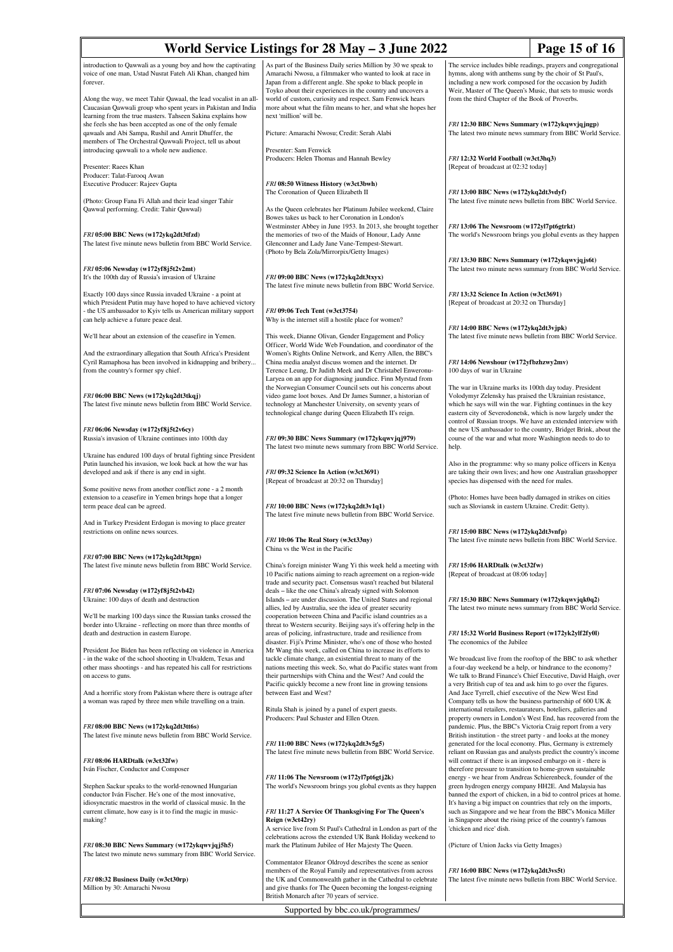|                                                                                                                                                                                                                                                                                                                                               | World Service Listings for 28 May – 3 June 2022                                                                                                                                                                                                                                                                                                                                                                   |                                                                                                                                                                                                                                                                                                                                                                                                                          | Page 15 of 16                                                                                                                 |
|-----------------------------------------------------------------------------------------------------------------------------------------------------------------------------------------------------------------------------------------------------------------------------------------------------------------------------------------------|-------------------------------------------------------------------------------------------------------------------------------------------------------------------------------------------------------------------------------------------------------------------------------------------------------------------------------------------------------------------------------------------------------------------|--------------------------------------------------------------------------------------------------------------------------------------------------------------------------------------------------------------------------------------------------------------------------------------------------------------------------------------------------------------------------------------------------------------------------|-------------------------------------------------------------------------------------------------------------------------------|
| introduction to Qawwali as a young boy and how the captivating<br>voice of one man, Ustad Nusrat Fateh Ali Khan, changed him<br>forever.<br>Along the way, we meet Tahir Qawaal, the lead vocalist in an all-<br>Caucasian Qawwali group who spent years in Pakistan and India<br>learning from the true masters. Tahseen Sakina explains how | As part of the Business Daily series Million by 30 we speak to<br>Amarachi Nwosu, a filmmaker who wanted to look at race in<br>Japan from a different angle. She spoke to black people in<br>Toyko about their experiences in the country and uncovers a<br>world of custom, curiosity and respect. Sam Fenwick hears<br>more about what the film means to her, and what she hopes her<br>next 'million' will be. | The service includes bible readings, prayers and congregational<br>hymns, along with anthems sung by the choir of St Paul's,<br>including a new work composed for the occasion by Judith<br>Weir, Master of The Queen's Music, that sets to music words<br>from the third Chapter of the Book of Proverbs.<br>FRI 12:30 BBC News Summary (w172ykqwvjqjngp)<br>The latest two minute news summary from BBC World Service. |                                                                                                                               |
| she feels she has been accepted as one of the only female<br>qawaals and Abi Sampa, Rushil and Amrit Dhuffer, the<br>members of The Orchestral Qawwali Project, tell us about                                                                                                                                                                 | Picture: Amarachi Nwosu; Credit: Serah Alabi                                                                                                                                                                                                                                                                                                                                                                      |                                                                                                                                                                                                                                                                                                                                                                                                                          |                                                                                                                               |
| introducing qawwali to a whole new audience.<br>Presenter: Raees Khan                                                                                                                                                                                                                                                                         | Presenter: Sam Fenwick<br>Producers: Helen Thomas and Hannah Bewley                                                                                                                                                                                                                                                                                                                                               | FRI 12:32 World Football (w3ct3hq3)<br>[Repeat of broadcast at 02:32 today]                                                                                                                                                                                                                                                                                                                                              |                                                                                                                               |
| Producer: Talat-Farooq Awan<br>Executive Producer: Rajeev Gupta<br>(Photo: Group Fana Fi Allah and their lead singer Tahir                                                                                                                                                                                                                    | FRI 08:50 Witness History (w3ct3bwh)<br>The Coronation of Queen Elizabeth II                                                                                                                                                                                                                                                                                                                                      | FRI 13:00 BBC News (w172ykq2dt3vdyf)<br>The latest five minute news bulletin from BBC World Service.                                                                                                                                                                                                                                                                                                                     |                                                                                                                               |
| Qawwal performing. Credit: Tahir Qawwal)<br>FRI 05:00 BBC News (w172ykq2dt3tfzd)<br>The latest five minute news bulletin from BBC World Service.                                                                                                                                                                                              | As the Queen celebrates her Platinum Jubilee weekend, Claire<br>Bowes takes us back to her Coronation in London's<br>Westminster Abbey in June 1953. In 2013, she brought together<br>the memories of two of the Maids of Honour, Lady Anne<br>Glenconner and Lady Jane Vane-Tempest-Stewart.                                                                                                                     | FRI 13:06 The Newsroom (w172yl7pt6gtrkt)<br>The world's Newsroom brings you global events as they happen                                                                                                                                                                                                                                                                                                                 |                                                                                                                               |
| FRI 05:06 Newsday (w172yf8j5t2v2mt)                                                                                                                                                                                                                                                                                                           | (Photo by Bela Zola/Mirrorpix/Getty Images)                                                                                                                                                                                                                                                                                                                                                                       | FRI 13:30 BBC News Summary (w172ykqwvjqjs6t)                                                                                                                                                                                                                                                                                                                                                                             | The latest two minute news summary from BBC World Service.                                                                    |
| It's the 100th day of Russia's invasion of Ukraine<br>Exactly 100 days since Russia invaded Ukraine - a point at                                                                                                                                                                                                                              | FRI 09:00 BBC News (w172ykq2dt3txyx)<br>The latest five minute news bulletin from BBC World Service.                                                                                                                                                                                                                                                                                                              | FRI 13:32 Science In Action (w3ct3691)                                                                                                                                                                                                                                                                                                                                                                                   |                                                                                                                               |
| which President Putin may have hoped to have achieved victory<br>- the US ambassador to Kyiv tells us American military support<br>can help achieve a future peace deal.                                                                                                                                                                      | FRI 09:06 Tech Tent (w3ct3754)<br>Why is the internet still a hostile place for women?                                                                                                                                                                                                                                                                                                                            | [Repeat of broadcast at 20:32 on Thursday]                                                                                                                                                                                                                                                                                                                                                                               |                                                                                                                               |
| We'll hear about an extension of the ceasefire in Yemen.                                                                                                                                                                                                                                                                                      | This week, Dianne Olivan, Gender Engagement and Policy<br>Officer, World Wide Web Foundation, and coordinator of the                                                                                                                                                                                                                                                                                              | FRI 14:00 BBC News (w172ykq2dt3vjpk)                                                                                                                                                                                                                                                                                                                                                                                     | The latest five minute news bulletin from BBC World Service.                                                                  |
| And the extraordinary allegation that South Africa's President<br>Cyril Ramaphosa has been involved in kidnapping and bribery<br>from the country's former spy chief.                                                                                                                                                                         | Women's Rights Online Network, and Kerry Allen, the BBC's<br>China media analyst discuss women and the internet. Dr<br>Terence Leung, Dr Judith Meek and Dr Christabel Enweronu-<br>Laryea on an app for diagnosing jaundice. Finn Myrstad from                                                                                                                                                                   | FRI 14:06 Newshour (w172yfbzhzwy2mv)<br>100 days of war in Ukraine                                                                                                                                                                                                                                                                                                                                                       |                                                                                                                               |
| FRI 06:00 BBC News (w172ykq2dt3tkqj)<br>The latest five minute news bulletin from BBC World Service.                                                                                                                                                                                                                                          | the Norwegian Consumer Council sets out his concerns about<br>video game loot boxes. And Dr James Sumner, a historian of<br>technology at Manchester University, on seventy years of<br>technological change during Queen Elizabeth II's reign.                                                                                                                                                                   | The war in Ukraine marks its 100th day today. President<br>Volodymyr Zelensky has praised the Ukrainian resistance,<br>which he says will win the war. Fighting continues in the key<br>eastern city of Severodonetsk, which is now largely under the                                                                                                                                                                    | control of Russian troops. We have an extended interview with                                                                 |
| FRI 06:06 Newsday (w172yf8j5t2v6cy)<br>Russia's invasion of Ukraine continues into 100th day                                                                                                                                                                                                                                                  | FRI 09:30 BBC News Summary (w172ykqwvjqj979)<br>The latest two minute news summary from BBC World Service.                                                                                                                                                                                                                                                                                                        | the new US ambassador to the country, Bridget Brink, about the<br>course of the war and what more Washington needs to do to<br>help.                                                                                                                                                                                                                                                                                     |                                                                                                                               |
| Ukraine has endured 100 days of brutal fighting since President<br>Putin launched his invasion, we look back at how the war has<br>developed and ask if there is any end in sight.                                                                                                                                                            | FRI 09:32 Science In Action (w3ct3691)                                                                                                                                                                                                                                                                                                                                                                            | Also in the programme: why so many police officers in Kenya<br>are taking their own lives; and how one Australian grasshopper                                                                                                                                                                                                                                                                                            |                                                                                                                               |
| Some positive news from another conflict zone - a 2 month<br>extension to a ceasefire in Yemen brings hope that a longer<br>term peace deal can be agreed.                                                                                                                                                                                    | [Repeat of broadcast at 20:32 on Thursday]<br>FRI 10:00 BBC News (w172ykq2dt3v1q1)<br>The latest five minute news bulletin from BBC World Service.                                                                                                                                                                                                                                                                | species has dispensed with the need for males.<br>(Photo: Homes have been badly damaged in strikes on cities<br>such as Sloviansk in eastern Ukraine. Credit: Getty).                                                                                                                                                                                                                                                    |                                                                                                                               |
| And in Turkey President Erdogan is moving to place greater<br>restrictions on online news sources.                                                                                                                                                                                                                                            | FRI 10:06 The Real Story (w3ct33ny)<br>China vs the West in the Pacific                                                                                                                                                                                                                                                                                                                                           | FRI 15:00 BBC News (w172ykq2dt3vnfp)<br>The latest five minute news bulletin from BBC World Service.                                                                                                                                                                                                                                                                                                                     |                                                                                                                               |
| FRI 07:00 BBC News (w172ykq2dt3tpgn)<br>The latest five minute news bulletin from BBC World Service.                                                                                                                                                                                                                                          | China's foreign minister Wang Yi this week held a meeting with<br>10 Pacific nations aiming to reach agreement on a region-wide<br>trade and security pact. Consensus wasn't reached but bilateral                                                                                                                                                                                                                | FRI 15:06 HARDtalk (w3ct32fw)<br>[Repeat of broadcast at 08:06 today]                                                                                                                                                                                                                                                                                                                                                    |                                                                                                                               |
| FRI 07:06 Newsday (w172yf8j5t2vb42)<br>Ukraine: 100 days of death and destruction                                                                                                                                                                                                                                                             | deals - like the one China's already signed with Solomon<br>Islands - are under discussion. The United States and regional<br>allies, led by Australia, see the idea of greater security                                                                                                                                                                                                                          | FRI 15:30 BBC News Summary (w172ykqwvjqk0q2)<br>The latest two minute news summary from BBC World Service.                                                                                                                                                                                                                                                                                                               |                                                                                                                               |
| We'll be marking 100 days since the Russian tanks crossed the<br>border into Ukraine - reflecting on more than three months of<br>death and destruction in eastern Europe.                                                                                                                                                                    | cooperation between China and Pacific island countries as a<br>threat to Western security. Beijing says it's offering help in the<br>areas of policing, infrastructure, trade and resilience from<br>disaster. Fiji's Prime Minister, who's one of those who hosted                                                                                                                                               | FRI 15:32 World Business Report (w172yk2ylf2fy0l)<br>The economics of the Jubilee                                                                                                                                                                                                                                                                                                                                        |                                                                                                                               |
| President Joe Biden has been reflecting on violence in America<br>- in the wake of the school shooting in Ulvaldem, Texas and<br>other mass shootings - and has repeated his call for restrictions<br>on access to guns.                                                                                                                      | Mr Wang this week, called on China to increase its efforts to<br>tackle climate change, an existential threat to many of the<br>nations meeting this week. So, what do Pacific states want from<br>their partnerships with China and the West? And could the                                                                                                                                                      | a four-day weekend be a help, or hindrance to the economy?                                                                                                                                                                                                                                                                                                                                                               | We broadcast live from the rooftop of the BBC to ask whether<br>We talk to Brand Finance's Chief Executive, David Haigh, over |
| And a horrific story from Pakistan where there is outrage after<br>a woman was raped by three men while travelling on a train.                                                                                                                                                                                                                | Pacific quickly become a new front line in growing tensions<br>between East and West?<br>Ritula Shah is joined by a panel of expert guests.                                                                                                                                                                                                                                                                       | a very British cup of tea and ask him to go over the figures.<br>And Jace Tyrrell, chief executive of the New West End<br>Company tells us how the business partnership of 600 UK &<br>international retailers, restaurateurs, hoteliers, galleries and                                                                                                                                                                  |                                                                                                                               |
| FRI 08:00 BBC News (w172ykq2dt3tt6s)<br>The latest five minute news bulletin from BBC World Service.                                                                                                                                                                                                                                          | Producers: Paul Schuster and Ellen Otzen.<br>FRI 11:00 BBC News (w172ykq2dt3v5g5)                                                                                                                                                                                                                                                                                                                                 | pandemic. Plus, the BBC's Victoria Craig report from a very<br>British institution - the street party - and looks at the money<br>generated for the local economy. Plus, Germany is extremely                                                                                                                                                                                                                            | property owners in London's West End, has recovered from the                                                                  |
| FRI 08:06 HARDtalk (w3ct32fw)<br>Iván Fischer, Conductor and Composer                                                                                                                                                                                                                                                                         | The latest five minute news bulletin from BBC World Service.                                                                                                                                                                                                                                                                                                                                                      | will contract if there is an imposed embargo on it - there is<br>therefore pressure to transition to home-grown sustainable                                                                                                                                                                                                                                                                                              | reliant on Russian gas and analysts predict the country's income                                                              |
| Stephen Sackur speaks to the world-renowned Hungarian<br>conductor Iván Fischer. He's one of the most innovative,<br>idiosyncratic maestros in the world of classical music. In the                                                                                                                                                           | FRI 11:06 The Newsroom (w172yl7pt6gtj2k)<br>The world's Newsroom brings you global events as they happen                                                                                                                                                                                                                                                                                                          | energy - we hear from Andreas Schierenbeck, founder of the<br>green hydrogen energy company HH2E. And Malaysia has<br>It's having a big impact on countries that rely on the imports,                                                                                                                                                                                                                                    | banned the export of chicken, in a bid to control prices at home.                                                             |
| current climate, how easy is it to find the magic in music-<br>making?                                                                                                                                                                                                                                                                        | FRI 11:27 A Service Of Thanksgiving For The Queen's<br>Reign (w3ct42ry)<br>A service live from St Paul's Cathedral in London as part of the<br>celebrations across the extended UK Bank Holiday weekend to                                                                                                                                                                                                        | in Singapore about the rising price of the country's famous<br>'chicken and rice' dish.                                                                                                                                                                                                                                                                                                                                  | such as Singapore and we hear from the BBC's Monica Miller                                                                    |
| FRI 08:30 BBC News Summary (w172ykqwvjqj5h5)<br>The latest two minute news summary from BBC World Service.                                                                                                                                                                                                                                    | mark the Platinum Jubilee of Her Majesty The Queen.<br>Commentator Eleanor Oldroyd describes the scene as senior                                                                                                                                                                                                                                                                                                  | (Picture of Union Jacks via Getty Images)                                                                                                                                                                                                                                                                                                                                                                                |                                                                                                                               |
| FRI 08:32 Business Daily (w3ct30rp)<br>Million by 30: Amarachi Nwosu                                                                                                                                                                                                                                                                          | members of the Royal Family and representatives from across<br>the UK and Commonwealth gather in the Cathedral to celebrate<br>and give thanks for The Queen becoming the longest-reigning<br>British Monarch after 70 years of service.                                                                                                                                                                          | FRI 16:00 BBC News (w172ykq2dt3vs5t)<br>The latest five minute news bulletin from BBC World Service.                                                                                                                                                                                                                                                                                                                     |                                                                                                                               |